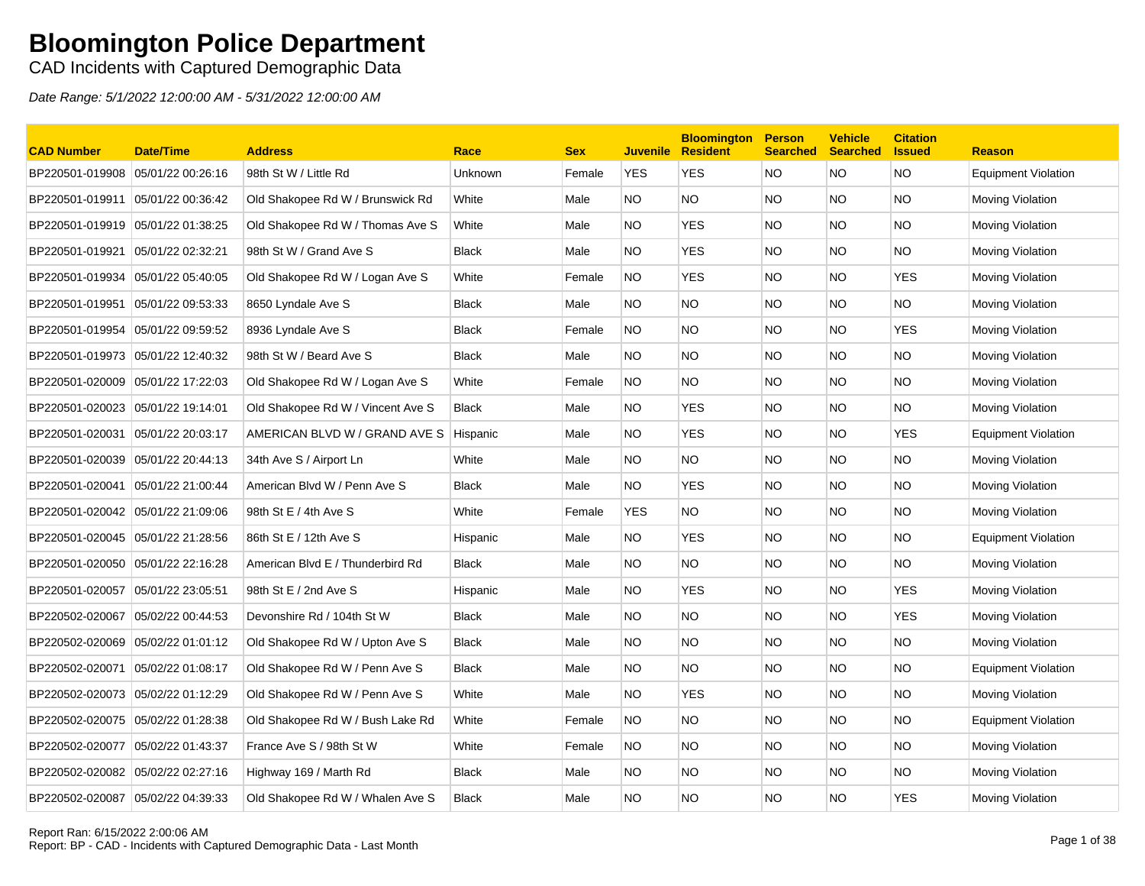### CAD Incidents with Captured Demographic Data

| <b>CAD Number</b>                 | <b>Date/Time</b>  | <b>Address</b>                    | Race         | <b>Sex</b> | <b>Juvenile</b> | <b>Bloomington</b><br><b>Resident</b> | <b>Person</b><br><b>Searched</b> | <b>Vehicle</b><br><b>Searched</b> | <b>Citation</b><br><b>Issued</b> | <b>Reason</b>              |
|-----------------------------------|-------------------|-----------------------------------|--------------|------------|-----------------|---------------------------------------|----------------------------------|-----------------------------------|----------------------------------|----------------------------|
| BP220501-019908                   | 05/01/22 00:26:16 | 98th St W / Little Rd             | Unknown      | Female     | <b>YES</b>      | <b>YES</b>                            | NO.                              | <b>NO</b>                         | <b>NO</b>                        | <b>Equipment Violation</b> |
| BP220501-019911 05/01/22 00:36:42 |                   | Old Shakopee Rd W / Brunswick Rd  | White        | Male       | NO.             | <b>NO</b>                             | <b>NO</b>                        | NO.                               | <b>NO</b>                        | <b>Moving Violation</b>    |
| BP220501-019919 05/01/22 01:38:25 |                   | Old Shakopee Rd W / Thomas Ave S  | White        | Male       | NO.             | <b>YES</b>                            | NO.                              | NO.                               | <b>NO</b>                        | <b>Moving Violation</b>    |
| BP220501-019921                   | 05/01/22 02:32:21 | 98th St W / Grand Ave S           | <b>Black</b> | Male       | NO.             | <b>YES</b>                            | NO.                              | NO.                               | <b>NO</b>                        | Moving Violation           |
| BP220501-019934                   | 05/01/22 05:40:05 | Old Shakopee Rd W / Logan Ave S   | White        | Female     | <b>NO</b>       | <b>YES</b>                            | NO.                              | NO.                               | <b>YES</b>                       | Moving Violation           |
| BP220501-019951 05/01/22 09:53:33 |                   | 8650 Lyndale Ave S                | <b>Black</b> | Male       | NO              | <b>NO</b>                             | <b>NO</b>                        | <b>NO</b>                         | <b>NO</b>                        | Moving Violation           |
| BP220501-019954 05/01/22 09:59:52 |                   | 8936 Lyndale Ave S                | <b>Black</b> | Female     | NO.             | <b>NO</b>                             | NO.                              | NO.                               | <b>YES</b>                       | <b>Moving Violation</b>    |
| BP220501-019973 05/01/22 12:40:32 |                   | 98th St W / Beard Ave S           | <b>Black</b> | Male       | NO.             | <b>NO</b>                             | NO.                              | NO.                               | <b>NO</b>                        | Moving Violation           |
| BP220501-020009 05/01/22 17:22:03 |                   | Old Shakopee Rd W / Logan Ave S   | White        | Female     | <b>NO</b>       | <b>NO</b>                             | NO.                              | NO.                               | <b>NO</b>                        | <b>Moving Violation</b>    |
| BP220501-020023 05/01/22 19:14:01 |                   | Old Shakopee Rd W / Vincent Ave S | <b>Black</b> | Male       | NO.             | <b>YES</b>                            | <b>NO</b>                        | <b>NO</b>                         | <b>NO</b>                        | Moving Violation           |
| BP220501-020031                   | 05/01/22 20:03:17 | AMERICAN BLVD W / GRAND AVE S     | Hispanic     | Male       | NO.             | <b>YES</b>                            | NO.                              | NO.                               | <b>YES</b>                       | <b>Equipment Violation</b> |
| BP220501-020039                   | 05/01/22 20:44:13 | 34th Ave S / Airport Ln           | White        | Male       | NO.             | <b>NO</b>                             | NO.                              | <b>NO</b>                         | <b>NO</b>                        | Moving Violation           |
| BP220501-020041                   | 05/01/22 21:00:44 | American Blvd W / Penn Ave S      | <b>Black</b> | Male       | NO.             | <b>YES</b>                            | <b>NO</b>                        | NO.                               | <b>NO</b>                        | Moving Violation           |
| BP220501-020042 05/01/22 21:09:06 |                   | 98th St E / 4th Ave S             | White        | Female     | <b>YES</b>      | <b>NO</b>                             | NO.                              | NO.                               | <b>NO</b>                        | <b>Moving Violation</b>    |
| BP220501-020045 05/01/22 21:28:56 |                   | 86th St E / 12th Ave S            | Hispanic     | Male       | NO.             | <b>YES</b>                            | NO.                              | NO.                               | <b>NO</b>                        | Equipment Violation        |
| BP220501-020050 05/01/22 22:16:28 |                   | American Blvd E / Thunderbird Rd  | <b>Black</b> | Male       | NO.             | <b>NO</b>                             | NO.                              | NO.                               | <b>NO</b>                        | <b>Moving Violation</b>    |
| BP220501-020057                   | 05/01/22 23:05:51 | 98th St E / 2nd Ave S             | Hispanic     | Male       | NO.             | <b>YES</b>                            | <b>NO</b>                        | <b>NO</b>                         | <b>YES</b>                       | <b>Moving Violation</b>    |
| BP220502-020067 05/02/22 00:44:53 |                   | Devonshire Rd / 104th St W        | <b>Black</b> | Male       | NO.             | <b>NO</b>                             | NO.                              | NO.                               | <b>YES</b>                       | <b>Moving Violation</b>    |
| BP220502-020069 05/02/22 01:01:12 |                   | Old Shakopee Rd W / Upton Ave S   | <b>Black</b> | Male       | NO.             | <b>NO</b>                             | NO.                              | NO.                               | <b>NO</b>                        | Moving Violation           |
| BP220502-020071                   | 05/02/22 01:08:17 | Old Shakopee Rd W / Penn Ave S    | <b>Black</b> | Male       | NO.             | <b>NO</b>                             | NO.                              | NO.                               | <b>NO</b>                        | <b>Equipment Violation</b> |
| BP220502-020073                   | 05/02/22 01:12:29 | Old Shakopee Rd W / Penn Ave S    | White        | Male       | NO.             | <b>YES</b>                            | NO.                              | NO.                               | <b>NO</b>                        | <b>Moving Violation</b>    |
| BP220502-020075 05/02/22 01:28:38 |                   | Old Shakopee Rd W / Bush Lake Rd  | White        | Female     | NO.             | <b>NO</b>                             | NO.                              | NO.                               | <b>NO</b>                        | Equipment Violation        |
| BP220502-020077 05/02/22 01:43:37 |                   | France Ave S / 98th St W          | White        | Female     | NO.             | <b>NO</b>                             | NO.                              | NO.                               | <b>NO</b>                        | Moving Violation           |
| BP220502-020082                   | 05/02/22 02:27:16 | Highway 169 / Marth Rd            | <b>Black</b> | Male       | NO.             | <b>NO</b>                             | NO.                              | NO.                               | <b>NO</b>                        | <b>Moving Violation</b>    |
| BP220502-020087 05/02/22 04:39:33 |                   | Old Shakopee Rd W / Whalen Ave S  | <b>Black</b> | Male       | NO              | <b>NO</b>                             | <b>NO</b>                        | NO                                | <b>YES</b>                       | Moving Violation           |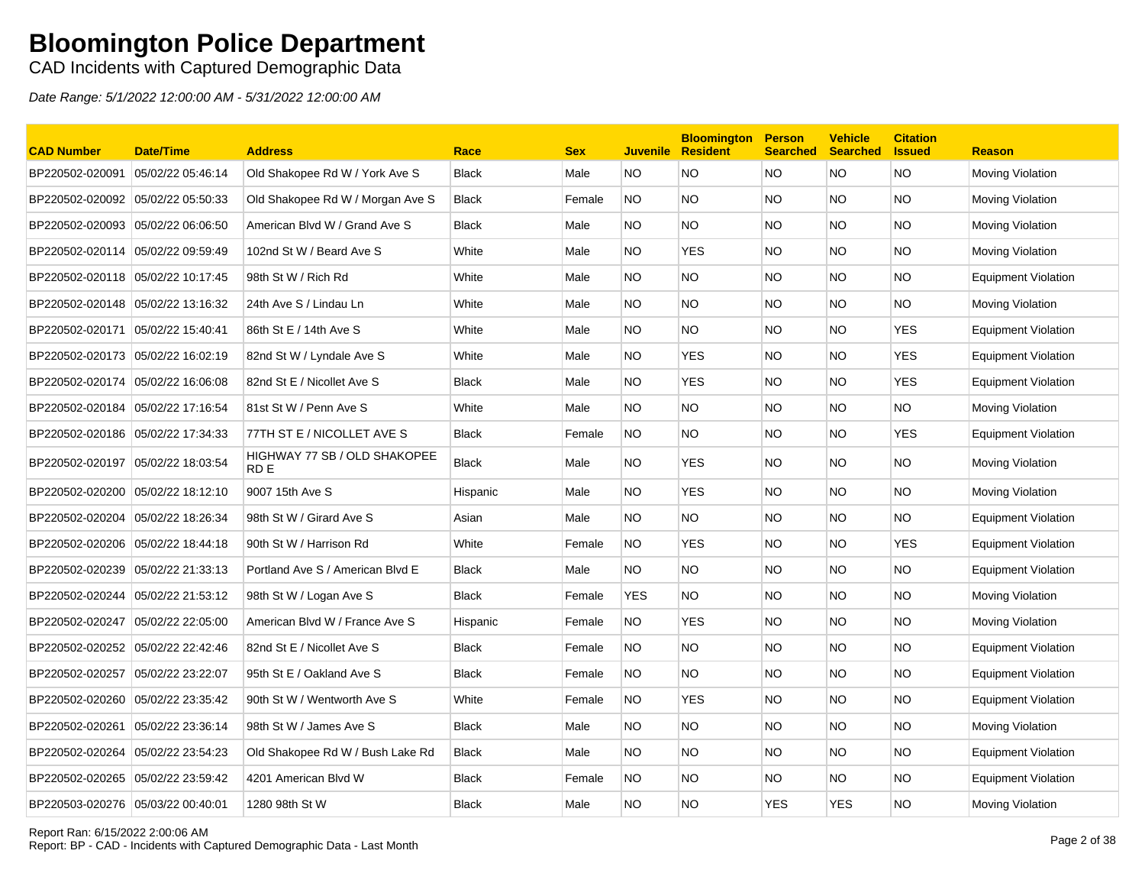CAD Incidents with Captured Demographic Data

| <b>CAD Number</b>                 | <b>Date/Time</b>  | <b>Address</b>                       | Race         | <b>Sex</b> | <b>Juvenile</b> | <b>Bloomington</b><br><b>Resident</b> | <b>Person</b><br><b>Searched</b> | <b>Vehicle</b><br><b>Searched</b> | <b>Citation</b><br><b>Issued</b> | <b>Reason</b>              |
|-----------------------------------|-------------------|--------------------------------------|--------------|------------|-----------------|---------------------------------------|----------------------------------|-----------------------------------|----------------------------------|----------------------------|
| BP220502-020091                   | 05/02/22 05:46:14 | Old Shakopee Rd W / York Ave S       | <b>Black</b> | Male       | NO.             | NO                                    | <b>NO</b>                        | NO.                               | <b>NO</b>                        | Moving Violation           |
| BP220502-020092                   | 05/02/22 05:50:33 | Old Shakopee Rd W / Morgan Ave S     | <b>Black</b> | Female     | NO.             | <b>NO</b>                             | <b>NO</b>                        | NO.                               | <b>NO</b>                        | Moving Violation           |
| BP220502-020093                   | 05/02/22 06:06:50 | American Blvd W / Grand Ave S        | <b>Black</b> | Male       | NO.             | NO.                                   | <b>NO</b>                        | NO.                               | <b>NO</b>                        | Moving Violation           |
| BP220502-020114                   | 05/02/22 09:59:49 | 102nd St W / Beard Ave S             | White        | Male       | NO.             | <b>YES</b>                            | <b>NO</b>                        | NO.                               | NO.                              | Moving Violation           |
| BP220502-020118                   | 05/02/22 10:17:45 | 98th St W / Rich Rd                  | White        | Male       | NO.             | <b>NO</b>                             | <b>NO</b>                        | NO.                               | <b>NO</b>                        | <b>Equipment Violation</b> |
| BP220502-020148 05/02/22 13:16:32 |                   | 24th Ave S / Lindau Ln               | White        | Male       | NO.             | <b>NO</b>                             | <b>NO</b>                        | NO.                               | <b>NO</b>                        | Moving Violation           |
| BP220502-020171                   | 05/02/22 15:40:41 | 86th St E / 14th Ave S               | White        | Male       | NO.             | <b>NO</b>                             | <b>NO</b>                        | NO.                               | <b>YES</b>                       | <b>Equipment Violation</b> |
| BP220502-020173                   | 05/02/22 16:02:19 | 82nd St W / Lyndale Ave S            | White        | Male       | NO.             | <b>YES</b>                            | <b>NO</b>                        | NO.                               | <b>YES</b>                       | <b>Equipment Violation</b> |
| BP220502-020174                   | 05/02/22 16:06:08 | 82nd St E / Nicollet Ave S           | <b>Black</b> | Male       | NO.             | <b>YES</b>                            | <b>NO</b>                        | NO.                               | <b>YES</b>                       | <b>Equipment Violation</b> |
| BP220502-020184                   | 05/02/22 17:16:54 | 81st St W / Penn Ave S               | White        | Male       | NO.             | NO.                                   | <b>NO</b>                        | NO.                               | NO.                              | Moving Violation           |
| BP220502-020186                   | 05/02/22 17:34:33 | 77TH ST E / NICOLLET AVE S           | <b>Black</b> | Female     | NO.             | <b>NO</b>                             | <b>NO</b>                        | NO.                               | <b>YES</b>                       | <b>Equipment Violation</b> |
| BP220502-020197                   | 05/02/22 18:03:54 | HIGHWAY 77 SB / OLD SHAKOPEE<br>RD E | <b>Black</b> | Male       | NO.             | <b>YES</b>                            | <b>NO</b>                        | NO.                               | NO.                              | Moving Violation           |
| BP220502-020200 05/02/22 18:12:10 |                   | 9007 15th Ave S                      | Hispanic     | Male       | NO.             | <b>YES</b>                            | <b>NO</b>                        | NO.                               | <b>NO</b>                        | Moving Violation           |
| BP220502-020204                   | 05/02/22 18:26:34 | 98th St W / Girard Ave S             | Asian        | Male       | NO.             | NO.                                   | <b>NO</b>                        | NO.                               | NO.                              | <b>Equipment Violation</b> |
| BP220502-020206                   | 05/02/22 18:44:18 | 90th St W / Harrison Rd              | White        | Female     | NO.             | <b>YES</b>                            | <b>NO</b>                        | NO.                               | <b>YES</b>                       | <b>Equipment Violation</b> |
| BP220502-020239                   | 05/02/22 21:33:13 | Portland Ave S / American Blvd E     | <b>Black</b> | Male       | NO.             | <b>NO</b>                             | <b>NO</b>                        | NO.                               | <b>NO</b>                        | <b>Equipment Violation</b> |
| BP220502-020244 05/02/22 21:53:12 |                   | 98th St W / Logan Ave S              | <b>Black</b> | Female     | <b>YES</b>      | <b>NO</b>                             | <b>NO</b>                        | NO.                               | <b>NO</b>                        | Moving Violation           |
| BP220502-020247                   | 05/02/22 22:05:00 | American Blvd W / France Ave S       | Hispanic     | Female     | NO.             | <b>YES</b>                            | <b>NO</b>                        | NO.                               | <b>NO</b>                        | Moving Violation           |
| BP220502-020252                   | 05/02/22 22:42:46 | 82nd St E / Nicollet Ave S           | <b>Black</b> | Female     | NO.             | <b>NO</b>                             | <b>NO</b>                        | NO.                               | <b>NO</b>                        | <b>Equipment Violation</b> |
| BP220502-020257                   | 05/02/22 23:22:07 | 95th St E / Oakland Ave S            | <b>Black</b> | Female     | NO.             | NO.                                   | <b>NO</b>                        | NO.                               | <b>NO</b>                        | <b>Equipment Violation</b> |
| BP220502-020260                   | 05/02/22 23:35:42 | 90th St W / Wentworth Ave S          | White        | Female     | NO.             | <b>YES</b>                            | <b>NO</b>                        | NO.                               | NO.                              | <b>Equipment Violation</b> |
| BP220502-020261                   | 05/02/22 23:36:14 | 98th St W / James Ave S              | Black        | Male       | NO.             | <b>NO</b>                             | <b>NO</b>                        | NO.                               | <b>NO</b>                        | Moving Violation           |
| BP220502-020264                   | 05/02/22 23:54:23 | Old Shakopee Rd W / Bush Lake Rd     | <b>Black</b> | Male       | NO.             | <b>NO</b>                             | <b>NO</b>                        | NO.                               | <b>NO</b>                        | <b>Equipment Violation</b> |
| BP220502-020265 05/02/22 23:59:42 |                   | 4201 American Blvd W                 | <b>Black</b> | Female     | NO.             | <b>NO</b>                             | <b>NO</b>                        | NO.                               | <b>NO</b>                        | Equipment Violation        |
| BP220503-020276                   | 05/03/22 00:40:01 | 1280 98th St W                       | <b>Black</b> | Male       | NO.             | <b>NO</b>                             | <b>YES</b>                       | <b>YES</b>                        | <b>NO</b>                        | Moving Violation           |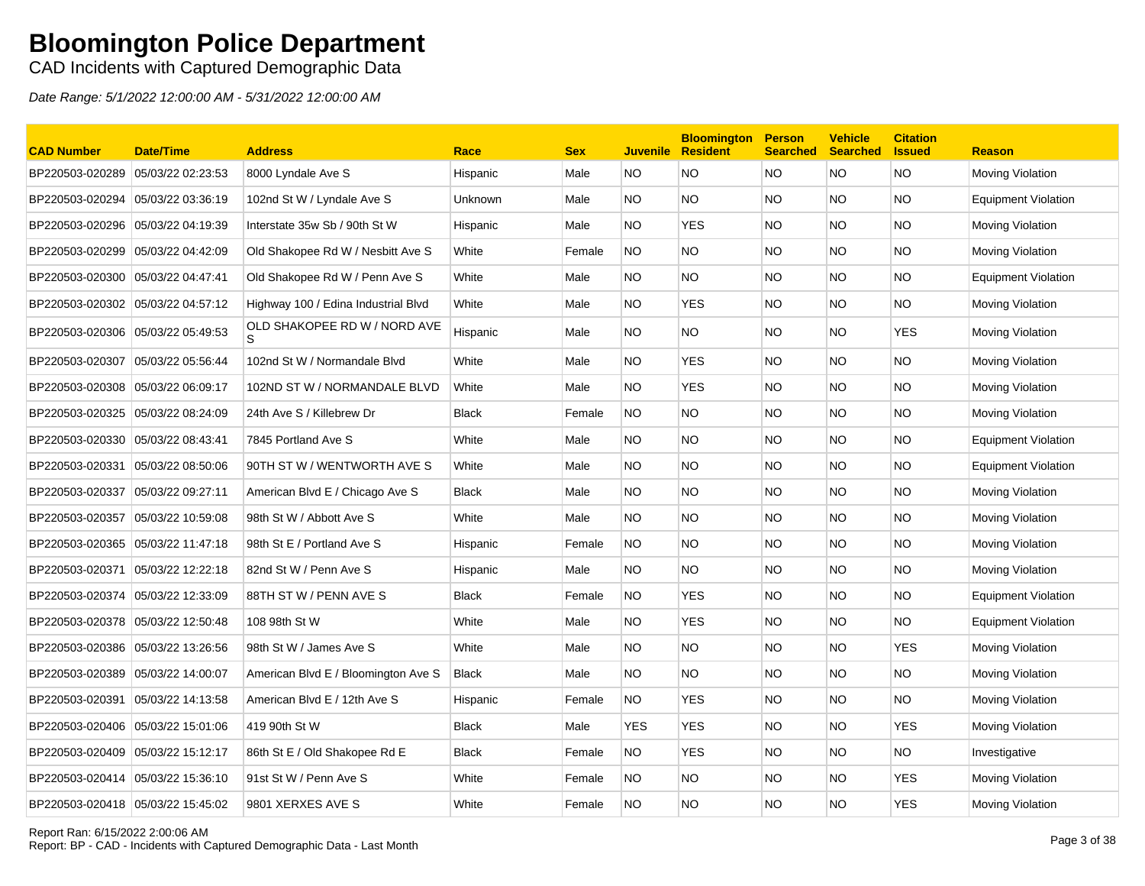### CAD Incidents with Captured Demographic Data

| <b>CAD Number</b>                 | <b>Date/Time</b>  | <b>Address</b>                      | Race         | <b>Sex</b> | <b>Juvenile</b> | <b>Bloomington</b><br><b>Resident</b> | <b>Person</b><br><b>Searched</b> | <b>Vehicle</b><br><b>Searched</b> | <b>Citation</b><br><b>Issued</b> | <b>Reason</b>              |
|-----------------------------------|-------------------|-------------------------------------|--------------|------------|-----------------|---------------------------------------|----------------------------------|-----------------------------------|----------------------------------|----------------------------|
| BP220503-020289                   | 05/03/22 02:23:53 | 8000 Lyndale Ave S                  | Hispanic     | Male       | NO.             | <b>NO</b>                             | <b>NO</b>                        | <b>NO</b>                         | <b>NO</b>                        | Moving Violation           |
| BP220503-020294 05/03/22 03:36:19 |                   | 102nd St W / Lyndale Ave S          | Unknown      | Male       | NO.             | <b>NO</b>                             | <b>NO</b>                        | NO.                               | <b>NO</b>                        | <b>Equipment Violation</b> |
| BP220503-020296                   | 05/03/22 04:19:39 | Interstate 35w Sb / 90th St W       | Hispanic     | Male       | NO.             | <b>YES</b>                            | NO.                              | NO.                               | <b>NO</b>                        | <b>Moving Violation</b>    |
| BP220503-020299 05/03/22 04:42:09 |                   | Old Shakopee Rd W / Nesbitt Ave S   | White        | Female     | NO.             | NO.                                   | <b>NO</b>                        | NO.                               | <b>NO</b>                        | Moving Violation           |
| BP220503-020300                   | 05/03/22 04:47:41 | Old Shakopee Rd W / Penn Ave S      | White        | Male       | NO.             | NO.                                   | NO.                              | NO.                               | <b>NO</b>                        | <b>Equipment Violation</b> |
| BP220503-020302 05/03/22 04:57:12 |                   | Highway 100 / Edina Industrial Blvd | White        | Male       | NO.             | <b>YES</b>                            | NO.                              | NO.                               | <b>NO</b>                        | Moving Violation           |
| BP220503-020306                   | 05/03/22 05:49:53 | OLD SHAKOPEE RD W / NORD AVE<br>S   | Hispanic     | Male       | NO.             | NO.                                   | NO.                              | NO.                               | <b>YES</b>                       | Moving Violation           |
| BP220503-020307 05/03/22 05:56:44 |                   | 102nd St W / Normandale Blvd        | White        | Male       | NO.             | <b>YES</b>                            | <b>NO</b>                        | NO.                               | <b>NO</b>                        | Moving Violation           |
| BP220503-020308                   | 05/03/22 06:09:17 | 102ND ST W / NORMANDALE BLVD        | White        | Male       | NO.             | <b>YES</b>                            | NO.                              | NO.                               | <b>NO</b>                        | Moving Violation           |
| BP220503-020325 05/03/22 08:24:09 |                   | 24th Ave S / Killebrew Dr           | <b>Black</b> | Female     | NO.             | <b>NO</b>                             | <b>NO</b>                        | NO.                               | <b>NO</b>                        | Moving Violation           |
| BP220503-020330 05/03/22 08:43:41 |                   | 7845 Portland Ave S                 | White        | Male       | NO.             | <b>NO</b>                             | <b>NO</b>                        | NO.                               | <b>NO</b>                        | <b>Equipment Violation</b> |
| BP220503-020331                   | 05/03/22 08:50:06 | 90TH ST W / WENTWORTH AVE S         | White        | Male       | NO.             | <b>NO</b>                             | <b>NO</b>                        | NO.                               | <b>NO</b>                        | <b>Equipment Violation</b> |
| BP220503-020337                   | 05/03/22 09:27:11 | American Blvd E / Chicago Ave S     | <b>Black</b> | Male       | NO.             | <b>NO</b>                             | <b>NO</b>                        | NO.                               | <b>NO</b>                        | <b>Moving Violation</b>    |
| BP220503-020357                   | 05/03/22 10:59:08 | 98th St W / Abbott Ave S            | White        | Male       | NO.             | NO.                                   | NO.                              | NO.                               | <b>NO</b>                        | Moving Violation           |
| BP220503-020365 05/03/22 11:47:18 |                   | 98th St E / Portland Ave S          | Hispanic     | Female     | NO.             | NO.                                   | NO.                              | NO.                               | <b>NO</b>                        | Moving Violation           |
| BP220503-020371                   | 05/03/22 12:22:18 | 82nd St W / Penn Ave S              | Hispanic     | Male       | NO.             | <b>NO</b>                             | NO.                              | <b>NO</b>                         | <b>NO</b>                        | Moving Violation           |
| BP220503-020374 05/03/22 12:33:09 |                   | 88TH STW / PENN AVE S               | <b>Black</b> | Female     | NO.             | <b>YES</b>                            | <b>NO</b>                        | NO.                               | <b>NO</b>                        | <b>Equipment Violation</b> |
| BP220503-020378                   | 05/03/22 12:50:48 | 108 98th St W                       | White        | Male       | NO.             | <b>YES</b>                            | NO.                              | NO.                               | <b>NO</b>                        | <b>Equipment Violation</b> |
| BP220503-020386 05/03/22 13:26:56 |                   | 98th St W / James Ave S             | White        | Male       | NO.             | <b>NO</b>                             | <b>NO</b>                        | NO.                               | <b>YES</b>                       | Moving Violation           |
| BP220503-020389 05/03/22 14:00:07 |                   | American Blvd E / Bloomington Ave S | <b>Black</b> | Male       | NO.             | NO.                                   | NO.                              | NO.                               | <b>NO</b>                        | Moving Violation           |
| BP220503-020391                   | 05/03/22 14:13:58 | American Blvd E / 12th Ave S        | Hispanic     | Female     | NO.             | <b>YES</b>                            | NO.                              | NO.                               | <b>NO</b>                        | Moving Violation           |
| BP220503-020406 05/03/22 15:01:06 |                   | 419 90th St W                       | <b>Black</b> | Male       | <b>YES</b>      | <b>YES</b>                            | <b>NO</b>                        | NO.                               | <b>YES</b>                       | Moving Violation           |
| BP220503-020409 05/03/22 15:12:17 |                   | 86th St E / Old Shakopee Rd E       | <b>Black</b> | Female     | <b>NO</b>       | <b>YES</b>                            | NO.                              | NO.                               | <b>NO</b>                        | Investigative              |
| BP220503-020414                   | 05/03/22 15:36:10 | 91st St W / Penn Ave S              | White        | Female     | <b>NO</b>       | NO.                                   | <b>NO</b>                        | NO.                               | <b>YES</b>                       | Moving Violation           |
| BP220503-020418 05/03/22 15:45:02 |                   | 9801 XERXES AVE S                   | White        | Female     | <b>NO</b>       | <b>NO</b>                             | <b>NO</b>                        | <b>NO</b>                         | <b>YES</b>                       | Moving Violation           |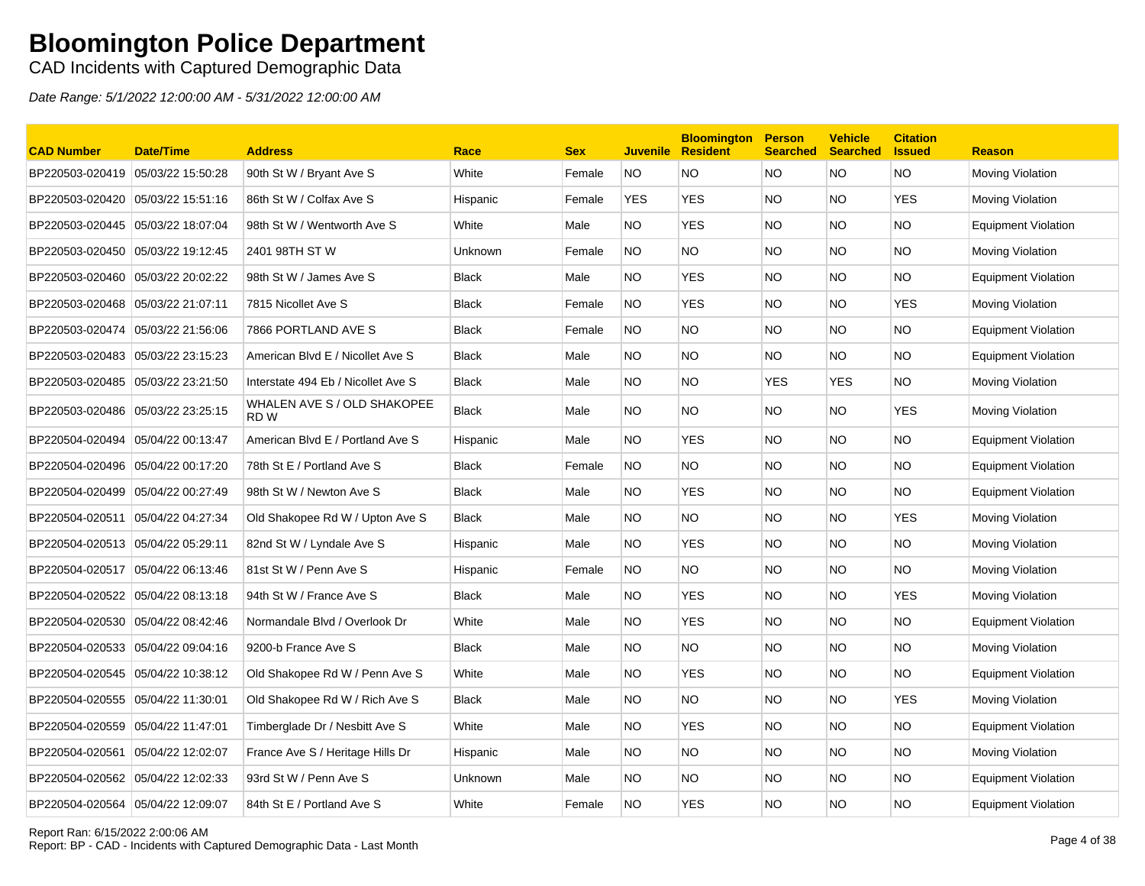CAD Incidents with Captured Demographic Data

| <b>CAD Number</b>                 | <b>Date/Time</b>  | <b>Address</b>                                 | Race         | <b>Sex</b> | <b>Juvenile</b> | <b>Bloomington</b><br><b>Resident</b> | <b>Person</b><br><b>Searched</b> | <b>Vehicle</b><br><b>Searched</b> | <b>Citation</b><br><b>Issued</b> | <b>Reason</b>              |
|-----------------------------------|-------------------|------------------------------------------------|--------------|------------|-----------------|---------------------------------------|----------------------------------|-----------------------------------|----------------------------------|----------------------------|
| BP220503-020419 05/03/22 15:50:28 |                   | 90th St W / Bryant Ave S                       | White        | Female     | <b>NO</b>       | NO.                                   | <b>NO</b>                        | NO.                               | <b>NO</b>                        | Moving Violation           |
| BP220503-020420 05/03/22 15:51:16 |                   | 86th St W / Colfax Ave S                       | Hispanic     | Female     | <b>YES</b>      | <b>YES</b>                            | <b>NO</b>                        | NO.                               | <b>YES</b>                       | Moving Violation           |
| BP220503-020445                   | 05/03/22 18:07:04 | 98th St W / Wentworth Ave S                    | White        | Male       | NO.             | <b>YES</b>                            | <b>NO</b>                        | NO.                               | <b>NO</b>                        | <b>Equipment Violation</b> |
| BP220503-020450 05/03/22 19:12:45 |                   | 2401 98TH ST W                                 | Unknown      | Female     | NO.             | NO.                                   | <b>NO</b>                        | NO.                               | NO.                              | Moving Violation           |
| BP220503-020460                   | 05/03/22 20:02:22 | 98th St W / James Ave S                        | <b>Black</b> | Male       | NO.             | <b>YES</b>                            | <b>NO</b>                        | NO.                               | NO.                              | <b>Equipment Violation</b> |
| BP220503-020468 05/03/22 21:07:11 |                   | 7815 Nicollet Ave S                            | <b>Black</b> | Female     | NO.             | <b>YES</b>                            | <b>NO</b>                        | NO.                               | <b>YES</b>                       | Moving Violation           |
| BP220503-020474 05/03/22 21:56:06 |                   | 7866 PORTLAND AVE S                            | <b>Black</b> | Female     | NO.             | <b>NO</b>                             | <b>NO</b>                        | NO.                               | <b>NO</b>                        | <b>Equipment Violation</b> |
| BP220503-020483                   | 05/03/22 23:15:23 | American Blvd E / Nicollet Ave S               | <b>Black</b> | Male       | NO.             | <b>NO</b>                             | <b>NO</b>                        | NO.                               | <b>NO</b>                        | <b>Equipment Violation</b> |
| BP220503-020485 05/03/22 23:21:50 |                   | Interstate 494 Eb / Nicollet Ave S             | <b>Black</b> | Male       | NO.             | <b>NO</b>                             | <b>YES</b>                       | <b>YES</b>                        | <b>NO</b>                        | Moving Violation           |
| BP220503-020486 05/03/22 23:25:15 |                   | WHALEN AVE S / OLD SHAKOPEE<br>RD <sub>W</sub> | <b>Black</b> | Male       | NO.             | <b>NO</b>                             | <b>NO</b>                        | NO.                               | <b>YES</b>                       | Moving Violation           |
| BP220504-020494                   | 05/04/22 00:13:47 | American Blvd E / Portland Ave S               | Hispanic     | Male       | NO.             | <b>YES</b>                            | <b>NO</b>                        | NO.                               | <b>NO</b>                        | Equipment Violation        |
| BP220504-020496                   | 05/04/22 00:17:20 | 78th St E / Portland Ave S                     | <b>Black</b> | Female     | NO.             | <b>NO</b>                             | <b>NO</b>                        | NO.                               | <b>NO</b>                        | <b>Equipment Violation</b> |
| BP220504-020499 05/04/22 00:27:49 |                   | 98th St W / Newton Ave S                       | <b>Black</b> | Male       | NO.             | <b>YES</b>                            | <b>NO</b>                        | NO.                               | NO.                              | <b>Equipment Violation</b> |
| BP220504-020511                   | 05/04/22 04:27:34 | Old Shakopee Rd W / Upton Ave S                | <b>Black</b> | Male       | NO.             | NO.                                   | <b>NO</b>                        | NO.                               | <b>YES</b>                       | Moving Violation           |
| BP220504-020513 05/04/22 05:29:11 |                   | 82nd St W / Lyndale Ave S                      | Hispanic     | Male       | NO.             | <b>YES</b>                            | <b>NO</b>                        | NO.                               | NO.                              | Moving Violation           |
| BP220504-020517                   | 05/04/22 06:13:46 | 81st St W / Penn Ave S                         | Hispanic     | Female     | <b>NO</b>       | <b>NO</b>                             | <b>NO</b>                        | NO.                               | <b>NO</b>                        | Moving Violation           |
| BP220504-020522 05/04/22 08:13:18 |                   | 94th St W / France Ave S                       | <b>Black</b> | Male       | NO.             | YES                                   | <b>NO</b>                        | NO.                               | <b>YES</b>                       | Moving Violation           |
| BP220504-020530 05/04/22 08:42:46 |                   | Normandale Blvd / Overlook Dr                  | White        | Male       | NO.             | <b>YES</b>                            | <b>NO</b>                        | NO.                               | <b>NO</b>                        | <b>Equipment Violation</b> |
| BP220504-020533                   | 05/04/22 09:04:16 | 9200-b France Ave S                            | <b>Black</b> | Male       | NO.             | <b>NO</b>                             | <b>NO</b>                        | NO.                               | <b>NO</b>                        | Moving Violation           |
| BP220504-020545 05/04/22 10:38:12 |                   | Old Shakopee Rd W / Penn Ave S                 | White        | Male       | NO.             | <b>YES</b>                            | <b>NO</b>                        | NO.                               | NO.                              | <b>Equipment Violation</b> |
| BP220504-020555 05/04/22 11:30:01 |                   | Old Shakopee Rd W / Rich Ave S                 | <b>Black</b> | Male       | NO.             | NO.                                   | <b>NO</b>                        | NO.                               | <b>YES</b>                       | Moving Violation           |
| BP220504-020559 05/04/22 11:47:01 |                   | Timberglade Dr / Nesbitt Ave S                 | White        | Male       | NO.             | <b>YES</b>                            | <b>NO</b>                        | NO.                               | <b>NO</b>                        | <b>Equipment Violation</b> |
| BP220504-020561                   | 05/04/22 12:02:07 | France Ave S / Heritage Hills Dr               | Hispanic     | Male       | NO.             | <b>NO</b>                             | <b>NO</b>                        | NO.                               | <b>NO</b>                        | Moving Violation           |
|                                   |                   | 93rd St W / Penn Ave S                         | Unknown      | Male       | NO.             | <b>NO</b>                             | <b>NO</b>                        | NO.                               | <b>NO</b>                        | Equipment Violation        |
| BP220504-020564                   | 05/04/22 12:09:07 | 84th St E / Portland Ave S                     | White        | Female     | <b>NO</b>       | <b>YES</b>                            | <b>NO</b>                        | NO.                               | <b>NO</b>                        | <b>Equipment Violation</b> |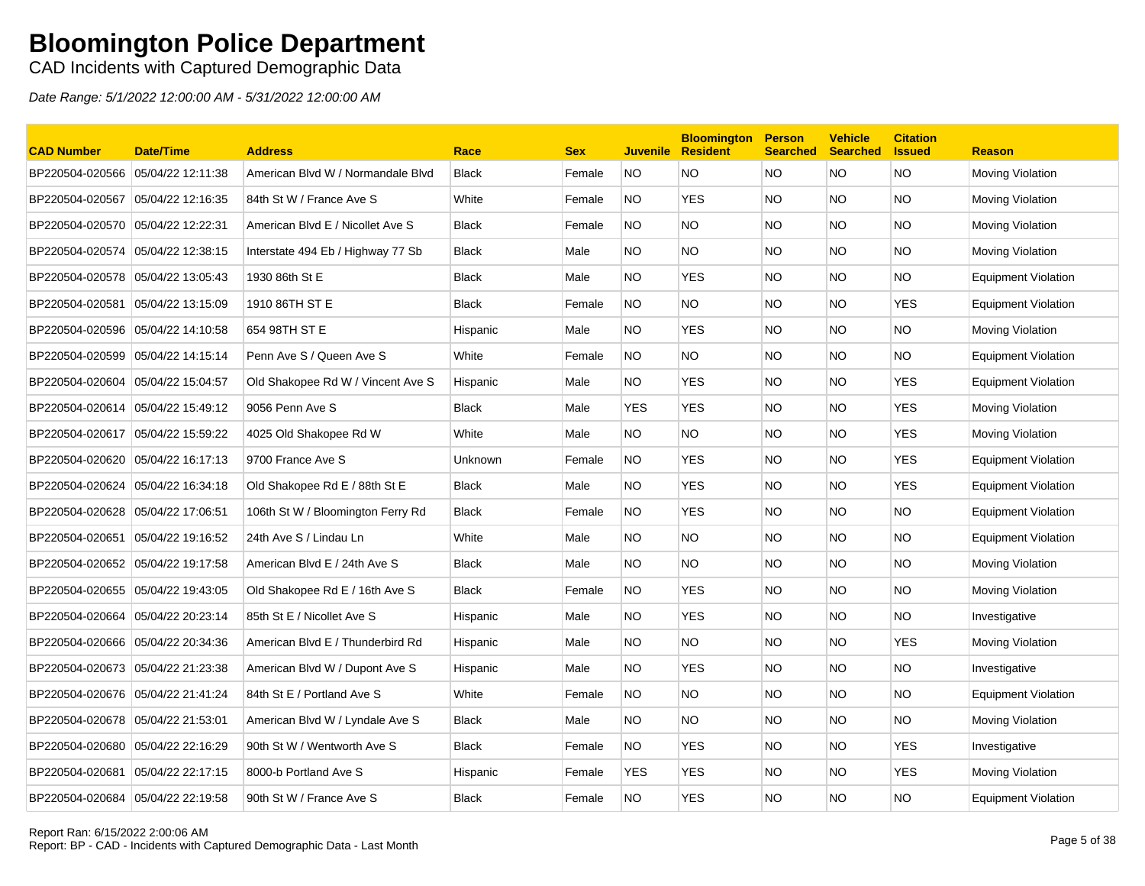CAD Incidents with Captured Demographic Data

| <b>CAD Number</b>                 | <b>Date/Time</b>  | <b>Address</b>                    | Race         | <b>Sex</b> | <b>Juvenile</b> | <b>Bloomington</b><br><b>Resident</b> | <b>Person</b><br><b>Searched</b> | <b>Vehicle</b><br><b>Searched</b> | <b>Citation</b><br><b>Issued</b> | <b>Reason</b>              |
|-----------------------------------|-------------------|-----------------------------------|--------------|------------|-----------------|---------------------------------------|----------------------------------|-----------------------------------|----------------------------------|----------------------------|
| BP220504-020566                   | 05/04/22 12:11:38 | American Blvd W / Normandale Blvd | <b>Black</b> | Female     | <b>NO</b>       | NO.                                   | <b>NO</b>                        | NO.                               | <b>NO</b>                        | Moving Violation           |
| BP220504-020567                   | 05/04/22 12:16:35 | 84th St W / France Ave S          | White        | Female     | NO.             | <b>YES</b>                            | <b>NO</b>                        | NO.                               | <b>NO</b>                        | Moving Violation           |
| BP220504-020570                   | 05/04/22 12:22:31 | American Blvd E / Nicollet Ave S  | <b>Black</b> | Female     | NO.             | <b>NO</b>                             | <b>NO</b>                        | NO.                               | <b>NO</b>                        | Moving Violation           |
| BP220504-020574                   | 05/04/22 12:38:15 | Interstate 494 Eb / Highway 77 Sb | <b>Black</b> | Male       | NO.             | NO.                                   | <b>NO</b>                        | NO.                               | NO.                              | Moving Violation           |
| BP220504-020578                   | 05/04/22 13:05:43 | 1930 86th St E                    | <b>Black</b> | Male       | NO.             | <b>YES</b>                            | <b>NO</b>                        | NO.                               | <b>NO</b>                        | <b>Equipment Violation</b> |
| BP220504-020581                   | 05/04/22 13:15:09 | 1910 86TH ST E                    | Black        | Female     | <b>NO</b>       | NO.                                   | <b>NO</b>                        | NO.                               | <b>YES</b>                       | Equipment Violation        |
| BP220504-020596                   | 05/04/22 14:10:58 | 654 98TH ST E                     | Hispanic     | Male       | NO.             | <b>YES</b>                            | <b>NO</b>                        | NO.                               | <b>NO</b>                        | Moving Violation           |
| BP220504-020599 05/04/22 14:15:14 |                   | Penn Ave S / Queen Ave S          | White        | Female     | NO.             | <b>NO</b>                             | <b>NO</b>                        | NO.                               | NO.                              | <b>Equipment Violation</b> |
| BP220504-020604                   | 05/04/22 15:04:57 | Old Shakopee Rd W / Vincent Ave S | Hispanic     | Male       | NO.             | <b>YES</b>                            | <b>NO</b>                        | NO.                               | <b>YES</b>                       | <b>Equipment Violation</b> |
| BP220504-020614 05/04/22 15:49:12 |                   | 9056 Penn Ave S                   | <b>Black</b> | Male       | <b>YES</b>      | <b>YES</b>                            | <b>NO</b>                        | NO.                               | <b>YES</b>                       | Moving Violation           |
| BP220504-020617 05/04/22 15:59:22 |                   | 4025 Old Shakopee Rd W            | White        | Male       | NO.             | NO.                                   | <b>NO</b>                        | NO.                               | <b>YES</b>                       | Moving Violation           |
| BP220504-020620 05/04/22 16:17:13 |                   | 9700 France Ave S                 | Unknown      | Female     | NO.             | <b>YES</b>                            | <b>NO</b>                        | NO.                               | <b>YES</b>                       | <b>Equipment Violation</b> |
| BP220504-020624                   | 05/04/22 16:34:18 | Old Shakopee Rd E / 88th St E     | Black        | Male       | NO.             | YES.                                  | <b>NO</b>                        | NO.                               | <b>YES</b>                       | <b>Equipment Violation</b> |
| BP220504-020628                   | 05/04/22 17:06:51 | 106th St W / Bloomington Ferry Rd | <b>Black</b> | Female     | NO.             | <b>YES</b>                            | <b>NO</b>                        | NO.                               | <b>NO</b>                        | Equipment Violation        |
| BP220504-020651 05/04/22 19:16:52 |                   | 24th Ave S / Lindau Ln            | White        | Male       | NO.             | <b>NO</b>                             | <b>NO</b>                        | NO.                               | <b>NO</b>                        | Equipment Violation        |
| BP220504-020652 05/04/22 19:17:58 |                   | American Blvd E / 24th Ave S      | <b>Black</b> | Male       | NO.             | <b>NO</b>                             | <b>NO</b>                        | NO.                               | <b>NO</b>                        | Moving Violation           |
| BP220504-020655                   | 05/04/22 19:43:05 | Old Shakopee Rd E / 16th Ave S    | <b>Black</b> | Female     | <b>NO</b>       | <b>YES</b>                            | <b>NO</b>                        | NO.                               | <b>NO</b>                        | Moving Violation           |
| BP220504-020664                   | 05/04/22 20:23:14 | 85th St E / Nicollet Ave S        | Hispanic     | Male       | NO.             | <b>YES</b>                            | <b>NO</b>                        | NO.                               | <b>NO</b>                        | Investigative              |
| BP220504-020666 05/04/22 20:34:36 |                   | American Blvd E / Thunderbird Rd  | Hispanic     | Male       | NO.             | NO.                                   | <b>NO</b>                        | NO.                               | <b>YES</b>                       | Moving Violation           |
| BP220504-020673                   | 05/04/22 21:23:38 | American Blvd W / Dupont Ave S    | Hispanic     | Male       | NO.             | <b>YES</b>                            | NO.                              | NO.                               | <b>NO</b>                        | Investigative              |
| BP220504-020676                   | 05/04/22 21:41:24 | 84th St E / Portland Ave S        | White        | Female     | NO.             | <b>NO</b>                             | <b>NO</b>                        | NO.                               | <b>NO</b>                        | <b>Equipment Violation</b> |
| BP220504-020678 05/04/22 21:53:01 |                   | American Blvd W / Lyndale Ave S   | <b>Black</b> | Male       | NO.             | <b>NO</b>                             | <b>NO</b>                        | NO.                               | <b>NO</b>                        | Moving Violation           |
| BP220504-020680 05/04/22 22:16:29 |                   | 90th St W / Wentworth Ave S       | <b>Black</b> | Female     | NO.             | <b>YES</b>                            | <b>NO</b>                        | NO.                               | <b>YES</b>                       | Investigative              |
| BP220504-020681                   | 05/04/22 22:17:15 | 8000-b Portland Ave S             | Hispanic     | Female     | <b>YES</b>      | <b>YES</b>                            | <b>NO</b>                        | NO.                               | <b>YES</b>                       | Moving Violation           |
| BP220504-020684                   | 05/04/22 22:19:58 | 90th St W / France Ave S          | <b>Black</b> | Female     | <b>NO</b>       | <b>YES</b>                            | <b>NO</b>                        | NO.                               | <b>NO</b>                        | <b>Equipment Violation</b> |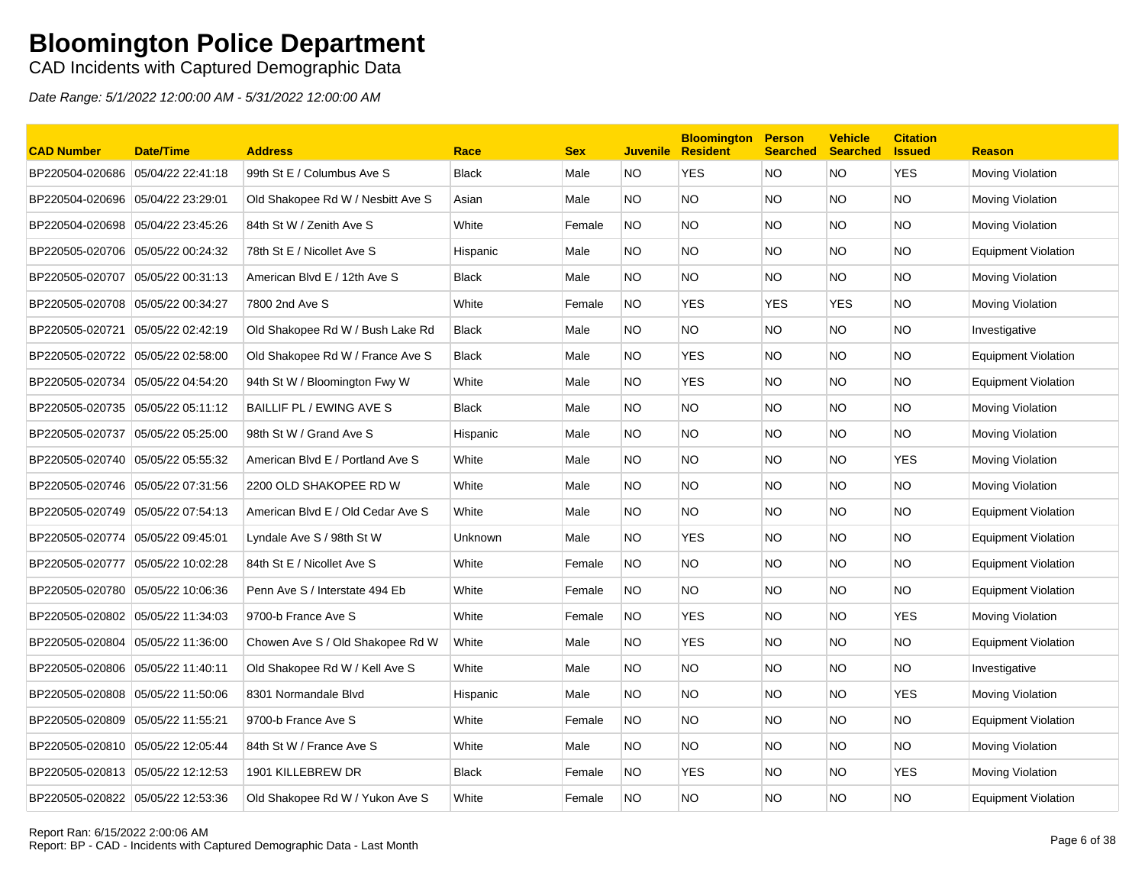CAD Incidents with Captured Demographic Data

| <b>CAD Number</b>                 | Date/Time         | <b>Address</b>                    | Race           | <b>Sex</b> | <b>Juvenile</b> | <b>Bloomington</b><br><b>Resident</b> | <b>Person</b><br><b>Searched</b> | <b>Vehicle</b><br><b>Searched</b> | <b>Citation</b><br><b>Issued</b> | <b>Reason</b>              |
|-----------------------------------|-------------------|-----------------------------------|----------------|------------|-----------------|---------------------------------------|----------------------------------|-----------------------------------|----------------------------------|----------------------------|
| BP220504-020686 05/04/22 22:41:18 |                   | 99th St E / Columbus Ave S        | <b>Black</b>   | Male       | NO.             | <b>YES</b>                            | <b>NO</b>                        | <b>NO</b>                         | <b>YES</b>                       | Moving Violation           |
| BP220504-020696                   | 05/04/22 23:29:01 | Old Shakopee Rd W / Nesbitt Ave S | Asian          | Male       | NO.             | <b>NO</b>                             | <b>NO</b>                        | NO.                               | <b>NO</b>                        | Moving Violation           |
| BP220504-020698                   | 05/04/22 23:45:26 | 84th St W / Zenith Ave S          | White          | Female     | NO.             | <b>NO</b>                             | <b>NO</b>                        | NO.                               | <b>NO</b>                        | Moving Violation           |
| BP220505-020706 05/05/22 00:24:32 |                   | 78th St E / Nicollet Ave S        | Hispanic       | Male       | NO.             | NO.                                   | <b>NO</b>                        | NO.                               | <b>NO</b>                        | <b>Equipment Violation</b> |
| BP220505-020707                   | 05/05/22 00:31:13 | American Blvd E / 12th Ave S      | <b>Black</b>   | Male       | NO.             | NO.                                   | <b>NO</b>                        | NO.                               | NO.                              | Moving Violation           |
| BP220505-020708                   | 05/05/22 00:34:27 | 7800 2nd Ave S                    | White          | Female     | NO.             | YES                                   | <b>YES</b>                       | YES                               | <b>NO</b>                        | Moving Violation           |
| BP220505-020721                   | 05/05/22 02:42:19 | Old Shakopee Rd W / Bush Lake Rd  | <b>Black</b>   | Male       | NO.             | <b>NO</b>                             | <b>NO</b>                        | NO.                               | <b>NO</b>                        | Investigative              |
| BP220505-020722 05/05/22 02:58:00 |                   | Old Shakopee Rd W / France Ave S  | <b>Black</b>   | Male       | NO.             | YES                                   | <b>NO</b>                        | NO.                               | <b>NO</b>                        | <b>Equipment Violation</b> |
| BP220505-020734                   | 05/05/22 04:54:20 | 94th St W / Bloomington Fwy W     | White          | Male       | NO.             | <b>YES</b>                            | <b>NO</b>                        | NO.                               | <b>NO</b>                        | <b>Equipment Violation</b> |
| BP220505-020735                   | 05/05/22 05:11:12 | BAILLIF PL / EWING AVE S          | <b>Black</b>   | Male       | NO.             | <b>NO</b>                             | <b>NO</b>                        | NO.                               | <b>NO</b>                        | Moving Violation           |
| BP220505-020737                   | 05/05/22 05:25:00 | 98th St W / Grand Ave S           | Hispanic       | Male       | NO.             | <b>NO</b>                             | <b>NO</b>                        | NO.                               | NO.                              | Moving Violation           |
| BP220505-020740 05/05/22 05:55:32 |                   | American Blvd E / Portland Ave S  | White          | Male       | NO.             | NO.                                   | <b>NO</b>                        | NO.                               | <b>YES</b>                       | Moving Violation           |
| BP220505-020746 05/05/22 07:31:56 |                   | 2200 OLD SHAKOPEE RD W            | White          | Male       | NO.             | NO.                                   | <b>NO</b>                        | NO.                               | NO.                              | Moving Violation           |
| BP220505-020749 05/05/22 07:54:13 |                   | American Blvd E / Old Cedar Ave S | White          | Male       | NO.             | <b>NO</b>                             | <b>NO</b>                        | NO.                               | <b>NO</b>                        | <b>Equipment Violation</b> |
| BP220505-020774 05/05/22 09:45:01 |                   | Lyndale Ave S / 98th St W         | <b>Unknown</b> | Male       | NO.             | <b>YES</b>                            | <b>NO</b>                        | NO.                               | <b>NO</b>                        | <b>Equipment Violation</b> |
| BP220505-020777 05/05/22 10:02:28 |                   | 84th St E / Nicollet Ave S        | White          | Female     | NO.             | NO.                                   | <b>NO</b>                        | NO.                               | <b>NO</b>                        | <b>Equipment Violation</b> |
| BP220505-020780                   | 05/05/22 10:06:36 | Penn Ave S / Interstate 494 Eb    | White          | Female     | NO.             | <b>NO</b>                             | <b>NO</b>                        | NO.                               | <b>NO</b>                        | <b>Equipment Violation</b> |
| BP220505-020802                   | 05/05/22 11:34:03 | 9700-b France Ave S               | White          | Female     | NO.             | <b>YES</b>                            | <b>NO</b>                        | NO.                               | <b>YES</b>                       | Moving Violation           |
| BP220505-020804                   | 05/05/22 11:36:00 | Chowen Ave S / Old Shakopee Rd W  | White          | Male       | NO.             | <b>YES</b>                            | <b>NO</b>                        | NO.                               | NO.                              | <b>Equipment Violation</b> |
| BP220505-020806                   | 05/05/22 11:40:11 | Old Shakopee Rd W / Kell Ave S    | White          | Male       | NO.             | NO.                                   | <b>NO</b>                        | NO.                               | NO.                              | Investigative              |
| BP220505-020808                   | 05/05/22 11:50:06 | 8301 Normandale Blvd              | Hispanic       | Male       | NO.             | <b>NO</b>                             | <b>NO</b>                        | NO.                               | <b>YES</b>                       | Moving Violation           |
| BP220505-020809 05/05/22 11:55:21 |                   | 9700-b France Ave S               | White          | Female     | NO.             | <b>NO</b>                             | <b>NO</b>                        | NO.                               | <b>NO</b>                        | Equipment Violation        |
| BP220505-020810 05/05/22 12:05:44 |                   | 84th St W / France Ave S          | White          | Male       | NO.             | <b>NO</b>                             | <b>NO</b>                        | NO.                               | NO.                              | Moving Violation           |
| BP220505-020813 05/05/22 12:12:53 |                   | 1901 KILLEBREW DR                 | <b>Black</b>   | Female     | NO.             | <b>YES</b>                            | <b>NO</b>                        | NO.                               | <b>YES</b>                       | Moving Violation           |
| BP220505-020822 05/05/22 12:53:36 |                   | Old Shakopee Rd W / Yukon Ave S   | White          | Female     | <b>NO</b>       | ΝO                                    | <b>NO</b>                        | NO.                               | <b>NO</b>                        | <b>Equipment Violation</b> |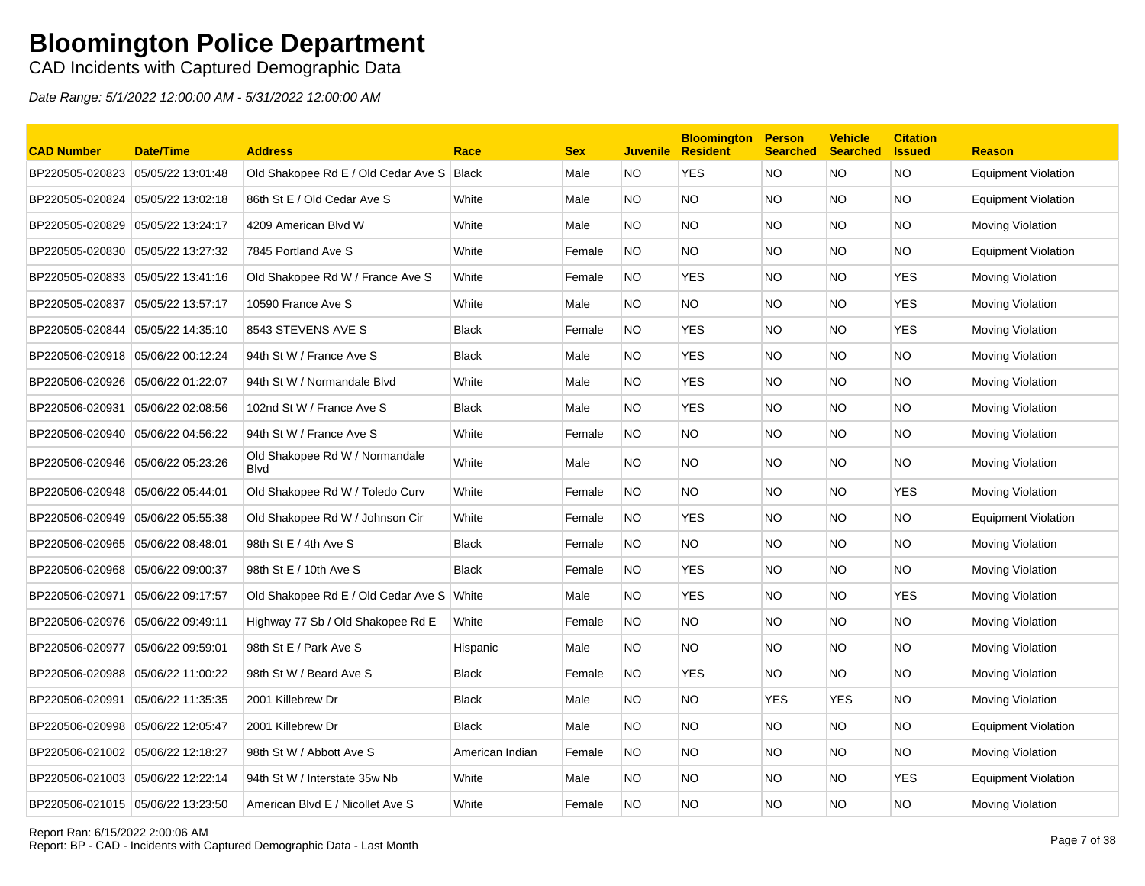CAD Incidents with Captured Demographic Data

| <b>CAD Number</b>                 | <b>Date/Time</b>  | <b>Address</b>                                 | Race            | <b>Sex</b> | <b>Juvenile</b> | <b>Bloomington</b><br><b>Resident</b> | <b>Person</b><br><b>Searched</b> | <b>Vehicle</b><br><b>Searched</b> | <b>Citation</b><br><b>Issued</b> | <b>Reason</b>              |
|-----------------------------------|-------------------|------------------------------------------------|-----------------|------------|-----------------|---------------------------------------|----------------------------------|-----------------------------------|----------------------------------|----------------------------|
| BP220505-020823                   | 05/05/22 13:01:48 | Old Shakopee Rd E / Old Cedar Ave S            | <b>Black</b>    | Male       | NO.             | <b>YES</b>                            | <b>NO</b>                        | <b>NO</b>                         | <b>NO</b>                        | <b>Equipment Violation</b> |
| BP220505-020824                   | 05/05/22 13:02:18 | 86th St E / Old Cedar Ave S                    | White           | Male       | NO.             | <b>NO</b>                             | <b>NO</b>                        | NO.                               | <b>NO</b>                        | <b>Equipment Violation</b> |
| BP220505-020829                   | 05/05/22 13:24:17 | 4209 American Blvd W                           | White           | Male       | NO.             | <b>NO</b>                             | <b>NO</b>                        | NO.                               | <b>NO</b>                        | Moving Violation           |
| BP220505-020830 05/05/22 13:27:32 |                   | 7845 Portland Ave S                            | White           | Female     | NO.             | NO.                                   | <b>NO</b>                        | NO.                               | NO.                              | <b>Equipment Violation</b> |
| BP220505-020833                   | 05/05/22 13:41:16 | Old Shakopee Rd W / France Ave S               | White           | Female     | <b>NO</b>       | <b>YES</b>                            | <b>NO</b>                        | NO.                               | <b>YES</b>                       | Moving Violation           |
| BP220505-020837                   | 05/05/22 13:57:17 | 10590 France Ave S                             | White           | Male       | NO.             | <b>NO</b>                             | <b>NO</b>                        | NO.                               | <b>YES</b>                       | Moving Violation           |
| BP220505-020844                   | 05/05/22 14:35:10 | 8543 STEVENS AVE S                             | <b>Black</b>    | Female     | NO.             | <b>YES</b>                            | <b>NO</b>                        | NO.                               | <b>YES</b>                       | Moving Violation           |
| BP220506-020918                   | 05/06/22 00:12:24 | 94th St W / France Ave S                       | <b>Black</b>    | Male       | NO.             | <b>YES</b>                            | <b>NO</b>                        | NO.                               | <b>NO</b>                        | Moving Violation           |
| BP220506-020926                   | 05/06/22 01:22:07 | 94th St W / Normandale Blvd                    | White           | Male       | NO.             | <b>YES</b>                            | <b>NO</b>                        | NO.                               | <b>NO</b>                        | Moving Violation           |
| BP220506-020931                   | 05/06/22 02:08:56 | 102nd St W / France Ave S                      | <b>Black</b>    | Male       | NO.             | <b>YES</b>                            | <b>NO</b>                        | NO.                               | NO.                              | Moving Violation           |
| BP220506-020940                   | 05/06/22 04:56:22 | 94th St W / France Ave S                       | White           | Female     | NO.             | NO.                                   | <b>NO</b>                        | NO.                               | NO.                              | Moving Violation           |
| BP220506-020946                   | 05/06/22 05:23:26 | Old Shakopee Rd W / Normandale<br><b>B</b> lvd | White           | Male       | NO.             | NO.                                   | <b>NO</b>                        | NO.                               | NO.                              | Moving Violation           |
| BP220506-020948                   | 05/06/22 05:44:01 | Old Shakopee Rd W / Toledo Curv                | White           | Female     | NO.             | <b>NO</b>                             | <b>NO</b>                        | NO.                               | <b>YES</b>                       | Moving Violation           |
| BP220506-020949                   | 05/06/22 05:55:38 | Old Shakopee Rd W / Johnson Cir                | White           | Female     | NO.             | <b>YES</b>                            | <b>NO</b>                        | NO.                               | <b>NO</b>                        | <b>Equipment Violation</b> |
| BP220506-020965                   | 05/06/22 08:48:01 | 98th St E / 4th Ave S                          | <b>Black</b>    | Female     | NO.             | NO.                                   | <b>NO</b>                        | NO.                               | NO.                              | Moving Violation           |
| BP220506-020968                   | 05/06/22 09:00:37 | 98th St E / 10th Ave S                         | <b>Black</b>    | Female     | <b>NO</b>       | <b>YES</b>                            | <b>NO</b>                        | NO.                               | <b>NO</b>                        | Moving Violation           |
| BP220506-020971                   | 05/06/22 09:17:57 | Old Shakopee Rd E / Old Cedar Ave S White      |                 | Male       | NO.             | <b>YES</b>                            | <b>NO</b>                        | NO.                               | <b>YES</b>                       | Moving Violation           |
| BP220506-020976 05/06/22 09:49:11 |                   | Highway 77 Sb / Old Shakopee Rd E              | White           | Female     | <b>NO</b>       | <b>NO</b>                             | <b>NO</b>                        | NO.                               | <b>NO</b>                        | Moving Violation           |
| BP220506-020977                   | 05/06/22 09:59:01 | 98th St E / Park Ave S                         | Hispanic        | Male       | NO.             | <b>NO</b>                             | <b>NO</b>                        | NO.                               | <b>NO</b>                        | Moving Violation           |
| BP220506-020988                   | 05/06/22 11:00:22 | 98th St W / Beard Ave S                        | <b>Black</b>    | Female     | NO.             | <b>YES</b>                            | <b>NO</b>                        | NO.                               | <b>NO</b>                        | Moving Violation           |
| BP220506-020991                   | 05/06/22 11:35:35 | 2001 Killebrew Dr                              | <b>Black</b>    | Male       | NO.             | NO.                                   | <b>YES</b>                       | <b>YES</b>                        | <b>NO</b>                        | Moving Violation           |
| BP220506-020998                   | 05/06/22 12:05:47 | 2001 Killebrew Dr                              | Black           | Male       | NO.             | NO.                                   | <b>NO</b>                        | NO.                               | <b>NO</b>                        | <b>Equipment Violation</b> |
| BP220506-021002                   | 05/06/22 12:18:27 | 98th St W / Abbott Ave S                       | American Indian | Female     | <b>NO</b>       | <b>NO</b>                             | <b>NO</b>                        | NO.                               | <b>NO</b>                        | Moving Violation           |
|                                   |                   | 94th St W / Interstate 35w Nb                  | White           | Male       | NO.             | NO                                    | <b>NO</b>                        | NO.                               | <b>YES</b>                       | Equipment Violation        |
| BP220506-021015 05/06/22 13:23:50 |                   | American Blvd E / Nicollet Ave S               | White           | Female     | <b>NO</b>       | NO                                    | <b>NO</b>                        | NO.                               | <b>NO</b>                        | Moving Violation           |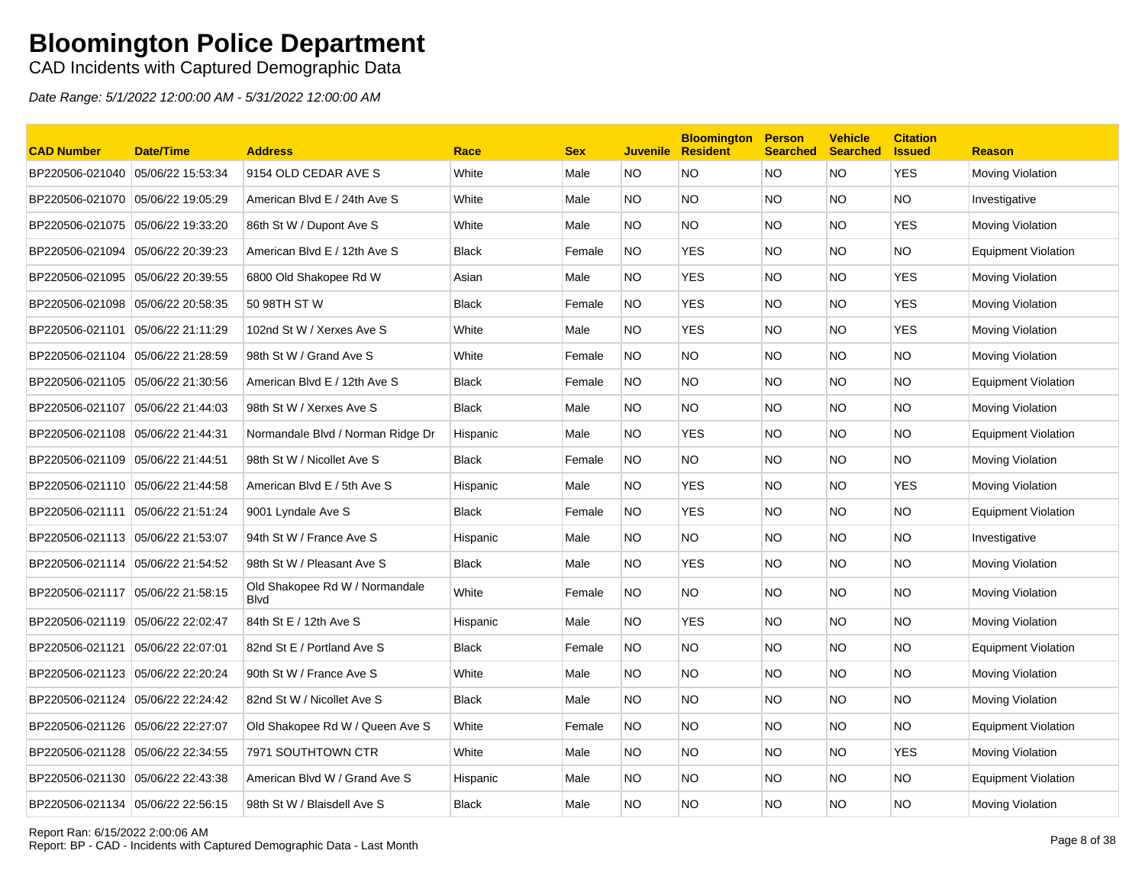CAD Incidents with Captured Demographic Data

| <b>CAD Number</b>                 | <b>Date/Time</b>  | <b>Address</b>                                 | Race         | <b>Sex</b> | <b>Juvenile</b> | <b>Bloomington</b><br><b>Resident</b> | <b>Person</b><br><b>Searched</b> | <b>Vehicle</b><br><b>Searched</b> | <b>Citation</b><br><b>Issued</b> | <b>Reason</b>              |
|-----------------------------------|-------------------|------------------------------------------------|--------------|------------|-----------------|---------------------------------------|----------------------------------|-----------------------------------|----------------------------------|----------------------------|
| BP220506-021040                   | 05/06/22 15:53:34 | 9154 OLD CEDAR AVE S                           | White        | Male       | NO.             | <b>NO</b>                             | <b>NO</b>                        | <b>NO</b>                         | <b>YES</b>                       | Moving Violation           |
| BP220506-021070 05/06/22 19:05:29 |                   | American Blvd E / 24th Ave S                   | White        | Male       | NO.             | <b>NO</b>                             | <b>NO</b>                        | NO.                               | <b>NO</b>                        | Investigative              |
| BP220506-021075 05/06/22 19:33:20 |                   | 86th St W / Dupont Ave S                       | White        | Male       | NO.             | NO.                                   | NO.                              | NO.                               | YES                              | Moving Violation           |
| BP220506-021094 05/06/22 20:39:23 |                   | American Blvd E / 12th Ave S                   | <b>Black</b> | Female     | NO.             | <b>YES</b>                            | NO.                              | NO.                               | NO.                              | <b>Equipment Violation</b> |
| BP220506-021095                   | 05/06/22 20:39:55 | 6800 Old Shakopee Rd W                         | Asian        | Male       | NO.             | <b>YES</b>                            | NO.                              | NO.                               | <b>YES</b>                       | Moving Violation           |
| BP220506-021098 05/06/22 20:58:35 |                   | 50 98TH ST W                                   | <b>Black</b> | Female     | <b>NO</b>       | <b>YES</b>                            | NO.                              | NO.                               | <b>YES</b>                       | Moving Violation           |
| BP220506-021101 05/06/22 21:11:29 |                   | 102nd St W / Xerxes Ave S                      | White        | Male       | NO.             | <b>YES</b>                            | <b>NO</b>                        | NO.                               | <b>YES</b>                       | Moving Violation           |
| BP220506-021104                   | 05/06/22 21:28:59 | 98th St W / Grand Ave S                        | White        | Female     | NO.             | <b>NO</b>                             | NO.                              | NO.                               | <b>NO</b>                        | Moving Violation           |
| BP220506-021105 05/06/22 21:30:56 |                   | American Blvd E / 12th Ave S                   | <b>Black</b> | Female     | NO.             | <b>NO</b>                             | <b>NO</b>                        | NO.                               | <b>NO</b>                        | <b>Equipment Violation</b> |
| BP220506-021107                   | 05/06/22 21:44:03 | 98th St W / Xerxes Ave S                       | <b>Black</b> | Male       | NO.             | NO.                                   | NO.                              | NO.                               | <b>NO</b>                        | Moving Violation           |
| BP220506-021108 05/06/22 21:44:31 |                   | Normandale Blvd / Norman Ridge Dr              | Hispanic     | Male       | NO.             | <b>YES</b>                            | NO.                              | NO.                               | <b>NO</b>                        | <b>Equipment Violation</b> |
| BP220506-021109 05/06/22 21:44:51 |                   | 98th St W / Nicollet Ave S                     | <b>Black</b> | Female     | <b>NO</b>       | NO.                                   | <b>NO</b>                        | NO.                               | <b>NO</b>                        | Moving Violation           |
| BP220506-021110 05/06/22 21:44:58 |                   | American Blvd E / 5th Ave S                    | Hispanic     | Male       | NO.             | YES                                   | NO.                              | NO.                               | <b>YES</b>                       | Moving Violation           |
| BP220506-021111 05/06/22 21:51:24 |                   | 9001 Lyndale Ave S                             | <b>Black</b> | Female     | NO.             | <b>YES</b>                            | <b>NO</b>                        | NO.                               | <b>NO</b>                        | <b>Equipment Violation</b> |
| BP220506-021113 05/06/22 21:53:07 |                   | 94th St W / France Ave S                       | Hispanic     | Male       | NO.             | NO.                                   | <b>NO</b>                        | NO.                               | <b>NO</b>                        | Investigative              |
| BP220506-021114 05/06/22 21:54:52 |                   | 98th St W / Pleasant Ave S                     | <b>Black</b> | Male       | NO.             | <b>YES</b>                            | NO.                              | NO.                               | <b>NO</b>                        | <b>Moving Violation</b>    |
| BP220506-021117 05/06/22 21:58:15 |                   | Old Shakopee Rd W / Normandale<br><b>B</b> lvd | White        | Female     | <b>NO</b>       | NO.                                   | NO.                              | NO.                               | <b>NO</b>                        | Moving Violation           |
| BP220506-021119 05/06/22 22:02:47 |                   | 84th St E / 12th Ave S                         | Hispanic     | Male       | NO.             | <b>YES</b>                            | <b>NO</b>                        | NO.                               | <b>NO</b>                        | Moving Violation           |
| BP220506-021121                   | 05/06/22 22:07:01 | 82nd St E / Portland Ave S                     | <b>Black</b> | Female     | <b>NO</b>       | <b>NO</b>                             | <b>NO</b>                        | NO.                               | <b>NO</b>                        | <b>Equipment Violation</b> |
| BP220506-021123 05/06/22 22:20:24 |                   | 90th St W / France Ave S                       | White        | Male       | NO.             | NO.                                   | NO.                              | NO.                               | <b>NO</b>                        | Moving Violation           |
| BP220506-021124 05/06/22 22:24:42 |                   | 82nd St W / Nicollet Ave S                     | <b>Black</b> | Male       | NO.             | NO.                                   | <b>NO</b>                        | NO.                               | <b>NO</b>                        | Moving Violation           |
| BP220506-021126 05/06/22 22:27:07 |                   | Old Shakopee Rd W / Queen Ave S                | White        | Female     | NO.             | NO                                    | NO.                              | NO.                               | <b>NO</b>                        | <b>Equipment Violation</b> |
| BP220506-021128 05/06/22 22:34:55 |                   | 7971 SOUTHTOWN CTR                             | White        | Male       | NO.             | <b>NO</b>                             | <b>NO</b>                        | NO.                               | <b>YES</b>                       | Moving Violation           |
|                                   |                   | American Blvd W / Grand Ave S                  | Hispanic     | Male       | NO.             | <b>NO</b>                             | NO.                              | NO.                               | <b>NO</b>                        | Equipment Violation        |
| BP220506-021134 05/06/22 22:56:15 |                   | 98th St W / Blaisdell Ave S                    | <b>Black</b> | Male       | NO.             | <b>NO</b>                             | NO.                              | NO.                               | <b>NO</b>                        | Moving Violation           |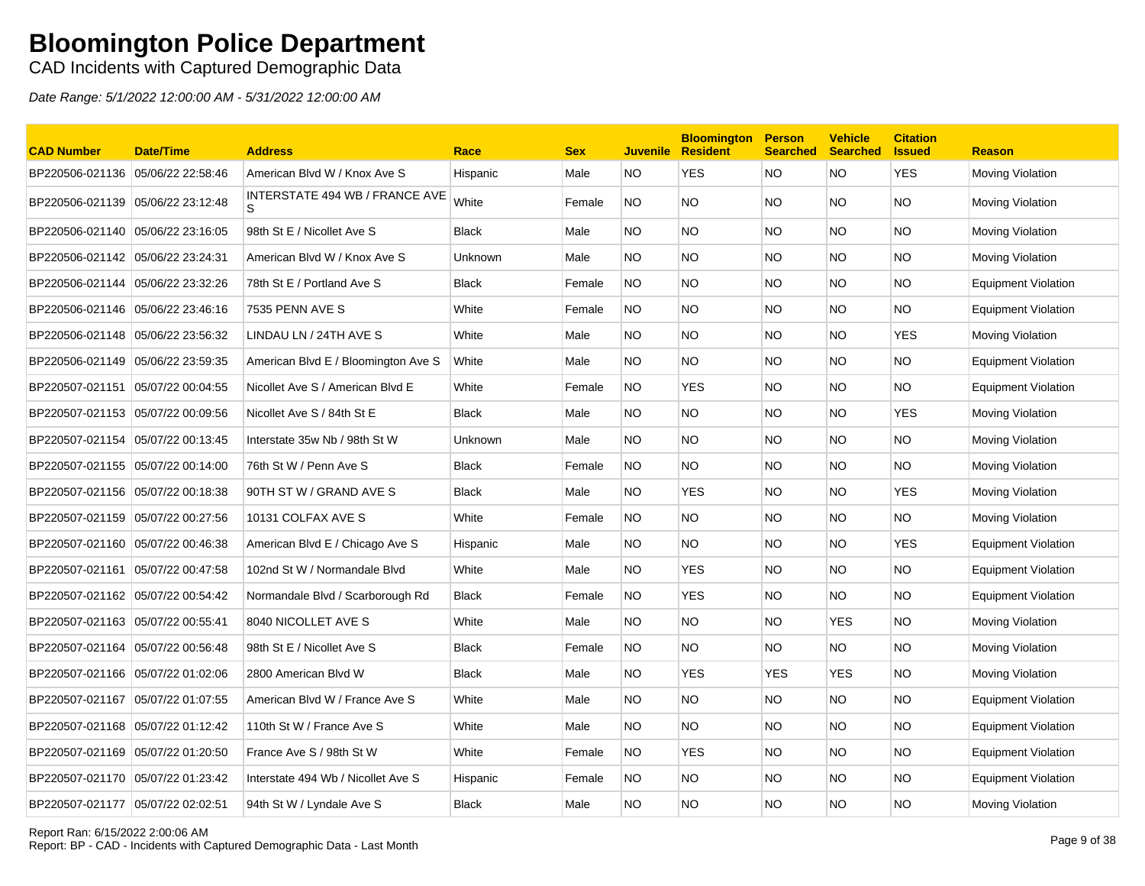CAD Incidents with Captured Demographic Data

| <b>CAD Number</b>                 | <b>Date/Time</b>  | <b>Address</b>                      | Race           | <b>Sex</b> | <b>Juvenile</b> | <b>Bloomington</b><br><b>Resident</b> | <b>Person</b><br><b>Searched</b> | <b>Vehicle</b><br><b>Searched</b> | <b>Citation</b><br><b>Issued</b> | <b>Reason</b>              |
|-----------------------------------|-------------------|-------------------------------------|----------------|------------|-----------------|---------------------------------------|----------------------------------|-----------------------------------|----------------------------------|----------------------------|
| BP220506-021136 05/06/22 22:58:46 |                   | American Blvd W / Knox Ave S        | Hispanic       | Male       | <b>NO</b>       | <b>YES</b>                            | <b>NO</b>                        | <b>NO</b>                         | <b>YES</b>                       | <b>Moving Violation</b>    |
| BP220506-021139 05/06/22 23:12:48 |                   | INTERSTATE 494 WB / FRANCE AVE      | White          | Female     | <b>NO</b>       | NO.                                   | NO.                              | NO.                               | <b>NO</b>                        | Moving Violation           |
| BP220506-021140 05/06/22 23:16:05 |                   | 98th St E / Nicollet Ave S          | <b>Black</b>   | Male       | NO.             | <b>NO</b>                             | NO.                              | NO.                               | <b>NO</b>                        | Moving Violation           |
| BP220506-021142 05/06/22 23:24:31 |                   | American Blvd W / Knox Ave S        | <b>Unknown</b> | Male       | NO.             | <b>NO</b>                             | NO                               | NO.                               | <b>NO</b>                        | Moving Violation           |
| BP220506-021144 05/06/22 23:32:26 |                   | 78th St E / Portland Ave S          | <b>Black</b>   | Female     | NO.             | NO.                                   | <b>NO</b>                        | NO.                               | <b>NO</b>                        | <b>Equipment Violation</b> |
|                                   |                   | 7535 PENN AVE S                     | White          | Female     | NO.             | <b>NO</b>                             | <b>NO</b>                        | NO.                               | <b>NO</b>                        | <b>Equipment Violation</b> |
| BP220506-021148 05/06/22 23:56:32 |                   | LINDAU LN / 24TH AVE S              | White          | Male       | NO.             | <b>NO</b>                             | <b>NO</b>                        | NO.                               | YES                              | Moving Violation           |
|                                   |                   | American Blvd E / Bloomington Ave S | White          | Male       | NO.             | NO.                                   | NO.                              | NO.                               | <b>NO</b>                        | Equipment Violation        |
| BP220507-021151                   | 05/07/22 00:04:55 | Nicollet Ave S / American Blvd E    | White          | Female     | NO.             | <b>YES</b>                            | NO.                              | NO.                               | <b>NO</b>                        | <b>Equipment Violation</b> |
| BP220507-021153 05/07/22 00:09:56 |                   | Nicollet Ave S / 84th St E          | <b>Black</b>   | Male       | NO.             | <b>NO</b>                             | NO.                              | NO.                               | <b>YES</b>                       | Moving Violation           |
| BP220507-021154 05/07/22 00:13:45 |                   | Interstate 35w Nb / 98th St W       | Unknown        | Male       | NO.             | <b>NO</b>                             | <b>NO</b>                        | NO.                               | <b>NO</b>                        | Moving Violation           |
| BP220507-021155 05/07/22 00:14:00 |                   | 76th St W / Penn Ave S              | <b>Black</b>   | Female     | NO.             | NO.                                   | NO.                              | NO.                               | <b>NO</b>                        | <b>Moving Violation</b>    |
| BP220507-021156 05/07/22 00:18:38 |                   | 90TH ST W / GRAND AVE S             | <b>Black</b>   | Male       | NO.             | <b>YES</b>                            | <b>NO</b>                        | NO.                               | <b>YES</b>                       | Moving Violation           |
| BP220507-021159 05/07/22 00:27:56 |                   | 10131 COLFAX AVE S                  | White          | Female     | NO.             | NO.                                   | NO.                              | NO.                               | <b>NO</b>                        | <b>Moving Violation</b>    |
| BP220507-021160 05/07/22 00:46:38 |                   | American Blvd E / Chicago Ave S     | Hispanic       | Male       | NO.             | NO.                                   | NO.                              | NO.                               | <b>YES</b>                       | <b>Equipment Violation</b> |
| BP220507-021161                   | 05/07/22 00:47:58 | 102nd St W / Normandale Blvd        | White          | Male       | NO.             | <b>YES</b>                            | NO.                              | NO.                               | <b>NO</b>                        | Equipment Violation        |
| BP220507-021162 05/07/22 00:54:42 |                   | Normandale Blvd / Scarborough Rd    | <b>Black</b>   | Female     | NO.             | <b>YES</b>                            | NO.                              | NO.                               | <b>NO</b>                        | <b>Equipment Violation</b> |
|                                   |                   | 8040 NICOLLET AVE S                 | White          | Male       | NO.             | NO.                                   | NO.                              | <b>YES</b>                        | <b>NO</b>                        | <b>Moving Violation</b>    |
| BP220507-021164                   | 05/07/22 00:56:48 | 98th St E / Nicollet Ave S          | <b>Black</b>   | Female     | <b>NO</b>       | NO.                                   | <b>NO</b>                        | NO.                               | <b>NO</b>                        | Moving Violation           |
| BP220507-021166 05/07/22 01:02:06 |                   | 2800 American Blvd W                | <b>Black</b>   | Male       | NO.             | <b>YES</b>                            | <b>YES</b>                       | <b>YES</b>                        | <b>NO</b>                        | Moving Violation           |
| BP220507-021167 05/07/22 01:07:55 |                   | American Blvd W / France Ave S      | White          | Male       | NO.             | NO.                                   | <b>NO</b>                        | NO.                               | <b>NO</b>                        | <b>Equipment Violation</b> |
|                                   |                   | 110th St W / France Ave S           | White          | Male       | NO.             | NO.                                   | NO.                              | NO.                               | <b>NO</b>                        | <b>Equipment Violation</b> |
| BP220507-021169 05/07/22 01:20:50 |                   | France Ave S / 98th St W            | White          | Female     | <b>NO</b>       | <b>YES</b>                            | <b>NO</b>                        | NO.                               | <b>NO</b>                        | <b>Equipment Violation</b> |
|                                   |                   | Interstate 494 Wb / Nicollet Ave S  | Hispanic       | Female     | NO.             | NO.                                   | NO.                              | NO.                               | <b>NO</b>                        | Equipment Violation        |
| BP220507-021177 05/07/22 02:02:51 |                   | 94th St W / Lyndale Ave S           | <b>Black</b>   | Male       | NO.             | <b>NO</b>                             | NO.                              | NO.                               | <b>NO</b>                        | Moving Violation           |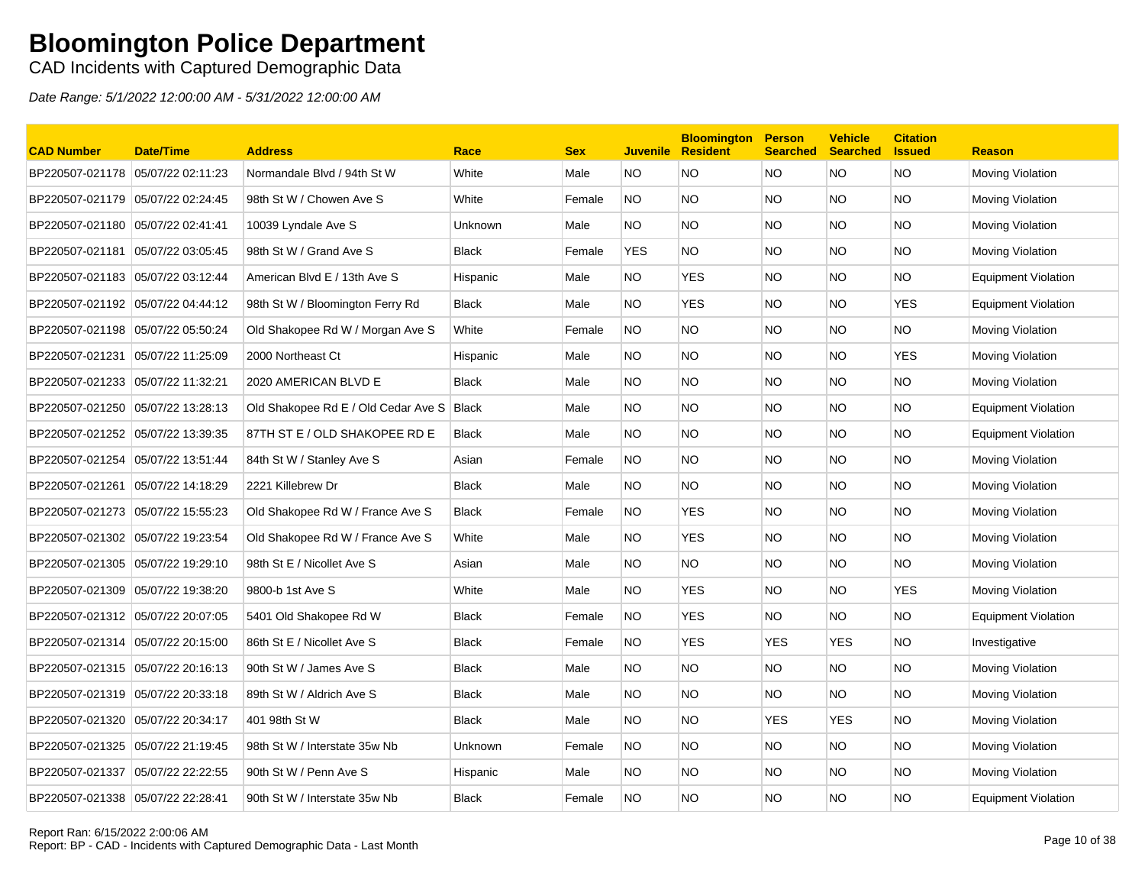### CAD Incidents with Captured Demographic Data

| <b>CAD Number</b>                 | Date/Time         | <b>Address</b>                      | Race           | <b>Sex</b> | <b>Juvenile</b> | <b>Bloomington</b><br><b>Resident</b> | <b>Person</b><br><b>Searched</b> | <b>Vehicle</b><br><b>Searched</b> | <b>Citation</b><br><b>Issued</b> | <b>Reason</b>              |
|-----------------------------------|-------------------|-------------------------------------|----------------|------------|-----------------|---------------------------------------|----------------------------------|-----------------------------------|----------------------------------|----------------------------|
| BP220507-021178 05/07/22 02:11:23 |                   | Normandale Blvd / 94th St W         | White          | Male       | NO.             | <b>NO</b>                             | <b>NO</b>                        | <b>NO</b>                         | <b>NO</b>                        | Moving Violation           |
| BP220507-021179                   | 05/07/22 02:24:45 | 98th St W / Chowen Ave S            | White          | Female     | <b>NO</b>       | <b>NO</b>                             | <b>NO</b>                        | NO.                               | <b>NO</b>                        | Moving Violation           |
| BP220507-021180                   | 05/07/22 02:41:41 | 10039 Lyndale Ave S                 | <b>Unknown</b> | Male       | NO.             | <b>NO</b>                             | <b>NO</b>                        | NO.                               | <b>NO</b>                        | Moving Violation           |
| BP220507-021181                   | 05/07/22 03:05:45 | 98th St W / Grand Ave S             | <b>Black</b>   | Female     | <b>YES</b>      | NO.                                   | <b>NO</b>                        | NO.                               | <b>NO</b>                        | Moving Violation           |
| BP220507-021183 05/07/22 03:12:44 |                   | American Blvd E / 13th Ave S        | Hispanic       | Male       | NO.             | <b>YES</b>                            | <b>NO</b>                        | NO.                               | NO.                              | <b>Equipment Violation</b> |
| BP220507-021192 05/07/22 04:44:12 |                   | 98th St W / Bloomington Ferry Rd    | <b>Black</b>   | Male       | NO.             | <b>YES</b>                            | <b>NO</b>                        | NO.                               | <b>YES</b>                       | <b>Equipment Violation</b> |
| BP220507-021198 05/07/22 05:50:24 |                   | Old Shakopee Rd W / Morgan Ave S    | White          | Female     | <b>NO</b>       | <b>NO</b>                             | <b>NO</b>                        | NO.                               | <b>NO</b>                        | Moving Violation           |
| BP220507-021231 05/07/22 11:25:09 |                   | 2000 Northeast Ct                   | Hispanic       | Male       | NO.             | <b>NO</b>                             | <b>NO</b>                        | NO.                               | <b>YES</b>                       | Moving Violation           |
| BP220507-021233 05/07/22 11:32:21 |                   | 2020 AMERICAN BLVD E                | <b>Black</b>   | Male       | NO.             | <b>NO</b>                             | <b>NO</b>                        | NO.                               | <b>NO</b>                        | Moving Violation           |
| BP220507-021250 05/07/22 13:28:13 |                   | Old Shakopee Rd E / Old Cedar Ave S | <b>Black</b>   | Male       | NO.             | <b>NO</b>                             | <b>NO</b>                        | NO.                               | <b>NO</b>                        | <b>Equipment Violation</b> |
| BP220507-021252 05/07/22 13:39:35 |                   | 87TH ST E / OLD SHAKOPEE RD E       | <b>Black</b>   | Male       | NO.             | <b>NO</b>                             | <b>NO</b>                        | NO.                               | <b>NO</b>                        | <b>Equipment Violation</b> |
| BP220507-021254                   | 05/07/22 13:51:44 | 84th St W / Stanley Ave S           | Asian          | Female     | NO.             | NO.                                   | <b>NO</b>                        | NO.                               | <b>NO</b>                        | Moving Violation           |
| BP220507-021261                   | 05/07/22 14:18:29 | 2221 Killebrew Dr                   | <b>Black</b>   | Male       | NO.             | NO.                                   | <b>NO</b>                        | NO.                               | NO.                              | Moving Violation           |
| BP220507-021273                   | 05/07/22 15:55:23 | Old Shakopee Rd W / France Ave S    | <b>Black</b>   | Female     | NO.             | <b>YES</b>                            | <b>NO</b>                        | NO.                               | <b>NO</b>                        | Moving Violation           |
| BP220507-021302 05/07/22 19:23:54 |                   | Old Shakopee Rd W / France Ave S    | White          | Male       | NO.             | YES                                   | <b>NO</b>                        | NO.                               | <b>NO</b>                        | Moving Violation           |
| BP220507-021305 05/07/22 19:29:10 |                   | 98th St E / Nicollet Ave S          | Asian          | Male       | NO.             | <b>NO</b>                             | <b>NO</b>                        | NO.                               | <b>NO</b>                        | Moving Violation           |
| BP220507-021309                   | 05/07/22 19:38:20 | 9800-b 1st Ave S                    | White          | Male       | NO.             | <b>YES</b>                            | <b>NO</b>                        | NO.                               | <b>YES</b>                       | Moving Violation           |
| BP220507-021312 05/07/22 20:07:05 |                   | 5401 Old Shakopee Rd W              | <b>Black</b>   | Female     | NO.             | <b>YES</b>                            | <b>NO</b>                        | NO.                               | <b>NO</b>                        | <b>Equipment Violation</b> |
| BP220507-021314 05/07/22 20:15:00 |                   | 86th St E / Nicollet Ave S          | <b>Black</b>   | Female     | NO.             | <b>YES</b>                            | <b>YES</b>                       | <b>YES</b>                        | NO.                              | Investigative              |
| BP220507-021315 05/07/22 20:16:13 |                   | 90th St W / James Ave S             | <b>Black</b>   | Male       | NO.             | NO.                                   | <b>NO</b>                        | NO.                               | NO.                              | Moving Violation           |
| BP220507-021319 05/07/22 20:33:18 |                   | 89th St W / Aldrich Ave S           | <b>Black</b>   | Male       | NO.             | <b>NO</b>                             | <b>NO</b>                        | NO.                               | <b>NO</b>                        | Moving Violation           |
|                                   |                   | 401 98th St W                       | <b>Black</b>   | Male       | NO.             | <b>NO</b>                             | <b>YES</b>                       | <b>YES</b>                        | <b>NO</b>                        | Moving Violation           |
| BP220507-021325 05/07/22 21:19:45 |                   | 98th St W / Interstate 35w Nb       | <b>Unknown</b> | Female     | NO.             | NO.                                   | NO.                              | NO.                               | <b>NO</b>                        | Moving Violation           |
| BP220507-021337                   | 05/07/22 22:22:55 | 90th St W / Penn Ave S              | Hispanic       | Male       | NO.             | NO                                    | <b>NO</b>                        | NO.                               | <b>NO</b>                        | Moving Violation           |
| BP220507-021338 05/07/22 22:28:41 |                   | 90th St W / Interstate 35w Nb       | <b>Black</b>   | Female     | <b>NO</b>       | NO                                    | <b>NO</b>                        | NO.                               | <b>NO</b>                        | <b>Equipment Violation</b> |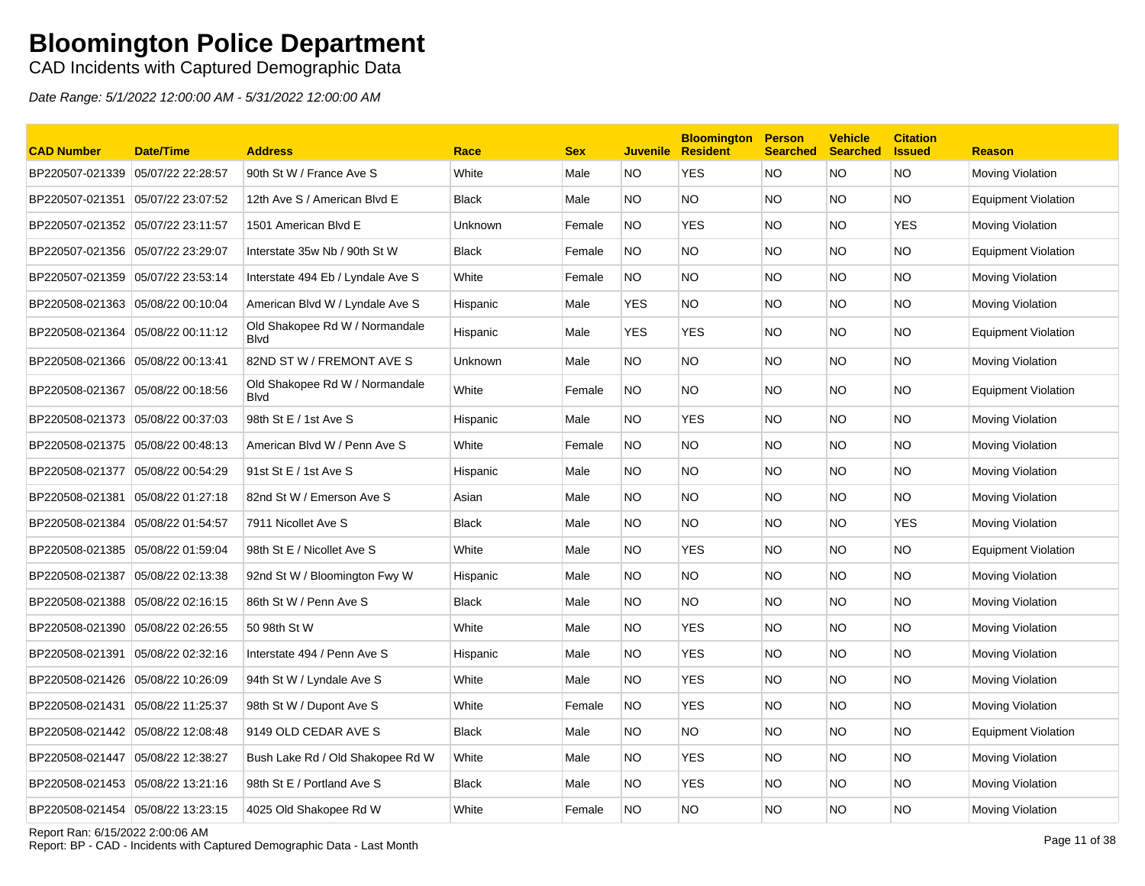CAD Incidents with Captured Demographic Data

Date Range: 5/1/2022 12:00:00 AM - 5/31/2022 12:00:00 AM

| <b>CAD Number</b>                 | <b>Date/Time</b>  | <b>Address</b>                                | Race         | <b>Sex</b> | <b>Juvenile</b> | <b>Bloomington</b><br><b>Resident</b> | <b>Person</b><br><b>Searched</b> | <b>Vehicle</b><br><b>Searched</b> | <b>Citation</b><br><b>Issued</b> | <b>Reason</b>              |
|-----------------------------------|-------------------|-----------------------------------------------|--------------|------------|-----------------|---------------------------------------|----------------------------------|-----------------------------------|----------------------------------|----------------------------|
| BP220507-021339                   | 05/07/22 22:28:57 | 90th St W / France Ave S                      | White        | Male       | NO.             | <b>YES</b>                            | NO                               | NO.                               | <b>NO</b>                        | Moving Violation           |
| BP220507-021351                   | 05/07/22 23:07:52 | 12th Ave S / American Blvd E                  | <b>Black</b> | Male       | NO.             | NO                                    | <b>NO</b>                        | NO.                               | <b>NO</b>                        | <b>Equipment Violation</b> |
| BP220507-021352 05/07/22 23:11:57 |                   | 1501 American Blvd E                          | Unknown      | Female     | NO.             | <b>YES</b>                            | NO.                              | NO.                               | YES                              | Moving Violation           |
| BP220507-021356 05/07/22 23:29:07 |                   | Interstate 35w Nb / 90th St W                 | <b>Black</b> | Female     | NO.             | NO                                    | NO.                              | NO.                               | <b>NO</b>                        | <b>Equipment Violation</b> |
| BP220507-021359 05/07/22 23:53:14 |                   | Interstate 494 Eb / Lyndale Ave S             | White        | Female     | NO.             | <b>NO</b>                             | NO.                              | NO.                               | <b>NO</b>                        | Moving Violation           |
| BP220508-021363 05/08/22 00:10:04 |                   | American Blvd W / Lyndale Ave S               | Hispanic     | Male       | <b>YES</b>      | NO.                                   | NO.                              | NO.                               | <b>NO</b>                        | <b>Moving Violation</b>    |
| BP220508-021364 05/08/22 00:11:12 |                   | Old Shakopee Rd W / Normandale<br><b>Blvd</b> | Hispanic     | Male       | <b>YES</b>      | <b>YES</b>                            | NO.                              | NO.                               | <b>NO</b>                        | Equipment Violation        |
| BP220508-021366 05/08/22 00:13:41 |                   | 82ND ST W / FREMONT AVE S                     | Unknown      | Male       | NO.             | <b>NO</b>                             | NO.                              | NO.                               | <b>NO</b>                        | Moving Violation           |
| BP220508-021367                   | 05/08/22 00:18:56 | Old Shakopee Rd W / Normandale<br><b>Blvd</b> | White        | Female     | <b>NO</b>       | <b>NO</b>                             | NO.                              | NO.                               | <b>NO</b>                        | <b>Equipment Violation</b> |
| BP220508-021373 05/08/22 00:37:03 |                   | 98th St E / 1st Ave S                         | Hispanic     | Male       | NO.             | <b>YES</b>                            | NO.                              | NO.                               | <b>NO</b>                        | Moving Violation           |
| BP220508-021375 05/08/22 00:48:13 |                   | American Blvd W / Penn Ave S                  | White        | Female     | <b>NO</b>       | <b>NO</b>                             | <b>NO</b>                        | NO.                               | <b>NO</b>                        | Moving Violation           |
| BP220508-021377 05/08/22 00:54:29 |                   | 91st St E / 1st Ave S                         | Hispanic     | Male       | NO.             | <b>NO</b>                             | NO.                              | NO.                               | <b>NO</b>                        | Moving Violation           |
| BP220508-021381                   | 05/08/22 01:27:18 | 82nd St W / Emerson Ave S                     | Asian        | Male       | NO.             | <b>NO</b>                             | NO.                              | NO.                               | <b>NO</b>                        | Moving Violation           |
| BP220508-021384                   | 05/08/22 01:54:57 | 7911 Nicollet Ave S                           | <b>Black</b> | Male       | NO.             | <b>NO</b>                             | <b>NO</b>                        | NO.                               | <b>YES</b>                       | Moving Violation           |
| BP220508-021385 05/08/22 01:59:04 |                   | 98th St E / Nicollet Ave S                    | White        | Male       | NO.             | <b>YES</b>                            | <b>NO</b>                        | NO.                               | <b>NO</b>                        | <b>Equipment Violation</b> |
| BP220508-021387                   | 05/08/22 02:13:38 | 92nd St W / Bloomington Fwy W                 | Hispanic     | Male       | NO.             | <b>NO</b>                             | <b>NO</b>                        | NO.                               | <b>NO</b>                        | Moving Violation           |
|                                   |                   | 86th St W / Penn Ave S                        | <b>Black</b> | Male       | NO.             | NO                                    | NO.                              | NO.                               | <b>NO</b>                        | <b>Moving Violation</b>    |
| BP220508-021390                   | 05/08/22 02:26:55 | 50 98th St W                                  | White        | Male       | NO.             | <b>YES</b>                            | NO.                              | NO.                               | <b>NO</b>                        | Moving Violation           |
| BP220508-021391                   | 05/08/22 02:32:16 | Interstate 494 / Penn Ave S                   | Hispanic     | Male       | NO.             | <b>YES</b>                            | NO.                              | NO.                               | <b>NO</b>                        | Moving Violation           |
| BP220508-021426 05/08/22 10:26:09 |                   | 94th St W / Lyndale Ave S                     | White        | Male       | NO.             | <b>YES</b>                            | NO.                              | NO.                               | <b>NO</b>                        | Moving Violation           |
| BP220508-021431                   | 05/08/22 11:25:37 | 98th St W / Dupont Ave S                      | White        | Female     | NO.             | <b>YES</b>                            | NO.                              | NO.                               | <b>NO</b>                        | Moving Violation           |
| BP220508-021442 05/08/22 12:08:48 |                   | 9149 OLD CEDAR AVE S                          | <b>Black</b> | Male       | NO.             | <b>NO</b>                             | NO.                              | NO.                               | <b>NO</b>                        | <b>Equipment Violation</b> |
| BP220508-021447                   | 05/08/22 12:38:27 | Bush Lake Rd / Old Shakopee Rd W              | White        | Male       | NO.             | <b>YES</b>                            | <b>NO</b>                        | NO.                               | <b>NO</b>                        | Moving Violation           |
| BP220508-021453 05/08/22 13:21:16 |                   | 98th St E / Portland Ave S                    | <b>Black</b> | Male       | NO.             | <b>YES</b>                            | <b>NO</b>                        | NO.                               | <b>NO</b>                        | Moving Violation           |
| BP220508-021454 05/08/22 13:23:15 |                   | 4025 Old Shakopee Rd W                        | White        | Female     | <b>NO</b>       | NO.                                   | <b>NO</b>                        | NO.                               | <b>NO</b>                        | <b>Moving Violation</b>    |

Report Ran: 6/15/2022 2:00:06 AM

Report: BP - CAD - Incidents with Captured Demographic Data - Last Month Page 11 of 38<br>Report: BP - CAD - Incidents with Captured Demographic Data - Last Month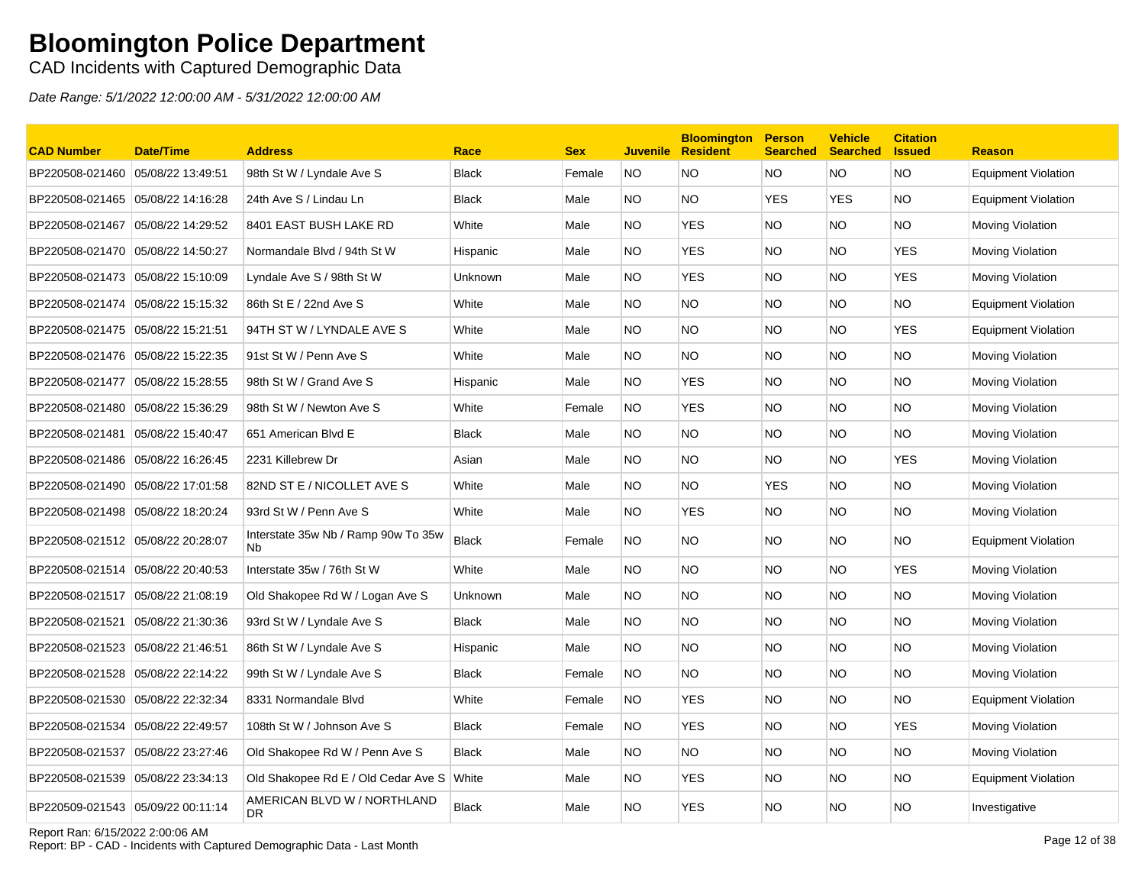CAD Incidents with Captured Demographic Data

| <b>CAD Number</b>                 | <b>Date/Time</b>  | <b>Address</b>                            | Race           | <b>Sex</b> | <b>Juvenile</b> | <b>Bloomington</b><br><b>Resident</b> | <b>Person</b><br><b>Searched</b> | <b>Vehicle</b><br><b>Searched</b> | <b>Citation</b><br><b>Issued</b> | <b>Reason</b>              |
|-----------------------------------|-------------------|-------------------------------------------|----------------|------------|-----------------|---------------------------------------|----------------------------------|-----------------------------------|----------------------------------|----------------------------|
| BP220508-021460                   | 05/08/22 13:49:51 | 98th St W / Lyndale Ave S                 | <b>Black</b>   | Female     | <b>NO</b>       | <b>NO</b>                             | <b>NO</b>                        | NO.                               | <b>NO</b>                        | <b>Equipment Violation</b> |
| BP220508-021465 05/08/22 14:16:28 |                   | 24th Ave S / Lindau Ln                    | <b>Black</b>   | Male       | NO.             | NO.                                   | <b>YES</b>                       | <b>YES</b>                        | <b>NO</b>                        | <b>Equipment Violation</b> |
| BP220508-021467                   | 05/08/22 14:29:52 | 8401 EAST BUSH LAKE RD                    | White          | Male       | NO.             | <b>YES</b>                            | <b>NO</b>                        | NO.                               | <b>NO</b>                        | <b>Moving Violation</b>    |
| BP220508-021470 05/08/22 14:50:27 |                   | Normandale Blvd / 94th St W               | Hispanic       | Male       | NO.             | <b>YES</b>                            | <b>NO</b>                        | NO.                               | <b>YES</b>                       | <b>Moving Violation</b>    |
| BP220508-021473 05/08/22 15:10:09 |                   | Lyndale Ave S / 98th St W                 | <b>Unknown</b> | Male       | NO.             | <b>YES</b>                            | <b>NO</b>                        | NO.                               | <b>YES</b>                       | <b>Moving Violation</b>    |
| BP220508-021474                   | 05/08/22 15:15:32 | 86th St E / 22nd Ave S                    | White          | Male       | NO.             | <b>NO</b>                             | <b>NO</b>                        | NO.                               | <b>NO</b>                        | <b>Equipment Violation</b> |
|                                   |                   | 94TH ST W / LYNDALE AVE S                 | White          | Male       | NO.             | NO                                    | <b>NO</b>                        | NO.                               | <b>YES</b>                       | <b>Equipment Violation</b> |
|                                   |                   | 91st St W / Penn Ave S                    | White          | Male       | NO.             | NO.                                   | <b>NO</b>                        | NO.                               | <b>NO</b>                        | <b>Moving Violation</b>    |
| BP220508-021477 05/08/22 15:28:55 |                   | 98th St W / Grand Ave S                   | Hispanic       | Male       | NO.             | <b>YES</b>                            | NO.                              | NO.                               | <b>NO</b>                        | Moving Violation           |
| BP220508-021480 05/08/22 15:36:29 |                   | 98th St W / Newton Ave S                  | White          | Female     | <b>NO</b>       | <b>YES</b>                            | <b>NO</b>                        | NO.                               | <b>NO</b>                        | Moving Violation           |
| BP220508-021481 05/08/22 15:40:47 |                   | 651 American Blvd E                       | <b>Black</b>   | Male       | NO.             | NO.                                   | NO.                              | NO.                               | <b>NO</b>                        | <b>Moving Violation</b>    |
|                                   |                   | 2231 Killebrew Dr                         | Asian          | Male       | NO.             | <b>NO</b>                             | NO.                              | NO.                               | <b>YES</b>                       | Moving Violation           |
| BP220508-021490 05/08/22 17:01:58 |                   | 82ND ST E / NICOLLET AVE S                | White          | Male       | NO.             | NO.                                   | <b>YES</b>                       | NO.                               | <b>NO</b>                        | Moving Violation           |
| BP220508-021498 05/08/22 18:20:24 |                   | 93rd St W / Penn Ave S                    | White          | Male       | NO.             | <b>YES</b>                            | NO.                              | NO.                               | <b>NO</b>                        | Moving Violation           |
| BP220508-021512 05/08/22 20:28:07 |                   | Interstate 35w Nb / Ramp 90w To 35w<br>Nb | Black          | Female     | NO.             | NO.                                   | NO.                              | NO.                               | <b>NO</b>                        | <b>Equipment Violation</b> |
| BP220508-021514 05/08/22 20:40:53 |                   | Interstate 35w / 76th St W                | White          | Male       | NO.             | NO                                    | NO                               | NO.                               | <b>YES</b>                       | <b>Moving Violation</b>    |
| BP220508-021517 05/08/22 21:08:19 |                   | Old Shakopee Rd W / Logan Ave S           | Unknown        | Male       | NO.             | <b>NO</b>                             | <b>NO</b>                        | NO.                               | <b>NO</b>                        | Moving Violation           |
| BP220508-021521                   | 05/08/22 21:30:36 | 93rd St W / Lyndale Ave S                 | <b>Black</b>   | Male       | NO.             | <b>NO</b>                             | <b>NO</b>                        | NO.                               | <b>NO</b>                        | Moving Violation           |
|                                   |                   | 86th St W / Lyndale Ave S                 | Hispanic       | Male       | NO.             | <b>NO</b>                             | NO.                              | NO.                               | <b>NO</b>                        | Moving Violation           |
| BP220508-021528 05/08/22 22:14:22 |                   | 99th St W / Lyndale Ave S                 | <b>Black</b>   | Female     | NO.             | <b>NO</b>                             | NO.                              | NO.                               | <b>NO</b>                        | <b>Moving Violation</b>    |
| BP220508-021530 05/08/22 22:32:34 |                   | 8331 Normandale Blvd                      | White          | Female     | NO.             | <b>YES</b>                            | NO.                              | NO.                               | <b>NO</b>                        | <b>Equipment Violation</b> |
| BP220508-021534 05/08/22 22:49:57 |                   | 108th St W / Johnson Ave S                | <b>Black</b>   | Female     | NO.             | <b>YES</b>                            | NO.                              | NO.                               | YES                              | Moving Violation           |
| BP220508-021537                   | 05/08/22 23:27:46 | Old Shakopee Rd W / Penn Ave S            | <b>Black</b>   | Male       | NO.             | NO.                                   | NO.                              | NO.                               | <b>NO</b>                        | Moving Violation           |
| BP220508-021539 05/08/22 23:34:13 |                   | Old Shakopee Rd E / Old Cedar Ave S       | White          | Male       | NO.             | <b>YES</b>                            | NO.                              | NO.                               | <b>NO</b>                        | <b>Equipment Violation</b> |
| BP220509-021543 05/09/22 00:11:14 |                   | AMERICAN BLVD W / NORTHLAND<br>DR.        | Black          | Male       | NO.             | <b>YES</b>                            | <b>NO</b>                        | NO.                               | <b>NO</b>                        | Investigative              |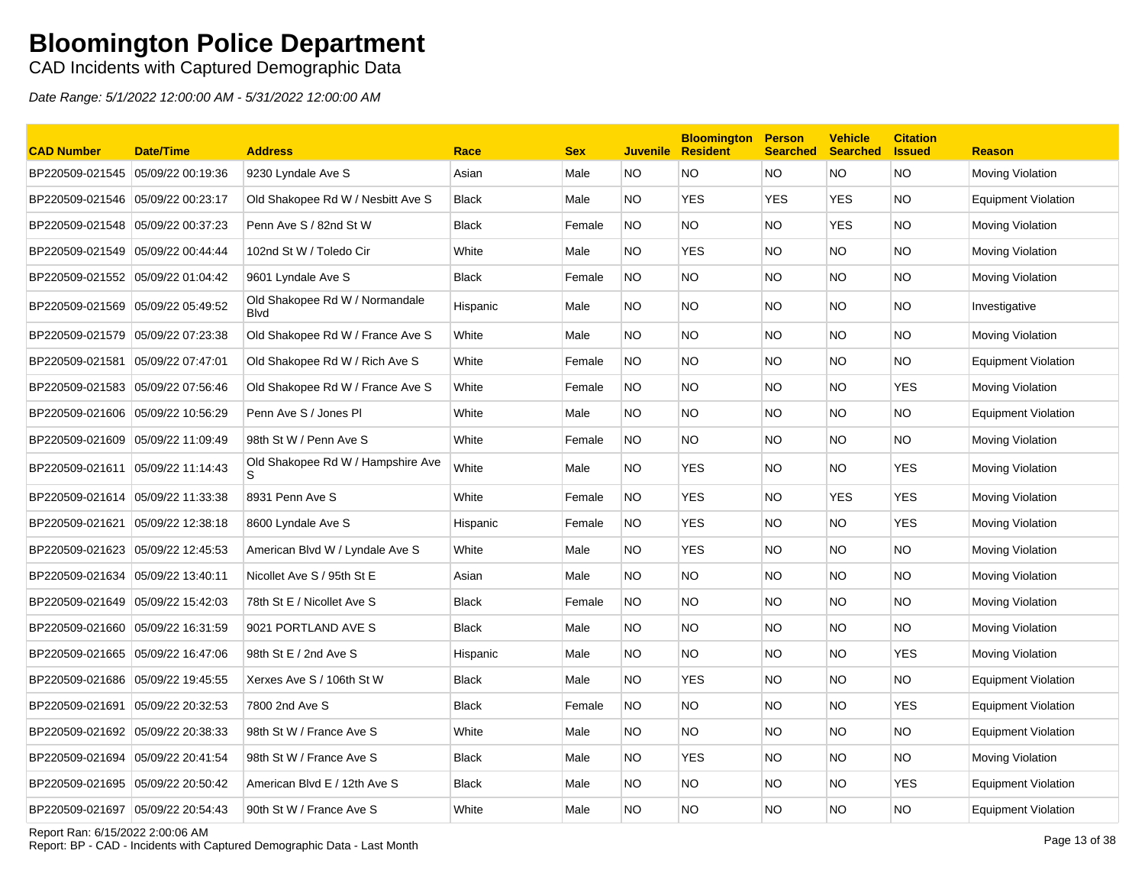CAD Incidents with Captured Demographic Data

Date Range: 5/1/2022 12:00:00 AM - 5/31/2022 12:00:00 AM

| <b>CAD Number</b>                 | <b>Date/Time</b>  | <b>Address</b>                                 | Race         | <b>Sex</b> | <b>Juvenile</b> | <b>Bloomington</b><br><b>Resident</b> | <b>Person</b><br><b>Searched</b> | <b>Vehicle</b><br><b>Searched</b> | <b>Citation</b><br><b>Issued</b> | <b>Reason</b>              |
|-----------------------------------|-------------------|------------------------------------------------|--------------|------------|-----------------|---------------------------------------|----------------------------------|-----------------------------------|----------------------------------|----------------------------|
| BP220509-021545                   | 05/09/22 00:19:36 | 9230 Lyndale Ave S                             | Asian        | Male       | NO.             | <b>NO</b>                             | NO                               | NO.                               | <b>NO</b>                        | Moving Violation           |
|                                   |                   | Old Shakopee Rd W / Nesbitt Ave S              | <b>Black</b> | Male       | NO.             | <b>YES</b>                            | <b>YES</b>                       | <b>YES</b>                        | <b>NO</b>                        | <b>Equipment Violation</b> |
| BP220509-021548 05/09/22 00:37:23 |                   | Penn Ave S / 82nd St W                         | <b>Black</b> | Female     | NO.             | NO.                                   | NO.                              | <b>YES</b>                        | <b>NO</b>                        | Moving Violation           |
| BP220509-021549 05/09/22 00:44:44 |                   | 102nd St W / Toledo Cir                        | White        | Male       | NO.             | YES                                   | NO.                              | NO.                               | <b>NO</b>                        | Moving Violation           |
| BP220509-021552 05/09/22 01:04:42 |                   | 9601 Lyndale Ave S                             | <b>Black</b> | Female     | NO.             | <b>NO</b>                             | NO.                              | NO.                               | <b>NO</b>                        | Moving Violation           |
| BP220509-021569 05/09/22 05:49:52 |                   | Old Shakopee Rd W / Normandale<br><b>B</b> lvd | Hispanic     | Male       | NO.             | <b>NO</b>                             | NO.                              | NO.                               | <b>NO</b>                        | Investigative              |
| BP220509-021579                   | 05/09/22 07:23:38 | Old Shakopee Rd W / France Ave S               | White        | Male       | NO.             | <b>NO</b>                             | NO.                              | NO.                               | <b>NO</b>                        | Moving Violation           |
| BP220509-021581                   | 05/09/22 07:47:01 | Old Shakopee Rd W / Rich Ave S                 | White        | Female     | NO.             | <b>NO</b>                             | NO.                              | NO.                               | <b>NO</b>                        | Equipment Violation        |
| BP220509-021583 05/09/22 07:56:46 |                   | Old Shakopee Rd W / France Ave S               | White        | Female     | NO.             | <b>NO</b>                             | <b>NO</b>                        | NO.                               | <b>YES</b>                       | <b>Moving Violation</b>    |
| BP220509-021606                   | 05/09/22 10:56:29 | Penn Ave S / Jones PI                          | White        | Male       | NO.             | <b>NO</b>                             | NO.                              | NO.                               | <b>NO</b>                        | <b>Equipment Violation</b> |
| BP220509-021609 05/09/22 11:09:49 |                   | 98th St W / Penn Ave S                         | White        | Female     | NO.             | NO.                                   | NO.                              | NO.                               | <b>NO</b>                        | Moving Violation           |
| BP220509-021611 05/09/22 11:14:43 |                   | Old Shakopee Rd W / Hampshire Ave              | White        | Male       | NO.             | <b>YES</b>                            | NO.                              | NO.                               | YES                              | Moving Violation           |
| BP220509-021614 05/09/22 11:33:38 |                   | 8931 Penn Ave S                                | White        | Female     | NO.             | <b>YES</b>                            | <b>NO</b>                        | <b>YES</b>                        | <b>YES</b>                       | Moving Violation           |
| BP220509-021621                   | 05/09/22 12:38:18 | 8600 Lyndale Ave S                             | Hispanic     | Female     | <b>NO</b>       | <b>YES</b>                            | <b>NO</b>                        | NO.                               | <b>YES</b>                       | Moving Violation           |
| BP220509-021623 05/09/22 12:45:53 |                   | American Blvd W / Lyndale Ave S                | White        | Male       | NO.             | <b>YES</b>                            | <b>NO</b>                        | NO.                               | <b>NO</b>                        | <b>Moving Violation</b>    |
| BP220509-021634                   | 05/09/22 13:40:11 | Nicollet Ave S / 95th St E                     | Asian        | Male       | NO.             | <b>NO</b>                             | <b>NO</b>                        | NO.                               | <b>NO</b>                        | Moving Violation           |
|                                   |                   | 78th St E / Nicollet Ave S                     | <b>Black</b> | Female     | NO.             | NO                                    | NO.                              | NO.                               | <b>NO</b>                        | <b>Moving Violation</b>    |
| BP220509-021660                   | 05/09/22 16:31:59 | 9021 PORTLAND AVE S                            | <b>Black</b> | Male       | NO.             | <b>NO</b>                             | NO.                              | NO.                               | <b>NO</b>                        | Moving Violation           |
| BP220509-021665 05/09/22 16:47:06 |                   | 98th St E / 2nd Ave S                          | Hispanic     | Male       | NO.             | NO.                                   | NO.                              | NO.                               | YES                              | Moving Violation           |
| BP220509-021686 05/09/22 19:45:55 |                   | Xerxes Ave S / 106th St W                      | <b>Black</b> | Male       | NO.             | <b>YES</b>                            | NO.                              | NO.                               | NO.                              | <b>Equipment Violation</b> |
| BP220509-021691                   | 05/09/22 20:32:53 | 7800 2nd Ave S                                 | <b>Black</b> | Female     | NO.             | <b>NO</b>                             | NO.                              | NO.                               | <b>YES</b>                       | <b>Equipment Violation</b> |
| BP220509-021692 05/09/22 20:38:33 |                   | 98th St W / France Ave S                       | White        | Male       | NO.             | <b>NO</b>                             | NO.                              | NO.                               | <b>NO</b>                        | <b>Equipment Violation</b> |
| BP220509-021694                   | 05/09/22 20:41:54 | 98th St W / France Ave S                       | <b>Black</b> | Male       | NO.             | <b>YES</b>                            | <b>NO</b>                        | NO.                               | <b>NO</b>                        | Moving Violation           |
| BP220509-021695 05/09/22 20:50:42 |                   | American Blvd E / 12th Ave S                   | <b>Black</b> | Male       | NO.             | <b>NO</b>                             | <b>NO</b>                        | NO.                               | <b>YES</b>                       | <b>Equipment Violation</b> |
| BP220509-021697 05/09/22 20:54:43 |                   | 90th St W / France Ave S                       | White        | Male       | NO.             | <b>NO</b>                             | <b>NO</b>                        | NO.                               | <b>NO</b>                        | <b>Equipment Violation</b> |

Report Ran: 6/15/2022 2:00:06 AM

Report Ran: 6/15/2022 2:00:06 AM<br>Report: BP - CAD - Incidents with Captured Demographic Data - Last Month Page 13 of 38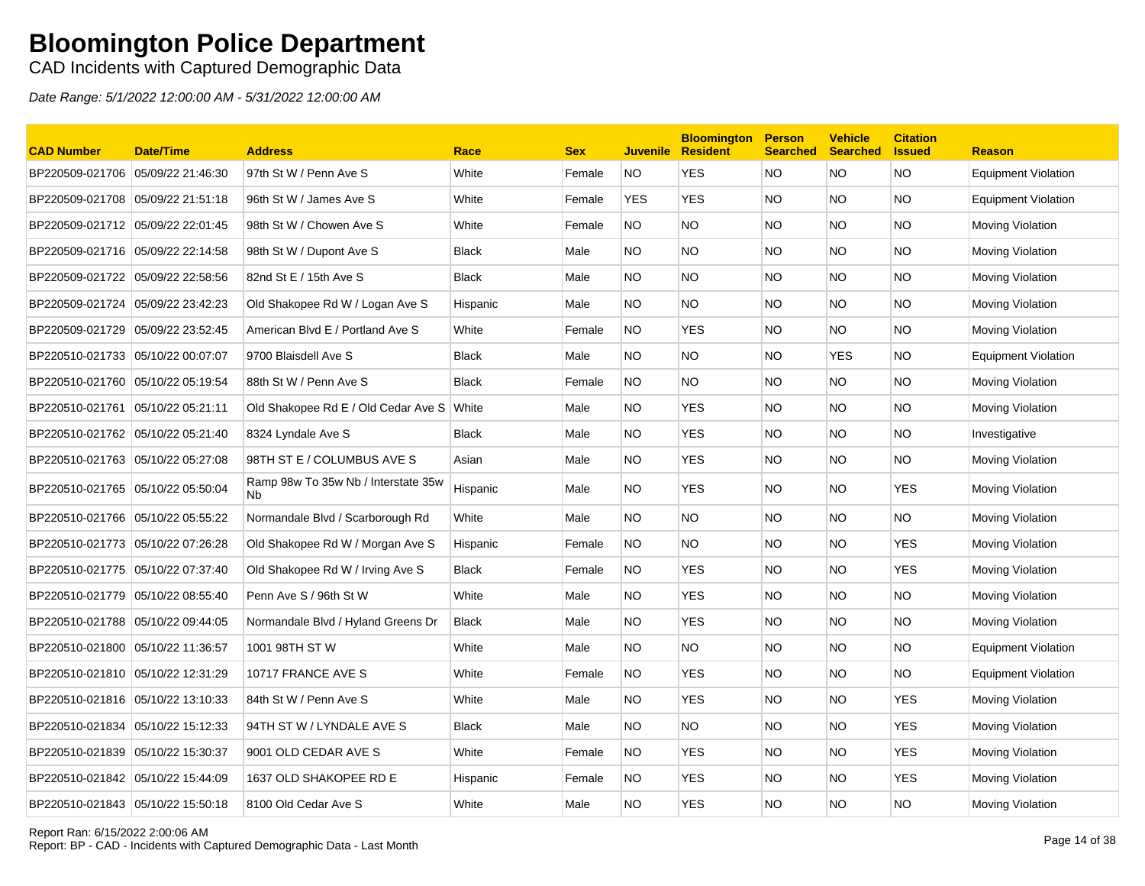CAD Incidents with Captured Demographic Data

| <b>CAD Number</b>                 | <b>Date/Time</b>  | <b>Address</b>                                              | Race         | <b>Sex</b> | <b>Juvenile</b> | <b>Bloomington</b><br><b>Resident</b> | <b>Person</b><br><b>Searched</b> | <b>Vehicle</b><br><b>Searched</b> | <b>Citation</b><br><b>Issued</b> | <b>Reason</b>              |
|-----------------------------------|-------------------|-------------------------------------------------------------|--------------|------------|-----------------|---------------------------------------|----------------------------------|-----------------------------------|----------------------------------|----------------------------|
| BP220509-021706 05/09/22 21:46:30 |                   | 97th St W / Penn Ave S                                      | White        | Female     | <b>NO</b>       | <b>YES</b>                            | <b>NO</b>                        | <b>NO</b>                         | <b>NO</b>                        | <b>Equipment Violation</b> |
| BP220509-021708 05/09/22 21:51:18 |                   | 96th St W / James Ave S                                     | White        | Female     | <b>YES</b>      | <b>YES</b>                            | <b>NO</b>                        | NO.                               | <b>NO</b>                        | <b>Equipment Violation</b> |
| BP220509-021712 05/09/22 22:01:45 |                   | 98th St W / Chowen Ave S                                    | White        | Female     | NO.             | <b>NO</b>                             | <b>NO</b>                        | NO.                               | <b>NO</b>                        | Moving Violation           |
| BP220509-021716 05/09/22 22:14:58 |                   | 98th St W / Dupont Ave S                                    | Black        | Male       | NO.             | NO.                                   | <b>NO</b>                        | NO.                               | NO.                              | Moving Violation           |
| BP220509-021722                   | 05/09/22 22:58:56 | 82nd St E / 15th Ave S                                      | <b>Black</b> | Male       | NO.             | <b>NO</b>                             | <b>NO</b>                        | NO.                               | <b>NO</b>                        | Moving Violation           |
| BP220509-021724 05/09/22 23:42:23 |                   | Old Shakopee Rd W / Logan Ave S                             | Hispanic     | Male       | NO.             | <b>NO</b>                             | <b>NO</b>                        | NO.                               | <b>NO</b>                        | Moving Violation           |
|                                   |                   | American Blvd E / Portland Ave S                            | White        | Female     | NO.             | <b>YES</b>                            | <b>NO</b>                        | NO.                               | <b>NO</b>                        | Moving Violation           |
| BP220510-021733 05/10/22 00:07:07 |                   | 9700 Blaisdell Ave S                                        | <b>Black</b> | Male       | NO.             | <b>NO</b>                             | <b>NO</b>                        | <b>YES</b>                        | <b>NO</b>                        | <b>Equipment Violation</b> |
|                                   |                   | 88th St W / Penn Ave S                                      | <b>Black</b> | Female     | NO.             | <b>NO</b>                             | <b>NO</b>                        | NO.                               | <b>NO</b>                        | Moving Violation           |
| BP220510-021761                   | 05/10/22 05:21:11 | Old Shakopee Rd E / Old Cedar Ave S                         | White        | Male       | NO.             | <b>YES</b>                            | <b>NO</b>                        | NO.                               | <b>NO</b>                        | Moving Violation           |
| BP220510-021762 05/10/22 05:21:40 |                   | 8324 Lyndale Ave S                                          | <b>Black</b> | Male       | NO.             | <b>YES</b>                            | <b>NO</b>                        | NO.                               | <b>NO</b>                        | Investigative              |
| BP220510-021763 05/10/22 05:27:08 |                   | 98TH ST E / COLUMBUS AVE S                                  | Asian        | Male       | NO.             | <b>YES</b>                            | <b>NO</b>                        | NO.                               | <b>NO</b>                        | Moving Violation           |
| BP220510-021765 05/10/22 05:50:04 |                   | Ramp 98w To 35w Nb / Interstate 35w<br><b>N<sub>b</sub></b> | Hispanic     | Male       | NO.             | <b>YES</b>                            | <b>NO</b>                        | NO.                               | <b>YES</b>                       | Moving Violation           |
| BP220510-021766 05/10/22 05:55:22 |                   | Normandale Blvd / Scarborough Rd                            | White        | Male       | NO.             | NO.                                   | <b>NO</b>                        | NO.                               | NO.                              | Moving Violation           |
| BP220510-021773 05/10/22 07:26:28 |                   | Old Shakopee Rd W / Morgan Ave S                            | Hispanic     | Female     | NO.             | NO.                                   | <b>NO</b>                        | NO.                               | <b>YES</b>                       | Moving Violation           |
|                                   |                   | Old Shakopee Rd W / Irving Ave S                            | <b>Black</b> | Female     | <b>NO</b>       | <b>YES</b>                            | <b>NO</b>                        | NO.                               | <b>YES</b>                       | Moving Violation           |
| BP220510-021779 05/10/22 08:55:40 |                   | Penn Ave S / 96th St W                                      | White        | Male       | NO.             | <b>YES</b>                            | <b>NO</b>                        | NO.                               | NO.                              | Moving Violation           |
|                                   |                   | Normandale Blvd / Hyland Greens Dr                          | <b>Black</b> | Male       | NO.             | <b>YES</b>                            | <b>NO</b>                        | NO.                               | <b>NO</b>                        | Moving Violation           |
| BP220510-021800 05/10/22 11:36:57 |                   | 1001 98TH ST W                                              | White        | Male       | NO.             | <b>NO</b>                             | <b>NO</b>                        | NO.                               | <b>NO</b>                        | <b>Equipment Violation</b> |
| BP220510-021810 05/10/22 12:31:29 |                   | 10717 FRANCE AVE S                                          | White        | Female     | NO.             | <b>YES</b>                            | <b>NO</b>                        | NO.                               | NO.                              | <b>Equipment Violation</b> |
| BP220510-021816 05/10/22 13:10:33 |                   | 84th St W / Penn Ave S                                      | White        | Male       | NO.             | <b>YES</b>                            | <b>NO</b>                        | NO.                               | <b>YES</b>                       | Moving Violation           |
| BP220510-021834 05/10/22 15:12:33 |                   | 94TH ST W / LYNDALE AVE S                                   | Black        | Male       | NO.             | NO.                                   | <b>NO</b>                        | NO.                               | YES                              | Moving Violation           |
| BP220510-021839 05/10/22 15:30:37 |                   | 9001 OLD CEDAR AVE S                                        | White        | Female     | <b>NO</b>       | <b>YES</b>                            | <b>NO</b>                        | NO.                               | <b>YES</b>                       | Moving Violation           |
|                                   |                   | 1637 OLD SHAKOPEE RD E                                      | Hispanic     | Female     | NO.             | YES                                   | <b>NO</b>                        | NO.                               | <b>YES</b>                       | Moving Violation           |
| BP220510-021843 05/10/22 15:50:18 |                   | 8100 Old Cedar Ave S                                        | White        | Male       | NO.             | <b>YES</b>                            | <b>NO</b>                        | NO.                               | <b>NO</b>                        | Moving Violation           |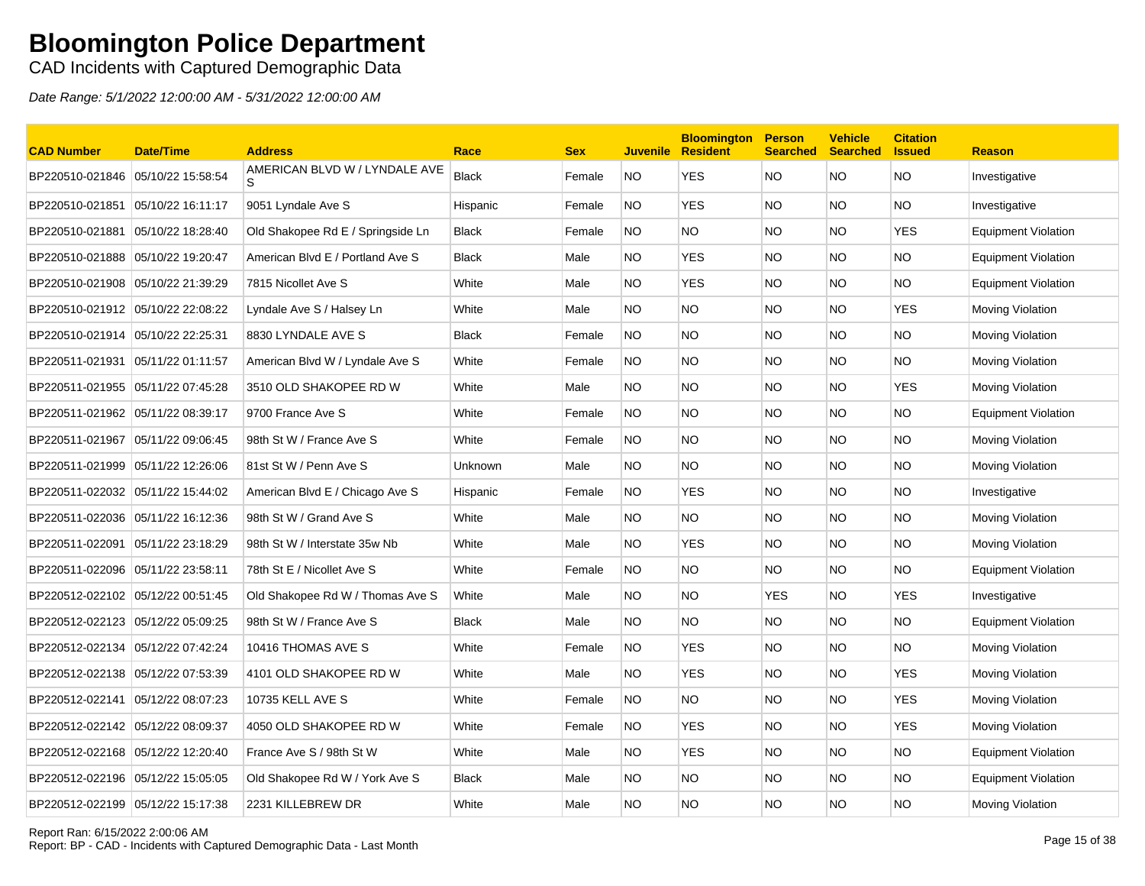CAD Incidents with Captured Demographic Data

| <b>CAD Number</b>                 | <b>Date/Time</b>  | <b>Address</b>                    | Race         | <b>Sex</b> |           | <b>Bloomington</b><br><b>Juvenile Resident</b> | <b>Person</b><br><b>Searched</b> | <b>Vehicle</b><br><b>Searched</b> | <b>Citation</b><br><b>Issued</b> | <b>Reason</b>              |
|-----------------------------------|-------------------|-----------------------------------|--------------|------------|-----------|------------------------------------------------|----------------------------------|-----------------------------------|----------------------------------|----------------------------|
| BP220510-021846 05/10/22 15:58:54 |                   | AMERICAN BLVD W / LYNDALE AVE     | <b>Black</b> | Female     | NO.       | YES                                            | NO.                              | NO.                               | <b>NO</b>                        | Investigative              |
| BP220510-021851                   | 05/10/22 16:11:17 | 9051 Lyndale Ave S                | Hispanic     | Female     | <b>NO</b> | <b>YES</b>                                     | <b>NO</b>                        | NO.                               | <b>NO</b>                        | Investigative              |
| BP220510-021881                   | 05/10/22 18:28:40 | Old Shakopee Rd E / Springside Ln | <b>Black</b> | Female     | NO.       | <b>NO</b>                                      | NO.                              | NO.                               | <b>YES</b>                       | <b>Equipment Violation</b> |
|                                   |                   | American Blvd E / Portland Ave S  | <b>Black</b> | Male       | NO.       | <b>YES</b>                                     | NO                               | NO                                | <b>NO</b>                        | Equipment Violation        |
| BP220510-021908 05/10/22 21:39:29 |                   | 7815 Nicollet Ave S               | White        | Male       | NO.       | <b>YES</b>                                     | NO.                              | NO.                               | <b>NO</b>                        | Equipment Violation        |
|                                   |                   | Lyndale Ave S / Halsey Ln         | White        | Male       | NO.       | <b>NO</b>                                      | <b>NO</b>                        | NO.                               | <b>YES</b>                       | Moving Violation           |
| BP220510-021914 05/10/22 22:25:31 |                   | 8830 LYNDALE AVE S                | <b>Black</b> | Female     | <b>NO</b> | <b>NO</b>                                      | <b>NO</b>                        | NO.                               | <b>NO</b>                        | Moving Violation           |
|                                   |                   | American Blvd W / Lyndale Ave S   | White        | Female     | NO.       | NO.                                            | NO.                              | NO.                               | NO.                              | Moving Violation           |
| BP220511-021955 05/11/22 07:45:28 |                   | 3510 OLD SHAKOPEE RD W            | White        | Male       | NO.       | <b>NO</b>                                      | NO.                              | NO.                               | <b>YES</b>                       | Moving Violation           |
| BP220511-021962 05/11/22 08:39:17 |                   | 9700 France Ave S                 | White        | Female     | NO.       | <b>NO</b>                                      | <b>NO</b>                        | <b>NO</b>                         | <b>NO</b>                        | Equipment Violation        |
| BP220511-021967 05/11/22 09:06:45 |                   | 98th St W / France Ave S          | White        | Female     | <b>NO</b> | <b>NO</b>                                      | NO.                              | NO.                               | <b>NO</b>                        | Moving Violation           |
| BP220511-021999 05/11/22 12:26:06 |                   | 81st St W / Penn Ave S            | Unknown      | Male       | NO.       | <b>NO</b>                                      | NO.                              | NO.                               | <b>NO</b>                        | Moving Violation           |
| BP220511-022032 05/11/22 15:44:02 |                   | American Blvd E / Chicago Ave S   | Hispanic     | Female     | <b>NO</b> | <b>YES</b>                                     | <b>NO</b>                        | NO.                               | <b>NO</b>                        | Investigative              |
|                                   |                   | 98th St W / Grand Ave S           | White        | Male       | NO.       | <b>NO</b>                                      | NO.                              | NO.                               | <b>NO</b>                        | Moving Violation           |
| BP220511-022091 05/11/22 23:18:29 |                   | 98th St W / Interstate 35w Nb     | White        | Male       | NO.       | <b>YES</b>                                     | NO.                              | NO.                               | <b>NO</b>                        | Moving Violation           |
| BP220511-022096                   | 05/11/22 23:58:11 | 78th St E / Nicollet Ave S        | White        | Female     | NO.       | <b>NO</b>                                      | NO.                              | NO.                               | <b>NO</b>                        | Equipment Violation        |
| BP220512-022102 05/12/22 00:51:45 |                   | Old Shakopee Rd W / Thomas Ave S  | White        | Male       | NO.       | <b>NO</b>                                      | <b>YES</b>                       | NO.                               | <b>YES</b>                       | Investigative              |
| BP220512-022123 05/12/22 05:09:25 |                   | 98th St W / France Ave S          | <b>Black</b> | Male       | NO.       | <b>NO</b>                                      | NO.                              | NO.                               | <b>NO</b>                        | <b>Equipment Violation</b> |
| BP220512-022134                   | 05/12/22 07:42:24 | 10416 THOMAS AVE S                | White        | Female     | NO.       | <b>YES</b>                                     | NO.                              | NO.                               | <b>NO</b>                        | Moving Violation           |
| BP220512-022138 05/12/22 07:53:39 |                   | 4101 OLD SHAKOPEE RD W            | White        | Male       | NO.       | <b>YES</b>                                     | NO.                              | NO.                               | <b>YES</b>                       | Moving Violation           |
| BP220512-022141 05/12/22 08:07:23 |                   | 10735 KELL AVE S                  | White        | Female     | NO.       | NO.                                            | NO.                              | NO.                               | <b>YES</b>                       | Moving Violation           |
| BP220512-022142 05/12/22 08:09:37 |                   | 4050 OLD SHAKOPEE RD W            | White        | Female     | NO.       | <b>YES</b>                                     | NO.                              | NO.                               | <b>YES</b>                       | Moving Violation           |
| BP220512-022168 05/12/22 12:20:40 |                   | France Ave S / 98th St W          | White        | Male       | NO.       | <b>YES</b>                                     | <b>NO</b>                        | NO.                               | <b>NO</b>                        | <b>Equipment Violation</b> |
|                                   |                   | Old Shakopee Rd W / York Ave S    | <b>Black</b> | Male       | NO.       | NO.                                            | NO.                              | NO.                               | <b>NO</b>                        | Equipment Violation        |
| BP220512-022199 05/12/22 15:17:38 |                   | 2231 KILLEBREW DR                 | White        | Male       | NO.       | <b>NO</b>                                      | NO.                              | NO.                               | <b>NO</b>                        | Moving Violation           |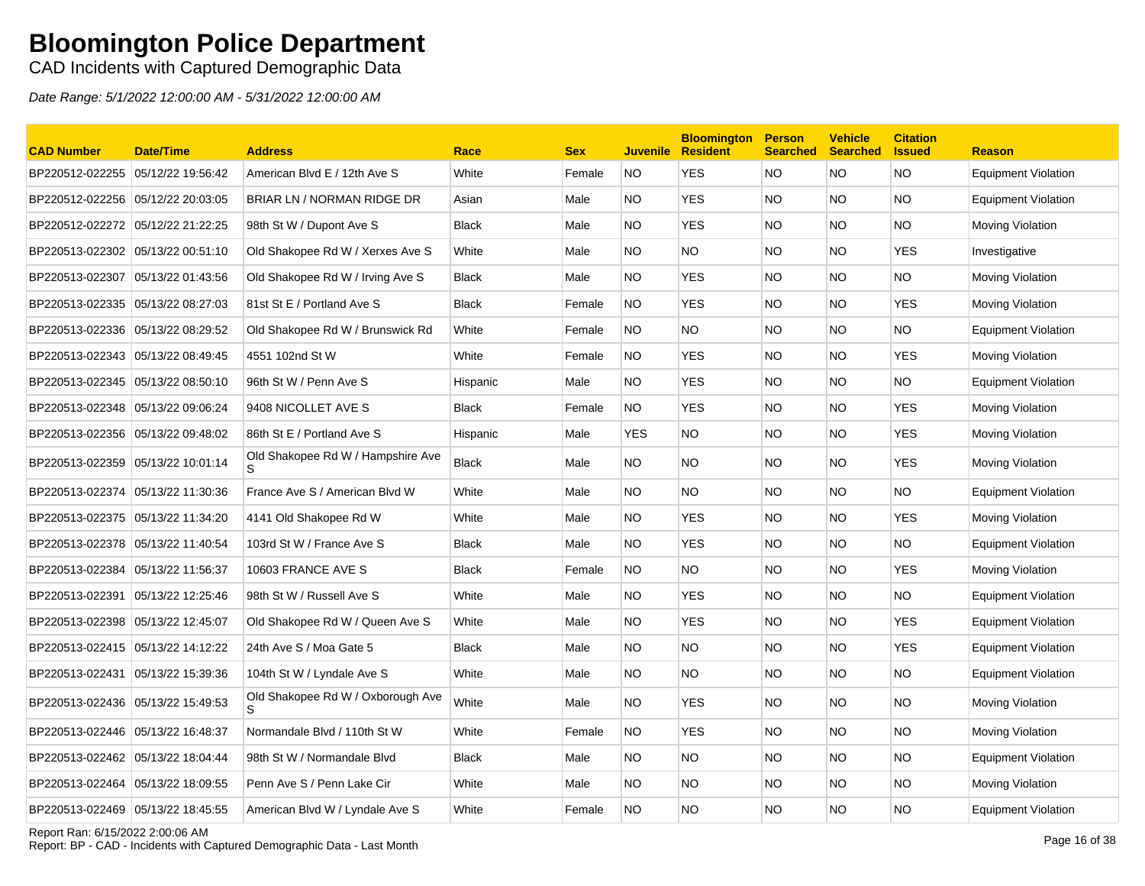CAD Incidents with Captured Demographic Data

Date Range: 5/1/2022 12:00:00 AM - 5/31/2022 12:00:00 AM

| <b>CAD Number</b>                 | <b>Date/Time</b>  | <b>Address</b>                    | Race         | <b>Sex</b> | <b>Juvenile</b> | <b>Bloomington</b><br><b>Resident</b> | <b>Person</b><br><b>Searched</b> | <b>Vehicle</b><br><b>Searched</b> | <b>Citation</b><br><b>Issued</b> | <b>Reason</b>              |
|-----------------------------------|-------------------|-----------------------------------|--------------|------------|-----------------|---------------------------------------|----------------------------------|-----------------------------------|----------------------------------|----------------------------|
| BP220512-022255                   | 05/12/22 19:56:42 | American Blvd E / 12th Ave S      | White        | Female     | <b>NO</b>       | <b>YES</b>                            | <b>NO</b>                        | NO.                               | <b>NO</b>                        | <b>Equipment Violation</b> |
| BP220512-022256 05/12/22 20:03:05 |                   | BRIAR LN / NORMAN RIDGE DR        | Asian        | Male       | NO.             | <b>YES</b>                            | NO.                              | NO.                               | <b>NO</b>                        | <b>Equipment Violation</b> |
| BP220512-022272 05/12/22 21:22:25 |                   | 98th St W / Dupont Ave S          | <b>Black</b> | Male       | NO.             | <b>YES</b>                            | <b>NO</b>                        | NO.                               | <b>NO</b>                        | <b>Moving Violation</b>    |
| BP220513-022302 05/13/22 00:51:10 |                   | Old Shakopee Rd W / Xerxes Ave S  | White        | Male       | NO.             | NO.                                   | <b>NO</b>                        | NO.                               | <b>YES</b>                       | Investigative              |
| BP220513-022307 05/13/22 01:43:56 |                   | Old Shakopee Rd W / Irving Ave S  | <b>Black</b> | Male       | NO.             | <b>YES</b>                            | <b>NO</b>                        | NO.                               | <b>NO</b>                        | <b>Moving Violation</b>    |
| BP220513-022335 05/13/22 08:27:03 |                   | 81st St E / Portland Ave S        | <b>Black</b> | Female     | <b>NO</b>       | <b>YES</b>                            | <b>NO</b>                        | NO.                               | <b>YES</b>                       | Moving Violation           |
| BP220513-022336 05/13/22 08:29:52 |                   | Old Shakopee Rd W / Brunswick Rd  | White        | Female     | <b>NO</b>       | NO                                    | <b>NO</b>                        | NO.                               | NO                               | <b>Equipment Violation</b> |
| BP220513-022343 05/13/22 08:49:45 |                   | 4551 102nd St W                   | White        | Female     | <b>NO</b>       | <b>YES</b>                            | <b>NO</b>                        | NO.                               | <b>YES</b>                       | Moving Violation           |
| BP220513-022345 05/13/22 08:50:10 |                   | 96th St W / Penn Ave S            | Hispanic     | Male       | NO.             | YES                                   | <b>NO</b>                        | NO.                               | <b>NO</b>                        | Equipment Violation        |
| BP220513-022348 05/13/22 09:06:24 |                   | 9408 NICOLLET AVE S               | <b>Black</b> | Female     | <b>NO</b>       | <b>YES</b>                            | <b>NO</b>                        | NO.                               | <b>YES</b>                       | Moving Violation           |
| BP220513-022356 05/13/22 09:48:02 |                   | 86th St E / Portland Ave S        | Hispanic     | Male       | <b>YES</b>      | NO.                                   | NO.                              | NO.                               | YES                              | <b>Moving Violation</b>    |
| BP220513-022359 05/13/22 10:01:14 |                   | Old Shakopee Rd W / Hampshire Ave | <b>Black</b> | Male       | NO.             | NO.                                   | NO.                              | NO.                               | <b>YES</b>                       | Moving Violation           |
| BP220513-022374 05/13/22 11:30:36 |                   | France Ave S / American Blvd W    | White        | Male       | NO.             | <b>NO</b>                             | <b>NO</b>                        | NO.                               | <b>NO</b>                        | <b>Equipment Violation</b> |
| BP220513-022375 05/13/22 11:34:20 |                   | 4141 Old Shakopee Rd W            | White        | Male       | NO.             | <b>YES</b>                            | <b>NO</b>                        | NO.                               | <b>YES</b>                       | Moving Violation           |
| BP220513-022378 05/13/22 11:40:54 |                   | 103rd St W / France Ave S         | <b>Black</b> | Male       | NO.             | <b>YES</b>                            | <b>NO</b>                        | NO.                               | <b>NO</b>                        | <b>Equipment Violation</b> |
| BP220513-022384 05/13/22 11:56:37 |                   | 10603 FRANCE AVE S                | <b>Black</b> | Female     | NO.             | <b>NO</b>                             | NO                               | NO.                               | <b>YES</b>                       | Moving Violation           |
| BP220513-022391 05/13/22 12:25:46 |                   | 98th St W / Russell Ave S         | White        | Male       | NO.             | <b>YES</b>                            | <b>NO</b>                        | NO.                               | <b>NO</b>                        | Equipment Violation        |
|                                   |                   | Old Shakopee Rd W / Queen Ave S   | White        | Male       | NO.             | <b>YES</b>                            | <b>NO</b>                        | NO.                               | <b>YES</b>                       | <b>Equipment Violation</b> |
| BP220513-022415 05/13/22 14:12:22 |                   | 24th Ave S / Moa Gate 5           | <b>Black</b> | Male       | NO.             | NO.                                   | NO.                              | NO.                               | <b>YES</b>                       | <b>Equipment Violation</b> |
| BP220513-022431 05/13/22 15:39:36 |                   | 104th St W / Lyndale Ave S        | White        | Male       | NO.             | NO.                                   | NO.                              | NO.                               | <b>NO</b>                        | Equipment Violation        |
| BP220513-022436 05/13/22 15:49:53 |                   | Old Shakopee Rd W / Oxborough Ave | White        | Male       | NO.             | <b>YES</b>                            | <b>NO</b>                        | <b>NO</b>                         | <b>NO</b>                        | Moving Violation           |
| BP220513-022446 05/13/22 16:48:37 |                   | Normandale Blvd / 110th St W      | White        | Female     | NO.             | <b>YES</b>                            | <b>NO</b>                        | NO.                               | <b>NO</b>                        | Moving Violation           |
| BP220513-022462 05/13/22 18:04:44 |                   | 98th St W / Normandale Blvd       | <b>Black</b> | Male       | NO.             | NO                                    | <b>NO</b>                        | NO.                               | <b>NO</b>                        | <b>Equipment Violation</b> |
| BP220513-022464                   | 05/13/22 18:09:55 | Penn Ave S / Penn Lake Cir        | White        | Male       | NO.             | <b>NO</b>                             | <b>NO</b>                        | NO.                               | <b>NO</b>                        | <b>Moving Violation</b>    |
| BP220513-022469 05/13/22 18:45:55 |                   | American Blvd W / Lyndale Ave S   | White        | Female     | <b>NO</b>       | NO.                                   | <b>NO</b>                        | NO.                               | <b>NO</b>                        | Equipment Violation        |

Report Ran: 6/15/2022 2:00:06 AM

Report Ran: 6/15/2022 2:00:06 AM<br>Report: BP - CAD - Incidents with Captured Demographic Data - Last Month Page 16 of 38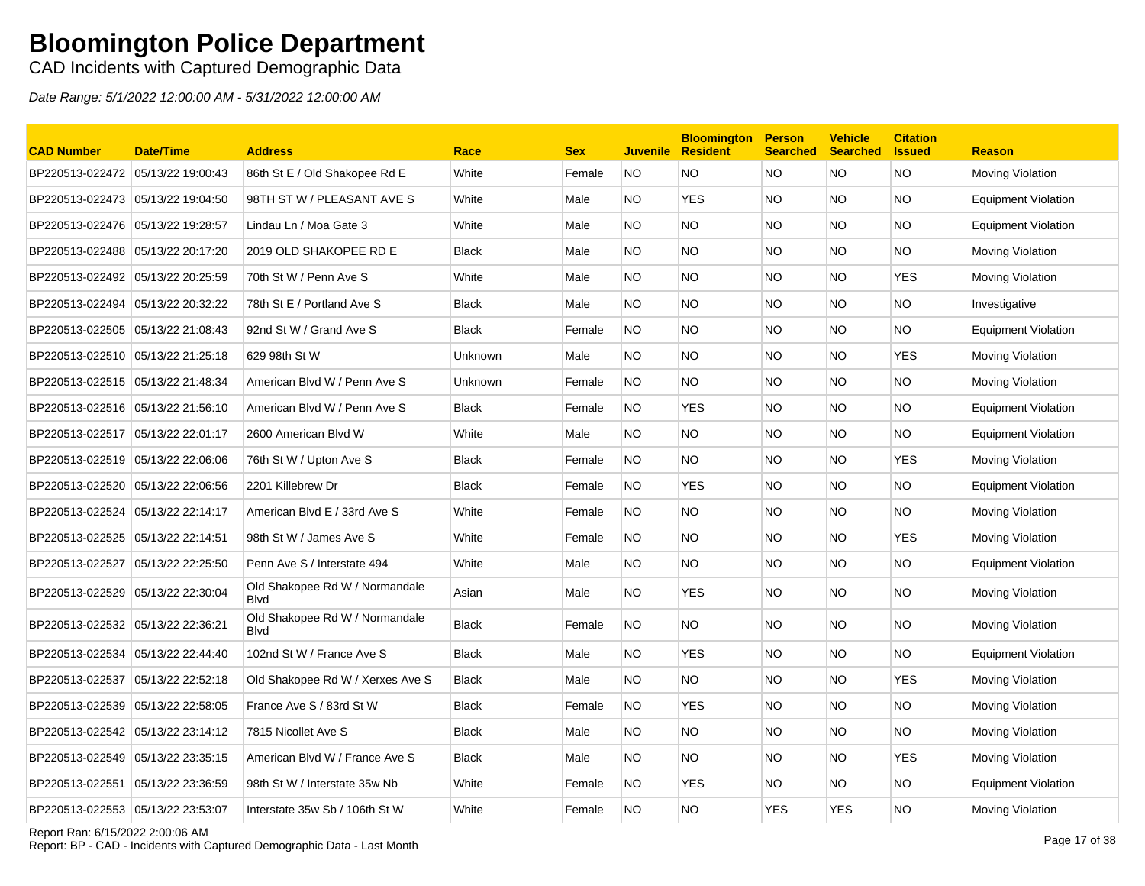CAD Incidents with Captured Demographic Data

| <b>CAD Number</b>                 | <b>Date/Time</b>  | <b>Address</b>                                 | Race         | <b>Sex</b> | <b>Juvenile</b> | <b>Bloomington</b><br><b>Resident</b> | <b>Person</b><br><b>Searched</b> | <b>Vehicle</b><br><b>Searched</b> | <b>Citation</b><br><b>Issued</b> | <b>Reason</b>              |
|-----------------------------------|-------------------|------------------------------------------------|--------------|------------|-----------------|---------------------------------------|----------------------------------|-----------------------------------|----------------------------------|----------------------------|
| BP220513-022472                   | 05/13/22 19:00:43 | 86th St E / Old Shakopee Rd E                  | White        | Female     | <b>NO</b>       | NO                                    | <b>NO</b>                        | NO.                               | <b>NO</b>                        | Moving Violation           |
| BP220513-022473 05/13/22 19:04:50 |                   | 98TH ST W / PLEASANT AVE S                     | White        | Male       | NO.             | <b>YES</b>                            | <b>NO</b>                        | NO.                               | <b>NO</b>                        | <b>Equipment Violation</b> |
| BP220513-022476 05/13/22 19:28:57 |                   | Lindau Ln / Moa Gate 3                         | White        | Male       | NO.             | NO.                                   | <b>NO</b>                        | NO.                               | NO.                              | <b>Equipment Violation</b> |
| BP220513-022488 05/13/22 20:17:20 |                   | 2019 OLD SHAKOPEE RD E                         | <b>Black</b> | Male       | NO.             | <b>NO</b>                             | <b>NO</b>                        | NO.                               | <b>NO</b>                        | Moving Violation           |
| BP220513-022492 05/13/22 20:25:59 |                   | 70th St W / Penn Ave S                         | White        | Male       | NO.             | <b>NO</b>                             | <b>NO</b>                        | NO.                               | <b>YES</b>                       | Moving Violation           |
| BP220513-022494                   | 05/13/22 20:32:22 | 78th St E / Portland Ave S                     | <b>Black</b> | Male       | NO.             | <b>NO</b>                             | <b>NO</b>                        | NO.                               | <b>NO</b>                        | Investigative              |
| BP220513-022505 05/13/22 21:08:43 |                   | 92nd St W / Grand Ave S                        | <b>Black</b> | Female     | NO.             | <b>NO</b>                             | <b>NO</b>                        | NO.                               | <b>NO</b>                        | <b>Equipment Violation</b> |
|                                   |                   | 629 98th St W                                  | Unknown      | Male       | NO.             | NO.                                   | <b>NO</b>                        | NO.                               | <b>YES</b>                       | Moving Violation           |
| BP220513-022515 05/13/22 21:48:34 |                   | American Blvd W / Penn Ave S                   | Unknown      | Female     | NO.             | NO                                    | <b>NO</b>                        | NO.                               | NO.                              | Moving Violation           |
| BP220513-022516 05/13/22 21:56:10 |                   | American Blvd W / Penn Ave S                   | <b>Black</b> | Female     | NO.             | <b>YES</b>                            | <b>NO</b>                        | NO.                               | <b>NO</b>                        | Equipment Violation        |
| BP220513-022517 05/13/22 22:01:17 |                   | 2600 American Blvd W                           | White        | Male       | NO.             | <b>NO</b>                             | <b>NO</b>                        | NO.                               | <b>NO</b>                        | Equipment Violation        |
| BP220513-022519 05/13/22 22:06:06 |                   | 76th St W / Upton Ave S                        | <b>Black</b> | Female     | NO.             | <b>NO</b>                             | <b>NO</b>                        | NO.                               | <b>YES</b>                       | Moving Violation           |
| BP220513-022520 05/13/22 22:06:56 |                   | 2201 Killebrew Dr                              | <b>Black</b> | Female     | NO.             | <b>YES</b>                            | <b>NO</b>                        | NO.                               | NO                               | <b>Equipment Violation</b> |
| BP220513-022524                   | 05/13/22 22:14:17 | American Blvd E / 33rd Ave S                   | White        | Female     | NO.             | NO.                                   | <b>NO</b>                        | NO.                               | NO.                              | Moving Violation           |
|                                   |                   | 98th St W / James Ave S                        | White        | Female     | NO.             | <b>NO</b>                             | <b>NO</b>                        | NO.                               | <b>YES</b>                       | Moving Violation           |
| BP220513-022527 05/13/22 22:25:50 |                   | Penn Ave S / Interstate 494                    | White        | Male       | NO.             | <b>NO</b>                             | <b>NO</b>                        | NO.                               | NO.                              | Equipment Violation        |
| BP220513-022529                   | 05/13/22 22:30:04 | Old Shakopee Rd W / Normandale<br><b>B</b> lvd | Asian        | Male       | NO.             | <b>YES</b>                            | <b>NO</b>                        | NO.                               | <b>NO</b>                        | Moving Violation           |
| BP220513-022532 05/13/22 22:36:21 |                   | Old Shakopee Rd W / Normandale<br><b>B</b> lvd | <b>Black</b> | Female     | NO.             | NO.                                   | <b>NO</b>                        | NO.                               | <b>NO</b>                        | Moving Violation           |
| BP220513-022534                   | 05/13/22 22:44:40 | 102nd St W / France Ave S                      | <b>Black</b> | Male       | NO.             | <b>YES</b>                            | <b>NO</b>                        | NO.                               | <b>NO</b>                        | <b>Equipment Violation</b> |
| BP220513-022537                   | 05/13/22 22:52:18 | Old Shakopee Rd W / Xerxes Ave S               | <b>Black</b> | Male       | NO.             | NO.                                   | <b>NO</b>                        | NO.                               | <b>YES</b>                       | Moving Violation           |
| BP220513-022539                   | 05/13/22 22:58:05 | France Ave S / 83rd St W                       | <b>Black</b> | Female     | <b>NO</b>       | <b>YES</b>                            | <b>NO</b>                        | NO.                               | NO.                              | Moving Violation           |
| BP220513-022542 05/13/22 23:14:12 |                   | 7815 Nicollet Ave S                            | <b>Black</b> | Male       | NO.             | <b>NO</b>                             | <b>NO</b>                        | NO.                               | <b>NO</b>                        | Moving Violation           |
| BP220513-022549 05/13/22 23:35:15 |                   | American Blvd W / France Ave S                 | <b>Black</b> | Male       | NO.             | <b>NO</b>                             | <b>NO</b>                        | NO.                               | <b>YES</b>                       | <b>Moving Violation</b>    |
| BP220513-022551                   | 05/13/22 23:36:59 | 98th St W / Interstate 35w Nb                  | White        | Female     | <b>NO</b>       | <b>YES</b>                            | <b>NO</b>                        | NO.                               | <b>NO</b>                        | Equipment Violation        |
| BP220513-022553 05/13/22 23:53:07 |                   | Interstate 35w Sb / 106th St W                 | White        | Female     | <b>NO</b>       | <b>NO</b>                             | <b>YES</b>                       | <b>YES</b>                        | <b>NO</b>                        | Moving Violation           |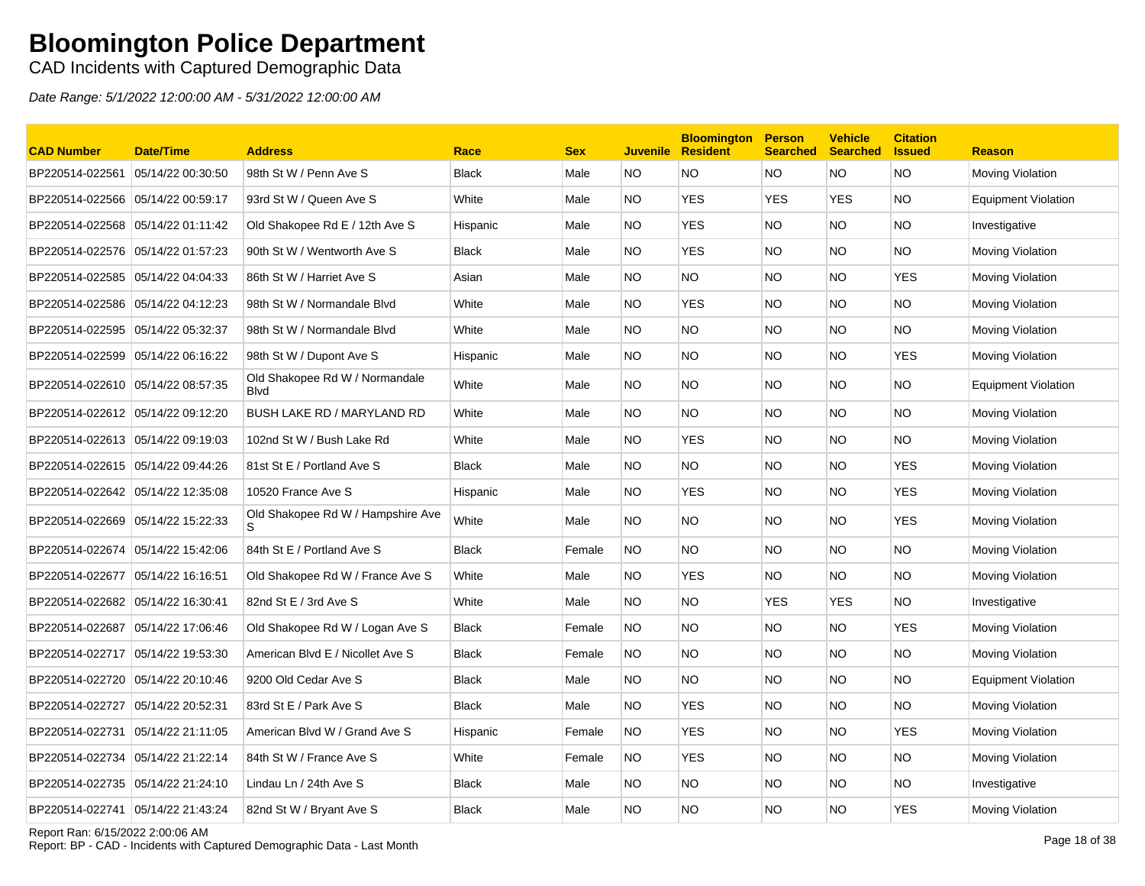### CAD Incidents with Captured Demographic Data

| <b>CAD Number</b>                 | <b>Date/Time</b>  | <b>Address</b>                                | Race         | <b>Sex</b> |           | <b>Bloomington</b><br><b>Juvenile Resident</b> | <b>Person</b><br><b>Searched</b> | <b>Vehicle</b><br><b>Searched</b> | <b>Citation</b><br><b>S</b> sued | <b>Reason</b>              |
|-----------------------------------|-------------------|-----------------------------------------------|--------------|------------|-----------|------------------------------------------------|----------------------------------|-----------------------------------|----------------------------------|----------------------------|
| BP220514-022561                   | 05/14/22 00:30:50 | 98th St W / Penn Ave S                        | <b>Black</b> | Male       | NO        | <b>NO</b>                                      | <b>NO</b>                        | NO.                               | <b>NO</b>                        | Moving Violation           |
| BP220514-022566 05/14/22 00:59:17 |                   | 93rd St W / Queen Ave S                       | White        | Male       | NO        | <b>YES</b>                                     | <b>YES</b>                       | <b>YES</b>                        | <b>NO</b>                        | Equipment Violation        |
| BP220514-022568 05/14/22 01:11:42 |                   | Old Shakopee Rd E / 12th Ave S                | Hispanic     | Male       | NO.       | <b>YES</b>                                     | NO.                              | NO.                               | <b>NO</b>                        | Investigative              |
| BP220514-022576 05/14/22 01:57:23 |                   | 90th St W / Wentworth Ave S                   | Black        | Male       | NO.       | <b>YES</b>                                     | NO.                              | NO.                               | <b>NO</b>                        | Moving Violation           |
| BP220514-022585 05/14/22 04:04:33 |                   | 86th St W / Harriet Ave S                     | Asian        | Male       | NO.       | <b>NO</b>                                      | NO.                              | <b>NO</b>                         | <b>YES</b>                       | Moving Violation           |
| BP220514-022586 05/14/22 04:12:23 |                   | 98th St W / Normandale Blvd                   | White        | Male       | NO.       | <b>YES</b>                                     | NO.                              | NO.                               | <b>NO</b>                        | Moving Violation           |
| BP220514-022595 05/14/22 05:32:37 |                   | 98th St W / Normandale Blvd                   | White        | Male       | NO        | <b>NO</b>                                      | <b>NO</b>                        | NO.                               | <b>NO</b>                        | Moving Violation           |
| BP220514-022599 05/14/22 06:16:22 |                   | 98th St W / Dupont Ave S                      | Hispanic     | Male       | NO.       | <b>NO</b>                                      | NO.                              | NO.                               | <b>YES</b>                       | Moving Violation           |
| BP220514-022610 05/14/22 08:57:35 |                   | Old Shakopee Rd W / Normandale<br><b>Blvd</b> | White        | Male       | NO.       | <b>NO</b>                                      | <b>NO</b>                        | NO.                               | <b>NO</b>                        | <b>Equipment Violation</b> |
| BP220514-022612 05/14/22 09:12:20 |                   | BUSH LAKE RD / MARYLAND RD                    | White        | Male       | NO.       | <b>NO</b>                                      | <b>NO</b>                        | NO.                               | <b>NO</b>                        | Moving Violation           |
| BP220514-022613 05/14/22 09:19:03 |                   | 102nd St W / Bush Lake Rd                     | White        | Male       | NO.       | <b>YES</b>                                     | <b>NO</b>                        | NO.                               | <b>NO</b>                        | Moving Violation           |
| BP220514-022615 05/14/22 09:44:26 |                   | 81st St E / Portland Ave S                    | <b>Black</b> | Male       | NO.       | <b>NO</b>                                      | NO.                              | <b>NO</b>                         | <b>YES</b>                       | Moving Violation           |
| BP220514-022642 05/14/22 12:35:08 |                   | 10520 France Ave S                            | Hispanic     | Male       | NO.       | <b>YES</b>                                     | <b>NO</b>                        | <b>NO</b>                         | <b>YES</b>                       | Moving Violation           |
| BP220514-022669                   | 05/14/22 15:22:33 | Old Shakopee Rd W / Hampshire Ave             | White        | Male       | NO.       | <b>NO</b>                                      | NO.                              | NO.                               | <b>YES</b>                       | Moving Violation           |
| BP220514-022674 05/14/22 15:42:06 |                   | 84th St E / Portland Ave S                    | <b>Black</b> | Female     | <b>NO</b> | <b>NO</b>                                      | NO.                              | NO.                               | <b>NO</b>                        | <b>Moving Violation</b>    |
| BP220514-022677                   | 05/14/22 16:16:51 | Old Shakopee Rd W / France Ave S              | White        | Male       | <b>NO</b> | <b>YES</b>                                     | NO.                              | <b>NO</b>                         | <b>NO</b>                        | Moving Violation           |
| BP220514-022682 05/14/22 16:30:41 |                   | 82nd St E / 3rd Ave S                         | White        | Male       | NO.       | <b>NO</b>                                      | <b>YES</b>                       | YES                               | <b>NO</b>                        | Investigative              |
| BP220514-022687 05/14/22 17:06:46 |                   | Old Shakopee Rd W / Logan Ave S               | <b>Black</b> | Female     | NO.       | <b>NO</b>                                      | NO.                              | NO.                               | <b>YES</b>                       | Moving Violation           |
| BP220514-022717 05/14/22 19:53:30 |                   | American Blvd E / Nicollet Ave S              | <b>Black</b> | Female     | NO.       | <b>NO</b>                                      | <b>NO</b>                        | NO.                               | <b>NO</b>                        | Moving Violation           |
| BP220514-022720 05/14/22 20:10:46 |                   | 9200 Old Cedar Ave S                          | <b>Black</b> | Male       | NO.       | <b>NO</b>                                      | NO.                              | NO.                               | <b>NO</b>                        | <b>Equipment Violation</b> |
| BP220514-022727                   | 05/14/22 20:52:31 | 83rd St E / Park Ave S                        | <b>Black</b> | Male       | NO.       | <b>YES</b>                                     | NO.                              | NO.                               | <b>NO</b>                        | Moving Violation           |
| BP220514-022731 05/14/22 21:11:05 |                   | American Blvd W / Grand Ave S                 | Hispanic     | Female     | <b>NO</b> | <b>YES</b>                                     | <b>NO</b>                        | <b>NO</b>                         | <b>YES</b>                       | Moving Violation           |
| BP220514-022734                   | 05/14/22 21:22:14 | 84th St W / France Ave S                      | White        | Female     | <b>NO</b> | <b>YES</b>                                     | NO.                              | NO.                               | <b>NO</b>                        | Moving Violation           |
| BP220514-022735 05/14/22 21:24:10 |                   | Lindau Ln / 24th Ave S                        | <b>Black</b> | Male       | NO        | <b>NO</b>                                      | <b>NO</b>                        | NO.                               | <b>NO</b>                        | Investigative              |
| BP220514-022741 05/14/22 21:43:24 |                   | 82nd St W / Bryant Ave S                      | <b>Black</b> | Male       | NO        | <b>NO</b>                                      | <b>NO</b>                        | NO.                               | <b>YES</b>                       | Moving Violation           |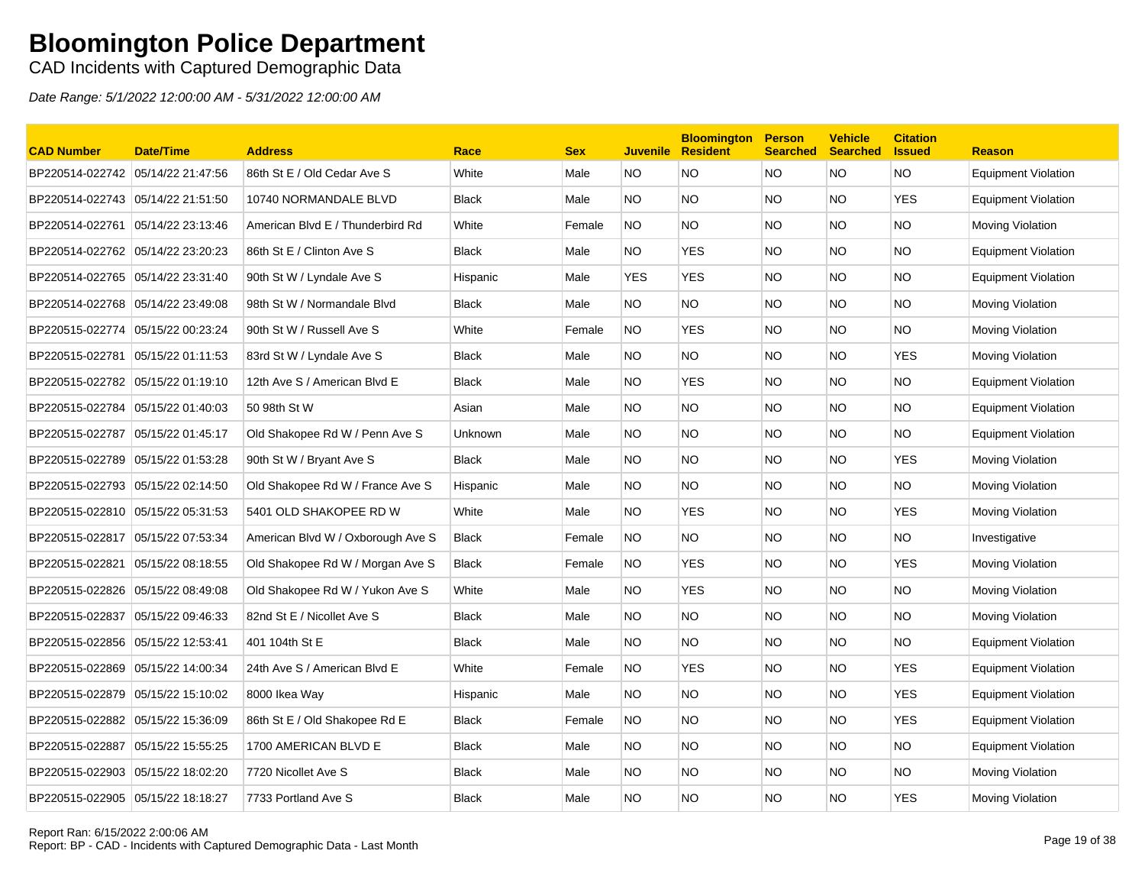CAD Incidents with Captured Demographic Data

| <b>CAD Number</b>                 | <b>Date/Time</b>  | <b>Address</b>                    | Race         | <b>Sex</b> |            | <b>Bloomington</b><br><b>Juvenile Resident</b> | <b>Person</b><br><b>Searched</b> | <b>Vehicle</b><br><b>Searched</b> | <b>Citation</b><br><b>Issued</b> | <b>Reason</b>              |
|-----------------------------------|-------------------|-----------------------------------|--------------|------------|------------|------------------------------------------------|----------------------------------|-----------------------------------|----------------------------------|----------------------------|
| BP220514-022742 05/14/22 21:47:56 |                   | 86th St E / Old Cedar Ave S       | White        | Male       | NO.        | <b>NO</b>                                      | <b>NO</b>                        | <b>NO</b>                         | <b>NO</b>                        | Equipment Violation        |
| BP220514-022743 05/14/22 21:51:50 |                   | 10740 NORMANDALE BLVD             | <b>Black</b> | Male       | NO.        | <b>NO</b>                                      | NO.                              | NO.                               | <b>YES</b>                       | Equipment Violation        |
| BP220514-022761                   | 05/14/22 23:13:46 | American Blvd E / Thunderbird Rd  | White        | Female     | <b>NO</b>  | <b>NO</b>                                      | <b>NO</b>                        | NO.                               | <b>NO</b>                        | Moving Violation           |
| BP220514-022762 05/14/22 23:20:23 |                   | 86th St E / Clinton Ave S         | <b>Black</b> | Male       | NO.        | <b>YES</b>                                     | NO.                              | NO.                               | <b>NO</b>                        | Equipment Violation        |
| BP220514-022765 05/14/22 23:31:40 |                   | 90th St W / Lyndale Ave S         | Hispanic     | Male       | <b>YES</b> | <b>YES</b>                                     | NO.                              | NO.                               | NO.                              | Equipment Violation        |
| BP220514-022768 05/14/22 23:49:08 |                   | 98th St W / Normandale Blvd       | <b>Black</b> | Male       | NO.        | <b>NO</b>                                      | NO.                              | NO.                               | NO.                              | Moving Violation           |
| BP220515-022774                   | 05/15/22 00:23:24 | 90th St W / Russell Ave S         | White        | Female     | <b>NO</b>  | <b>YES</b>                                     | NO.                              | <b>NO</b>                         | <b>NO</b>                        | Moving Violation           |
| BP220515-022781 05/15/22 01:11:53 |                   | 83rd St W / Lyndale Ave S         | <b>Black</b> | Male       | NO.        | <b>NO</b>                                      | NO.                              | NO.                               | <b>YES</b>                       | Moving Violation           |
| BP220515-022782 05/15/22 01:19:10 |                   | 12th Ave S / American Blvd E      | <b>Black</b> | Male       | NO.        | <b>YES</b>                                     | NO.                              | NO.                               | <b>NO</b>                        | Equipment Violation        |
| BP220515-022784                   | 05/15/22 01:40:03 | 50 98th St W                      | Asian        | Male       | NO.        | <b>NO</b>                                      | <b>NO</b>                        | NO.                               | <b>NO</b>                        | Equipment Violation        |
| BP220515-022787                   | 05/15/22 01:45:17 | Old Shakopee Rd W / Penn Ave S    | Unknown      | Male       | NO.        | <b>NO</b>                                      | <b>NO</b>                        | NO.                               | NO.                              | <b>Equipment Violation</b> |
| BP220515-022789 05/15/22 01:53:28 |                   | 90th St W / Bryant Ave S          | <b>Black</b> | Male       | NO.        | <b>NO</b>                                      | NO.                              | NO.                               | <b>YES</b>                       | Moving Violation           |
| BP220515-022793 05/15/22 02:14:50 |                   | Old Shakopee Rd W / France Ave S  | Hispanic     | Male       | NO.        | <b>NO</b>                                      | NO.                              | NO.                               | NO.                              | Moving Violation           |
| BP220515-022810 05/15/22 05:31:53 |                   | 5401 OLD SHAKOPEE RD W            | White        | Male       | NO.        | <b>YES</b>                                     | NO.                              | <b>NO</b>                         | <b>YES</b>                       | Moving Violation           |
| BP220515-022817 05/15/22 07:53:34 |                   | American Blvd W / Oxborough Ave S | <b>Black</b> | Female     | <b>NO</b>  | <b>NO</b>                                      | NO.                              | <b>NO</b>                         | <b>NO</b>                        | Investigative              |
| BP220515-022821 05/15/22 08:18:55 |                   | Old Shakopee Rd W / Morgan Ave S  | <b>Black</b> | Female     | NO.        | <b>YES</b>                                     | NO.                              | NO.                               | <b>YES</b>                       | Moving Violation           |
| BP220515-022826 05/15/22 08:49:08 |                   | Old Shakopee Rd W / Yukon Ave S   | White        | Male       | NO.        | <b>YES</b>                                     | NO.                              | NO.                               | NO.                              | Moving Violation           |
| BP220515-022837                   | 05/15/22 09:46:33 | 82nd St E / Nicollet Ave S        | <b>Black</b> | Male       | NO.        | <b>NO</b>                                      | <b>NO</b>                        | NO.                               | <b>NO</b>                        | Moving Violation           |
| BP220515-022856 05/15/22 12:53:41 |                   | 401 104th St E                    | <b>Black</b> | Male       | NO.        | <b>NO</b>                                      | NO.                              | NO.                               | <b>NO</b>                        | <b>Equipment Violation</b> |
| BP220515-022869 05/15/22 14:00:34 |                   | 24th Ave S / American Blvd E      | White        | Female     | NO.        | <b>YES</b>                                     | NO.                              | NO.                               | <b>YES</b>                       | Equipment Violation        |
| BP220515-022879                   | 05/15/22 15:10:02 | 8000 Ikea Way                     | Hispanic     | Male       | NO.        | <b>NO</b>                                      | <b>NO</b>                        | NO.                               | <b>YES</b>                       | Equipment Violation        |
| BP220515-022882 05/15/22 15:36:09 |                   | 86th St E / Old Shakopee Rd E     | <b>Black</b> | Female     | NO.        | <b>NO</b>                                      | NO.                              | NO.                               | <b>YES</b>                       | Equipment Violation        |
| BP220515-022887 05/15/22 15:55:25 |                   | 1700 AMERICAN BLVD E              | <b>Black</b> | Male       | NO.        | <b>NO</b>                                      | NO.                              | NO.                               | <b>NO</b>                        | <b>Equipment Violation</b> |
| BP220515-022903 05/15/22 18:02:20 |                   | 7720 Nicollet Ave S               | <b>Black</b> | Male       | NO.        | <b>NO</b>                                      | NO.                              | NO.                               | NO.                              | Moving Violation           |
| BP220515-022905 05/15/22 18:18:27 |                   | 7733 Portland Ave S               | <b>Black</b> | Male       | <b>NO</b>  | <b>NO</b>                                      | <b>NO</b>                        | NO.                               | <b>YES</b>                       | Moving Violation           |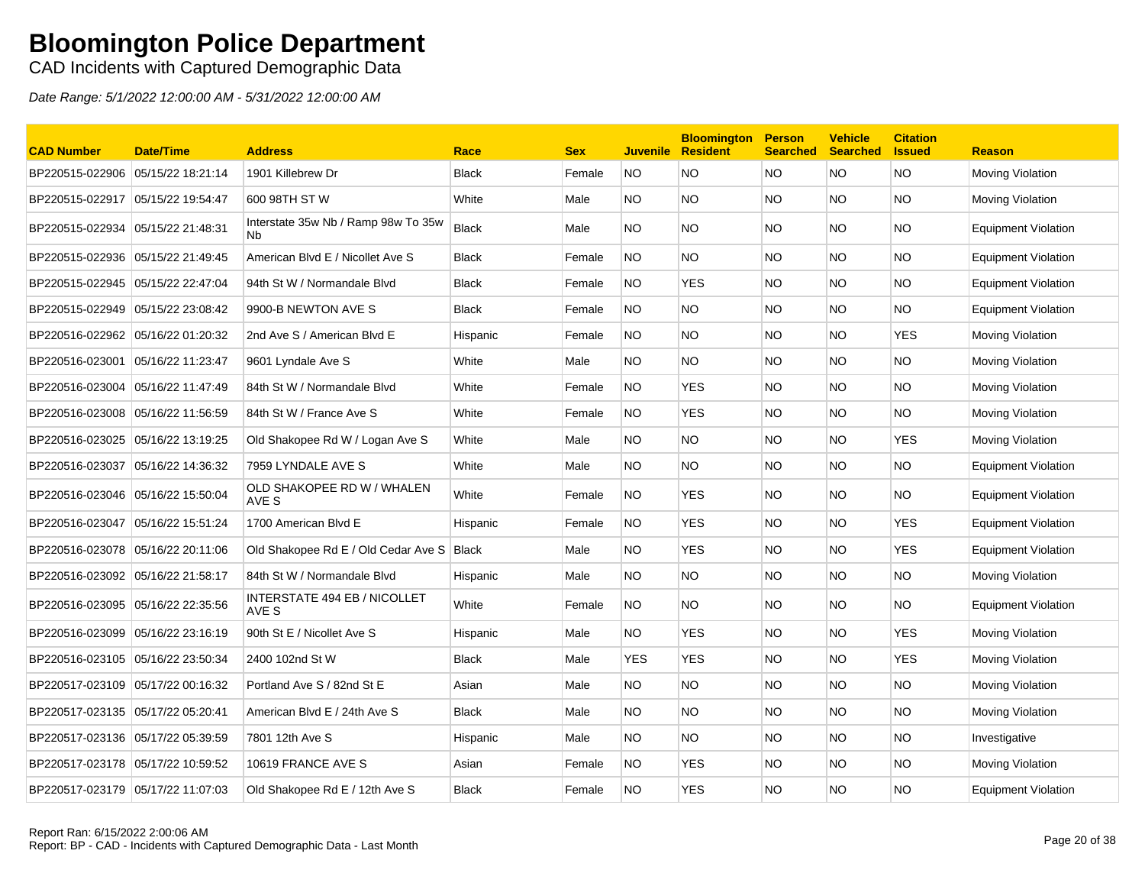### CAD Incidents with Captured Demographic Data

| <b>CAD Number</b>                 | <b>Date/Time</b>  | <b>Address</b>                                              | Race         | <b>Sex</b> | <b>Juvenile</b> | <b>Bloomington</b><br><b>Resident</b> | <b>Person</b><br><b>Searched</b> | <b>Vehicle</b><br><b>Searched</b> | <b>Citation</b><br><b>Issued</b> | <b>Reason</b>              |
|-----------------------------------|-------------------|-------------------------------------------------------------|--------------|------------|-----------------|---------------------------------------|----------------------------------|-----------------------------------|----------------------------------|----------------------------|
| BP220515-022906                   | 05/15/22 18:21:14 | 1901 Killebrew Dr                                           | <b>Black</b> | Female     | <b>NO</b>       | <b>NO</b>                             | <b>NO</b>                        | NO.                               | <b>NO</b>                        | Moving Violation           |
| BP220515-022917 05/15/22 19:54:47 |                   | 600 98TH ST W                                               | White        | Male       | NO.             | <b>NO</b>                             | <b>NO</b>                        | NO.                               | <b>NO</b>                        | Moving Violation           |
| BP220515-022934 05/15/22 21:48:31 |                   | Interstate 35w Nb / Ramp 98w To 35w<br><b>N<sub>b</sub></b> | <b>Black</b> | Male       | NO.             | <b>NO</b>                             | <b>NO</b>                        | NO.                               | <b>NO</b>                        | <b>Equipment Violation</b> |
| BP220515-022936                   | 05/15/22 21:49:45 | American Blvd E / Nicollet Ave S                            | <b>Black</b> | Female     | NO.             | NO.                                   | <b>NO</b>                        | NO.                               | <b>NO</b>                        | Equipment Violation        |
|                                   |                   | 94th St W / Normandale Blvd                                 | <b>Black</b> | Female     | NO.             | <b>YES</b>                            | <b>NO</b>                        | NO.                               | <b>NO</b>                        | Equipment Violation        |
| BP220515-022949 05/15/22 23:08:42 |                   | 9900-B NEWTON AVE S                                         | <b>Black</b> | Female     | <b>NO</b>       | <b>NO</b>                             | <b>NO</b>                        | NO.                               | <b>NO</b>                        | <b>Equipment Violation</b> |
| BP220516-022962 05/16/22 01:20:32 |                   | 2nd Ave S / American Blvd E                                 | Hispanic     | Female     | NO.             | <b>NO</b>                             | <b>NO</b>                        | NO.                               | <b>YES</b>                       | Moving Violation           |
| BP220516-023001                   | 05/16/22 11:23:47 | 9601 Lyndale Ave S                                          | White        | Male       | NO.             | NO.                                   | <b>NO</b>                        | NO.                               | <b>NO</b>                        | <b>Moving Violation</b>    |
| BP220516-023004                   | 05/16/22 11:47:49 | 84th St W / Normandale Blvd                                 | White        | Female     | NO.             | YES                                   | <b>NO</b>                        | NO.                               | <b>NO</b>                        | Moving Violation           |
| BP220516-023008                   | 05/16/22 11:56:59 | 84th St W / France Ave S                                    | White        | Female     | NO.             | <b>YES</b>                            | <b>NO</b>                        | NO.                               | <b>NO</b>                        | Moving Violation           |
| BP220516-023025                   | 05/16/22 13:19:25 | Old Shakopee Rd W / Logan Ave S                             | White        | Male       | NO.             | NO.                                   | <b>NO</b>                        | NO.                               | <b>YES</b>                       | Moving Violation           |
| BP220516-023037                   | 05/16/22 14:36:32 | 7959 LYNDALE AVE S                                          | White        | Male       | NO.             | NO.                                   | <b>NO</b>                        | NO.                               | NO.                              | Equipment Violation        |
| BP220516-023046 05/16/22 15:50:04 |                   | OLD SHAKOPEE RD W / WHALEN<br>AVE S                         | White        | Female     | NO.             | <b>YES</b>                            | <b>NO</b>                        | NO.                               | <b>NO</b>                        | Equipment Violation        |
| BP220516-023047                   | 05/16/22 15:51:24 | 1700 American Blvd E                                        | Hispanic     | Female     | NO.             | <b>YES</b>                            | <b>NO</b>                        | NO.                               | <b>YES</b>                       | <b>Equipment Violation</b> |
| BP220516-023078                   | 05/16/22 20:11:06 | Old Shakopee Rd E / Old Cedar Ave S                         | <b>Black</b> | Male       | NO.             | <b>YES</b>                            | <b>NO</b>                        | NO.                               | <b>YES</b>                       | <b>Equipment Violation</b> |
| BP220516-023092                   | 05/16/22 21:58:17 | 84th St W / Normandale Blvd                                 | Hispanic     | Male       | NO.             | <b>NO</b>                             | <b>NO</b>                        | NO.                               | <b>NO</b>                        | Moving Violation           |
| BP220516-023095 05/16/22 22:35:56 |                   | <b>INTERSTATE 494 EB / NICOLLET</b><br>AVE S                | White        | Female     | NO.             | <b>NO</b>                             | <b>NO</b>                        | NO.                               | <b>NO</b>                        | <b>Equipment Violation</b> |
| BP220516-023099                   | 05/16/22 23:16:19 | 90th St E / Nicollet Ave S                                  | Hispanic     | Male       | NO.             | <b>YES</b>                            | <b>NO</b>                        | NO.                               | <b>YES</b>                       | Moving Violation           |
|                                   |                   | 2400 102nd St W                                             | <b>Black</b> | Male       | <b>YES</b>      | <b>YES</b>                            | <b>NO</b>                        | NO.                               | <b>YES</b>                       | Moving Violation           |
| BP220517-023109 05/17/22 00:16:32 |                   | Portland Ave S / 82nd St E                                  | Asian        | Male       | NO.             | <b>NO</b>                             | <b>NO</b>                        | NO.                               | <b>NO</b>                        | Moving Violation           |
| BP220517-023135                   | 05/17/22 05:20:41 | American Blvd E / 24th Ave S                                | <b>Black</b> | Male       | NO.             | <b>NO</b>                             | <b>NO</b>                        | NO.                               | <b>NO</b>                        | Moving Violation           |
| BP220517-023136 05/17/22 05:39:59 |                   | 7801 12th Ave S                                             | Hispanic     | Male       | NO.             | NO.                                   | <b>NO</b>                        | NO.                               | <b>NO</b>                        | Investigative              |
| BP220517-023178 05/17/22 10:59:52 |                   | 10619 FRANCE AVE S                                          | Asian        | Female     | NO.             | YES                                   | <b>NO</b>                        | NO.                               | NO.                              | Moving Violation           |
| BP220517-023179 05/17/22 11:07:03 |                   | Old Shakopee Rd E / 12th Ave S                              | <b>Black</b> | Female     | <b>NO</b>       | <b>YES</b>                            | <b>NO</b>                        | NO.                               | NO.                              | <b>Equipment Violation</b> |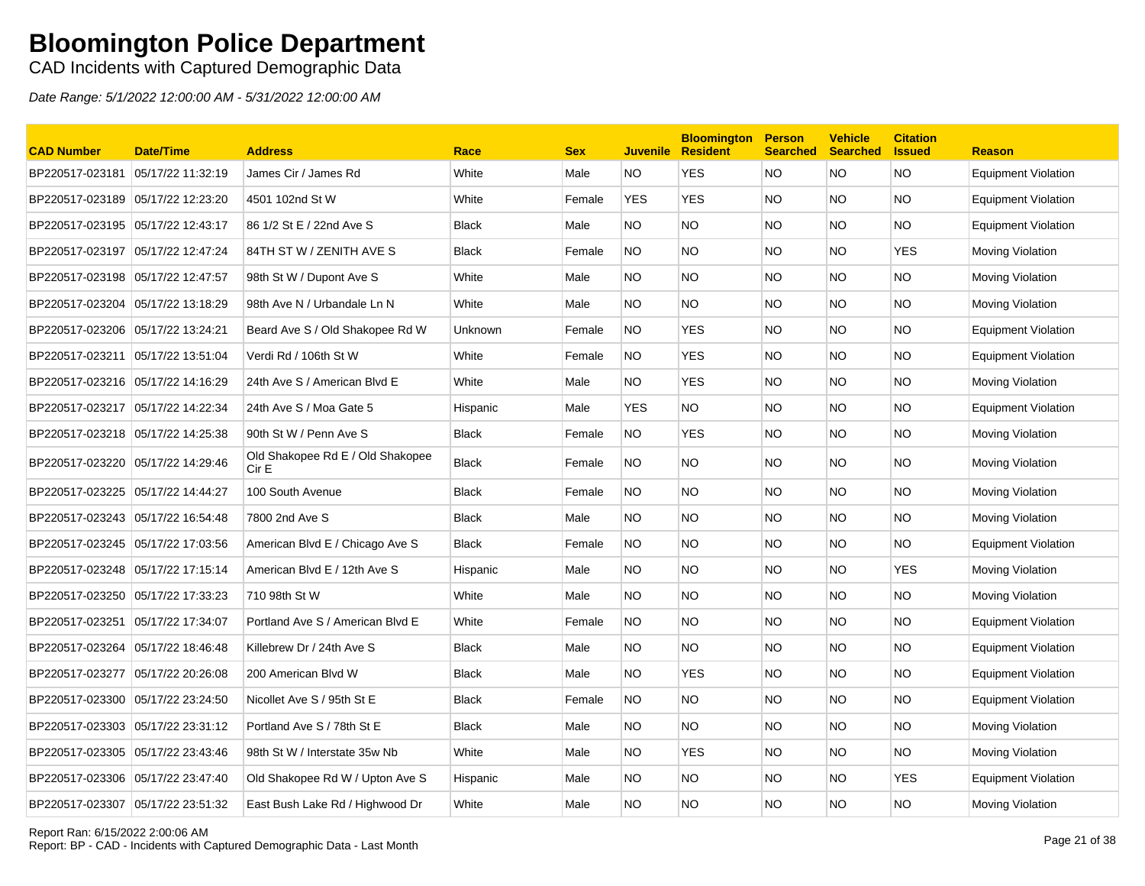CAD Incidents with Captured Demographic Data

| <b>CAD Number</b>                 | <b>Date/Time</b>  | <b>Address</b>                            | Race         | <b>Sex</b> | <b>Juvenile</b> | <b>Bloomington</b><br><b>Resident</b> | <b>Person</b><br><b>Searched</b> | <b>Vehicle</b><br><b>Searched</b> | <b>Citation</b><br><b>Issued</b> | <b>Reason</b>              |
|-----------------------------------|-------------------|-------------------------------------------|--------------|------------|-----------------|---------------------------------------|----------------------------------|-----------------------------------|----------------------------------|----------------------------|
| BP220517-023181                   | 05/17/22 11:32:19 | James Cir / James Rd                      | White        | Male       | NO.             | <b>YES</b>                            | <b>NO</b>                        | <b>NO</b>                         | <b>NO</b>                        | <b>Equipment Violation</b> |
| BP220517-023189 05/17/22 12:23:20 |                   | 4501 102nd St W                           | White        | Female     | <b>YES</b>      | <b>YES</b>                            | NO.                              | NO.                               | <b>NO</b>                        | <b>Equipment Violation</b> |
| BP220517-023195 05/17/22 12:43:17 |                   | 86 1/2 St E / 22nd Ave S                  | <b>Black</b> | Male       | NO.             | NO.                                   | NO.                              | NO.                               | <b>NO</b>                        | <b>Equipment Violation</b> |
| BP220517-023197 05/17/22 12:47:24 |                   | 84TH ST W / ZENITH AVE S                  | <b>Black</b> | Female     | NO.             | NO.                                   | NO.                              | NO.                               | <b>YES</b>                       | Moving Violation           |
| BP220517-023198 05/17/22 12:47:57 |                   | 98th St W / Dupont Ave S                  | White        | Male       | NO.             | <b>NO</b>                             | NO.                              | NO.                               | <b>NO</b>                        | Moving Violation           |
| BP220517-023204 05/17/22 13:18:29 |                   | 98th Ave N / Urbandale Ln N               | White        | Male       | NO.             | <b>NO</b>                             | NO.                              | NO.                               | <b>NO</b>                        | Moving Violation           |
| BP220517-023206 05/17/22 13:24:21 |                   | Beard Ave S / Old Shakopee Rd W           | Unknown      | Female     | NO.             | <b>YES</b>                            | <b>NO</b>                        | NO.                               | <b>NO</b>                        | <b>Equipment Violation</b> |
| BP220517-023211 05/17/22 13:51:04 |                   | Verdi Rd / 106th St W                     | White        | Female     | NO.             | <b>YES</b>                            | NO.                              | NO.                               | <b>NO</b>                        | <b>Equipment Violation</b> |
| BP220517-023216 05/17/22 14:16:29 |                   | 24th Ave S / American Blvd E              | White        | Male       | NO.             | <b>YES</b>                            | NO.                              | NO.                               | <b>NO</b>                        | Moving Violation           |
| BP220517-023217 05/17/22 14:22:34 |                   | 24th Ave S / Moa Gate 5                   | Hispanic     | Male       | <b>YES</b>      | NO.                                   | <b>NO</b>                        | NO.                               | <b>NO</b>                        | <b>Equipment Violation</b> |
| BP220517-023218 05/17/22 14:25:38 |                   | 90th St W / Penn Ave S                    | <b>Black</b> | Female     | NO.             | <b>YES</b>                            | NO.                              | NO.                               | <b>NO</b>                        | Moving Violation           |
| BP220517-023220 05/17/22 14:29:46 |                   | Old Shakopee Rd E / Old Shakopee<br>Cir E | <b>Black</b> | Female     | NO.             | NO.                                   | NO.                              | NO.                               | <b>NO</b>                        | Moving Violation           |
| BP220517-023225 05/17/22 14:44:27 |                   | 100 South Avenue                          | <b>Black</b> | Female     | NO.             | NO.                                   | NO.                              | NO.                               | <b>NO</b>                        | Moving Violation           |
| BP220517-023243 05/17/22 16:54:48 |                   | 7800 2nd Ave S                            | <b>Black</b> | Male       | NO.             | NO.                                   | NO.                              | NO.                               | <b>NO</b>                        | Moving Violation           |
| BP220517-023245 05/17/22 17:03:56 |                   | American Blvd E / Chicago Ave S           | <b>Black</b> | Female     | NO.             | NO.                                   | NO.                              | NO.                               | <b>NO</b>                        | <b>Equipment Violation</b> |
| BP220517-023248 05/17/22 17:15:14 |                   | American Blvd E / 12th Ave S              | Hispanic     | Male       | NO.             | <b>NO</b>                             | <b>NO</b>                        | <b>NO</b>                         | <b>YES</b>                       | Moving Violation           |
| BP220517-023250 05/17/22 17:33:23 |                   | 710 98th St W                             | White        | Male       | NO.             | <b>NO</b>                             | NO.                              | NO.                               | <b>NO</b>                        | Moving Violation           |
| BP220517-023251 05/17/22 17:34:07 |                   | Portland Ave S / American Blvd E          | White        | Female     | <b>NO</b>       | <b>NO</b>                             | <b>NO</b>                        | NO.                               | <b>NO</b>                        | <b>Equipment Violation</b> |
| BP220517-023264                   | 05/17/22 18:46:48 | Killebrew Dr / 24th Ave S                 | <b>Black</b> | Male       | NO.             | <b>NO</b>                             | <b>NO</b>                        | NO.                               | <b>NO</b>                        | <b>Equipment Violation</b> |
| BP220517-023277 05/17/22 20:26:08 |                   | 200 American Blvd W                       | <b>Black</b> | Male       | NO.             | <b>YES</b>                            | NO.                              | NO.                               | <b>NO</b>                        | <b>Equipment Violation</b> |
| BP220517-023300 05/17/22 23:24:50 |                   | Nicollet Ave S / 95th St E                | <b>Black</b> | Female     | NO.             | NO.                                   | NO.                              | NO.                               | <b>NO</b>                        | <b>Equipment Violation</b> |
| BP220517-023303 05/17/22 23:31:12 |                   | Portland Ave S / 78th St E                | <b>Black</b> | Male       | NO.             | <b>NO</b>                             | <b>NO</b>                        | NO.                               | <b>NO</b>                        | <b>Moving Violation</b>    |
| BP220517-023305 05/17/22 23:43:46 |                   | 98th St W / Interstate 35w Nb             | White        | Male       | NO.             | <b>YES</b>                            | NO.                              | NO.                               | <b>NO</b>                        | Moving Violation           |
| BP220517-023306 05/17/22 23:47:40 |                   | Old Shakopee Rd W / Upton Ave S           | Hispanic     | Male       | NO.             | NO.                                   | <b>NO</b>                        | NO.                               | <b>YES</b>                       | <b>Equipment Violation</b> |
| BP220517-023307 05/17/22 23:51:32 |                   | East Bush Lake Rd / Highwood Dr           | White        | Male       | NO.             | <b>NO</b>                             | <b>NO</b>                        | NO.                               | <b>NO</b>                        | Moving Violation           |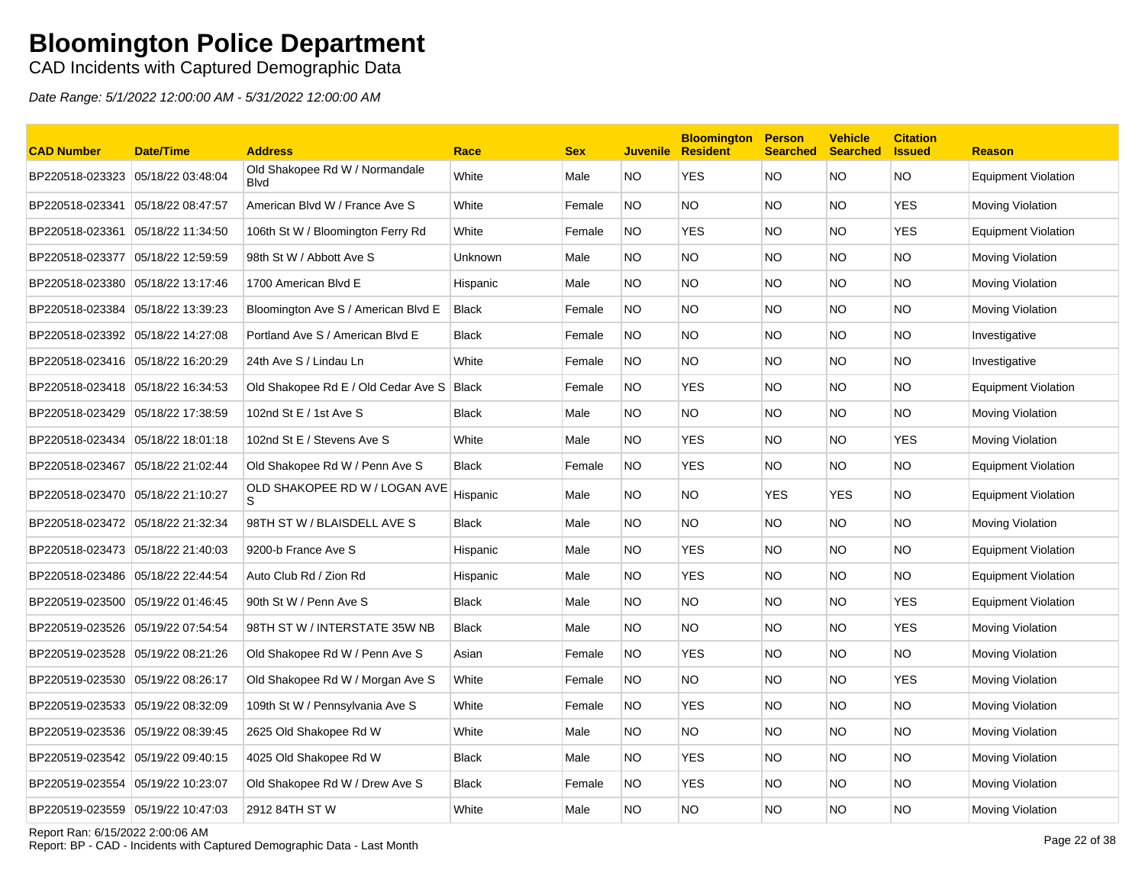CAD Incidents with Captured Demographic Data

Date Range: 5/1/2022 12:00:00 AM - 5/31/2022 12:00:00 AM

| <b>CAD Number</b>                 | <b>Date/Time</b>  | <b>Address</b>                                | Race         | <b>Sex</b> |           | <b>Bloomington</b><br>Juvenile Resident | <b>Person</b><br><b>Searched</b> | <b>Vehicle</b><br><b>Searched</b> | <b>Citation</b><br><b>Issued</b> | <b>Reason</b>              |
|-----------------------------------|-------------------|-----------------------------------------------|--------------|------------|-----------|-----------------------------------------|----------------------------------|-----------------------------------|----------------------------------|----------------------------|
| BP220518-023323 05/18/22 03:48:04 |                   | Old Shakopee Rd W / Normandale<br><b>Blvd</b> | White        | Male       | NO.       | <b>YES</b>                              | NO.                              | NO.                               | <b>NO</b>                        | <b>Equipment Violation</b> |
| BP220518-023341                   | 05/18/22 08:47:57 | American Blvd W / France Ave S                | White        | Female     | NO.       | NO.                                     | NO.                              | NO.                               | YES                              | Moving Violation           |
| BP220518-023361 05/18/22 11:34:50 |                   | 106th St W / Bloomington Ferry Rd             | White        | Female     | NO.       | <b>YES</b>                              | NO.                              | NO.                               | <b>YES</b>                       | <b>Equipment Violation</b> |
| BP220518-023377 05/18/22 12:59:59 |                   | 98th St W / Abbott Ave S                      | Unknown      | Male       | NO.       | NO                                      | <b>NO</b>                        | NO.                               | <b>NO</b>                        | Moving Violation           |
| BP220518-023380                   | 05/18/22 13:17:46 | 1700 American Blvd E                          | Hispanic     | Male       | NO.       | <b>NO</b>                               | <b>NO</b>                        | NO.                               | <b>NO</b>                        | <b>Moving Violation</b>    |
| BP220518-023384 05/18/22 13:39:23 |                   | Bloomington Ave S / American Blvd E           | <b>Black</b> | Female     | NO.       | NO.                                     | NO.                              | NO.                               | <b>NO</b>                        | <b>Moving Violation</b>    |
| BP220518-023392 05/18/22 14:27:08 |                   | Portland Ave S / American Blvd E              | <b>Black</b> | Female     | <b>NO</b> | NO.                                     | NO.                              | NO.                               | <b>NO</b>                        | Investigative              |
| BP220518-023416 05/18/22 16:20:29 |                   | 24th Ave S / Lindau Ln                        | White        | Female     | NO.       | <b>NO</b>                               | <b>NO</b>                        | NO.                               | <b>NO</b>                        | Investigative              |
| BP220518-023418 05/18/22 16:34:53 |                   | Old Shakopee Rd E / Old Cedar Ave S   Black   |              | Female     | NO.       | <b>YES</b>                              | <b>NO</b>                        | NO.                               | <b>NO</b>                        | <b>Equipment Violation</b> |
| BP220518-023429                   | 05/18/22 17:38:59 | 102nd St E / 1st Ave S                        | <b>Black</b> | Male       | NO.       | NO.                                     | NO.                              | NO.                               | <b>NO</b>                        | <b>Moving Violation</b>    |
| BP220518-023434 05/18/22 18:01:18 |                   | 102nd St E / Stevens Ave S                    | White        | Male       | NO.       | <b>YES</b>                              | NO                               | NO.                               | <b>YES</b>                       | Moving Violation           |
| BP220518-023467 05/18/22 21:02:44 |                   | Old Shakopee Rd W / Penn Ave S                | <b>Black</b> | Female     | NO.       | <b>YES</b>                              | <b>NO</b>                        | NO.                               | <b>NO</b>                        | <b>Equipment Violation</b> |
| BP220518-023470 05/18/22 21:10:27 |                   | OLD SHAKOPEE RD W / LOGAN AVE<br>S            | Hispanic     | Male       | NO.       | NO.                                     | <b>YES</b>                       | <b>YES</b>                        | <b>NO</b>                        | <b>Equipment Violation</b> |
| BP220518-023472 05/18/22 21:32:34 |                   | 98TH ST W / BLAISDELL AVE S                   | <b>Black</b> | Male       | NO.       | <b>NO</b>                               | <b>NO</b>                        | NO.                               | <b>NO</b>                        | Moving Violation           |
| BP220518-023473 05/18/22 21:40:03 |                   | 9200-b France Ave S                           | Hispanic     | Male       | NO.       | <b>YES</b>                              | NO.                              | NO.                               | <b>NO</b>                        | <b>Equipment Violation</b> |
| BP220518-023486                   | 05/18/22 22:44:54 | Auto Club Rd / Zion Rd                        | Hispanic     | Male       | NO.       | <b>YES</b>                              | NO.                              | NO.                               | <b>NO</b>                        | <b>Equipment Violation</b> |
| BP220519-023500 05/19/22 01:46:45 |                   | 90th St W / Penn Ave S                        | <b>Black</b> | Male       | NO.       | <b>NO</b>                               | NO.                              | NO.                               | <b>YES</b>                       | <b>Equipment Violation</b> |
| BP220519-023526 05/19/22 07:54:54 |                   | 98TH ST W / INTERSTATE 35W NB                 | <b>Black</b> | Male       | NO.       | NO                                      | <b>NO</b>                        | NO.                               | <b>YES</b>                       | Moving Violation           |
| BP220519-023528 05/19/22 08:21:26 |                   | Old Shakopee Rd W / Penn Ave S                | Asian        | Female     | <b>NO</b> | <b>YES</b>                              | <b>NO</b>                        | NO.                               | <b>NO</b>                        | <b>Moving Violation</b>    |
| BP220519-023530 05/19/22 08:26:17 |                   | Old Shakopee Rd W / Morgan Ave S              | White        | Female     | NO.       | NO.                                     | NO.                              | NO.                               | YES                              | Moving Violation           |
| BP220519-023533 05/19/22 08:32:09 |                   | 109th St W / Pennsylvania Ave S               | White        | Female     | <b>NO</b> | <b>YES</b>                              | <b>NO</b>                        | NO.                               | <b>NO</b>                        | <b>Moving Violation</b>    |
| BP220519-023536 05/19/22 08:39:45 |                   | 2625 Old Shakopee Rd W                        | White        | Male       | NO.       | NO                                      | <b>NO</b>                        | NO.                               | <b>NO</b>                        | Moving Violation           |
| BP220519-023542 05/19/22 09:40:15 |                   | 4025 Old Shakopee Rd W                        | <b>Black</b> | Male       | NO.       | <b>YES</b>                              | <b>NO</b>                        | NO.                               | <b>NO</b>                        | <b>Moving Violation</b>    |
| BP220519-023554                   | 05/19/22 10:23:07 | Old Shakopee Rd W / Drew Ave S                | <b>Black</b> | Female     | <b>NO</b> | YES                                     | NO.                              | NO.                               | <b>NO</b>                        | Moving Violation           |
| BP220519-023559 05/19/22 10:47:03 |                   | 2912 84TH ST W                                | White        | Male       | NO.       | <b>NO</b>                               | <b>NO</b>                        | NO.                               | <b>NO</b>                        | Moving Violation           |

Report Ran: 6/15/2022 2:00:06 AM

Report: BP - CAD - Incidents with Captured Demographic Data - Last Month Page 22 of 38<br>Report: BP - CAD - Incidents with Captured Demographic Data - Last Month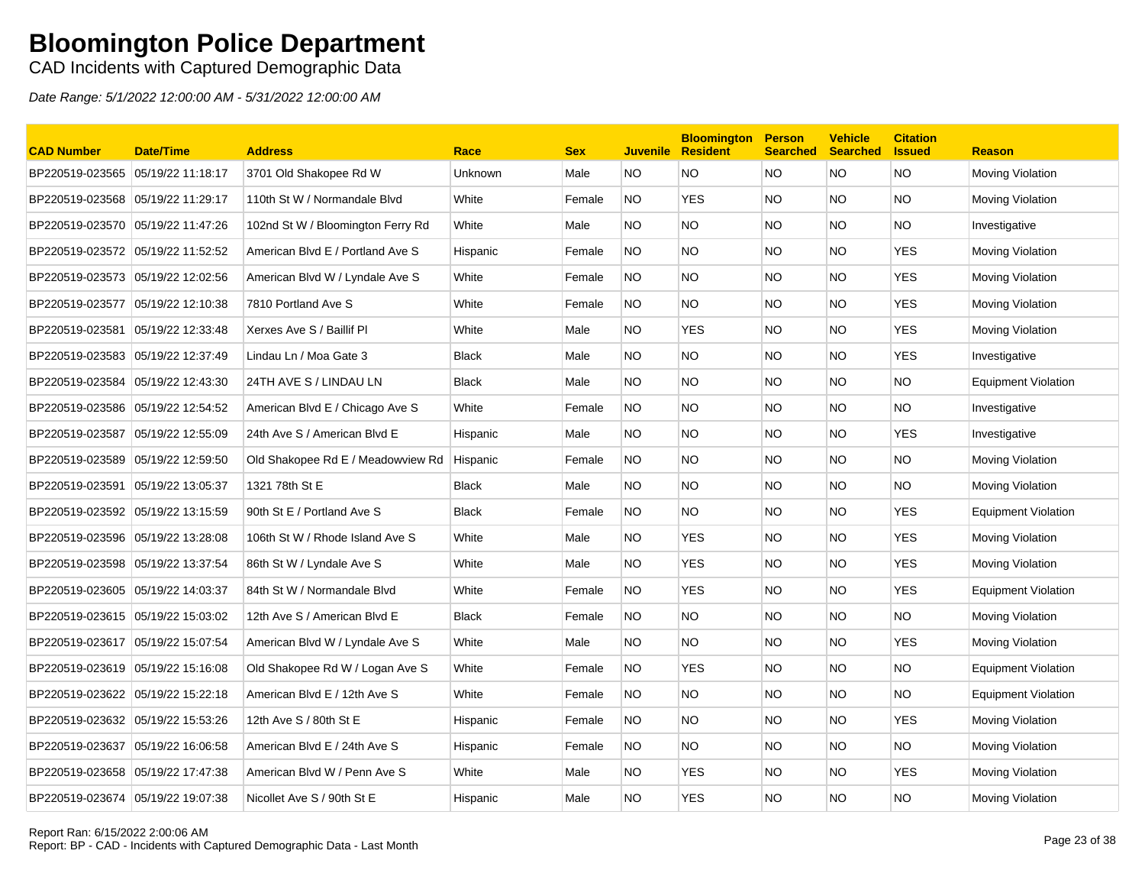### CAD Incidents with Captured Demographic Data

| <b>CAD Number</b>                 | <b>Date/Time</b>  | <b>Address</b>                    | Race         | <b>Sex</b> | <b>Juvenile</b> | <b>Bloomington</b><br><b>Resident</b> | <b>Person</b><br><b>Searched</b> | <b>Vehicle</b><br><b>Searched</b> | <b>Citation</b><br><b>Issued</b> | <b>Reason</b>              |
|-----------------------------------|-------------------|-----------------------------------|--------------|------------|-----------------|---------------------------------------|----------------------------------|-----------------------------------|----------------------------------|----------------------------|
| BP220519-023565                   | 05/19/22 11:18:17 | 3701 Old Shakopee Rd W            | Unknown      | Male       | NO.             | ΝO                                    | <b>NO</b>                        | <b>NO</b>                         | <b>NO</b>                        | Moving Violation           |
| BP220519-023568 05/19/22 11:29:17 |                   | 110th St W / Normandale Blvd      | White        | Female     | NO.             | <b>YES</b>                            | <b>NO</b>                        | NO.                               | <b>NO</b>                        | Moving Violation           |
| BP220519-023570                   | 05/19/22 11:47:26 | 102nd St W / Bloomington Ferry Rd | White        | Male       | NO.             | NO.                                   | <b>NO</b>                        | NO.                               | NO.                              | Investigative              |
| BP220519-023572 05/19/22 11:52:52 |                   | American Blvd E / Portland Ave S  | Hispanic     | Female     | NO.             | NO.                                   | <b>NO</b>                        | NO.                               | <b>YES</b>                       | Moving Violation           |
| BP220519-023573                   | 05/19/22 12:02:56 | American Blvd W / Lyndale Ave S   | White        | Female     | NO.             | NO.                                   | <b>NO</b>                        | NO.                               | <b>YES</b>                       | Moving Violation           |
| BP220519-023577                   | 05/19/22 12:10:38 | 7810 Portland Ave S               | White        | Female     | <b>NO</b>       | <b>NO</b>                             | <b>NO</b>                        | NO.                               | <b>YES</b>                       | Moving Violation           |
| BP220519-023581                   | 05/19/22 12:33:48 | Xerxes Ave S / Baillif Pl         | White        | Male       | NO.             | <b>YES</b>                            | <b>NO</b>                        | NO.                               | <b>YES</b>                       | Moving Violation           |
| BP220519-023583 05/19/22 12:37:49 |                   | Lindau Ln / Moa Gate 3            | <b>Black</b> | Male       | NO.             | <b>NO</b>                             | <b>NO</b>                        | NO.                               | <b>YES</b>                       | Investigative              |
| BP220519-023584                   | 05/19/22 12:43:30 | 24TH AVE S / LINDAU LN            | <b>Black</b> | Male       | NO.             | <b>NO</b>                             | <b>NO</b>                        | NO.                               | <b>NO</b>                        | <b>Equipment Violation</b> |
| BP220519-023586                   | 05/19/22 12:54:52 | American Blvd E / Chicago Ave S   | White        | Female     | <b>NO</b>       | <b>NO</b>                             | <b>NO</b>                        | NO.                               | <b>NO</b>                        | Investigative              |
| BP220519-023587                   | 05/19/22 12:55:09 | 24th Ave S / American Blvd E      | Hispanic     | Male       | NO.             | NO.                                   | <b>NO</b>                        | NO.                               | <b>YES</b>                       | Investigative              |
| BP220519-023589 05/19/22 12:59:50 |                   | Old Shakopee Rd E / Meadowview Rd | Hispanic     | Female     | <b>NO</b>       | NO.                                   | <b>NO</b>                        | NO.                               | <b>NO</b>                        | Moving Violation           |
| BP220519-023591                   | 05/19/22 13:05:37 | 1321 78th St E                    | Black        | Male       | NO.             | <b>NO</b>                             | <b>NO</b>                        | NO.                               | <b>NO</b>                        | Moving Violation           |
| BP220519-023592 05/19/22 13:15:59 |                   | 90th St E / Portland Ave S        | <b>Black</b> | Female     | NO.             | <b>NO</b>                             | <b>NO</b>                        | NO.                               | <b>YES</b>                       | <b>Equipment Violation</b> |
| BP220519-023596 05/19/22 13:28:08 |                   | 106th St W / Rhode Island Ave S   | White        | Male       | NO.             | <b>YES</b>                            | <b>NO</b>                        | NO.                               | <b>YES</b>                       | Moving Violation           |
| BP220519-023598 05/19/22 13:37:54 |                   | 86th St W / Lyndale Ave S         | White        | Male       | NO.             | <b>YES</b>                            | <b>NO</b>                        | NO.                               | <b>YES</b>                       | Moving Violation           |
| BP220519-023605 05/19/22 14:03:37 |                   | 84th St W / Normandale Blvd       | White        | Female     | <b>NO</b>       | <b>YES</b>                            | <b>NO</b>                        | NO.                               | <b>YES</b>                       | <b>Equipment Violation</b> |
| BP220519-023615 05/19/22 15:03:02 |                   | 12th Ave S / American Blvd E      | <b>Black</b> | Female     | NO.             | NO.                                   | <b>NO</b>                        | NO.                               | NO.                              | Moving Violation           |
| BP220519-023617 05/19/22 15:07:54 |                   | American Blvd W / Lyndale Ave S   | White        | Male       | NO.             | NO.                                   | <b>NO</b>                        | NO.                               | <b>YES</b>                       | Moving Violation           |
| BP220519-023619 05/19/22 15:16:08 |                   | Old Shakopee Rd W / Logan Ave S   | White        | Female     | <b>NO</b>       | <b>YES</b>                            | <b>NO</b>                        | NO.                               | NO.                              | <b>Equipment Violation</b> |
| BP220519-023622                   | 05/19/22 15:22:18 | American Blvd E / 12th Ave S      | White        | Female     | NO.             | <b>NO</b>                             | <b>NO</b>                        | NO.                               | <b>NO</b>                        | <b>Equipment Violation</b> |
| BP220519-023632 05/19/22 15:53:26 |                   | 12th Ave S / 80th St E            | Hispanic     | Female     | NO.             | <b>NO</b>                             | <b>NO</b>                        | NO.                               | <b>YES</b>                       | Moving Violation           |
| BP220519-023637 05/19/22 16:06:58 |                   | American Blvd E / 24th Ave S      | Hispanic     | Female     | NO.             | <b>NO</b>                             | <b>NO</b>                        | NO.                               | NO.                              | Moving Violation           |
| BP220519-023658                   | 05/19/22 17:47:38 | American Blvd W / Penn Ave S      | White        | Male       | NO.             | <b>YES</b>                            | <b>NO</b>                        | NO.                               | <b>YES</b>                       | Moving Violation           |
| BP220519-023674 05/19/22 19:07:38 |                   | Nicollet Ave S / 90th St E        | Hispanic     | Male       | NO.             | <b>YES</b>                            | <b>NO</b>                        | <b>NO</b>                         | NO                               | Moving Violation           |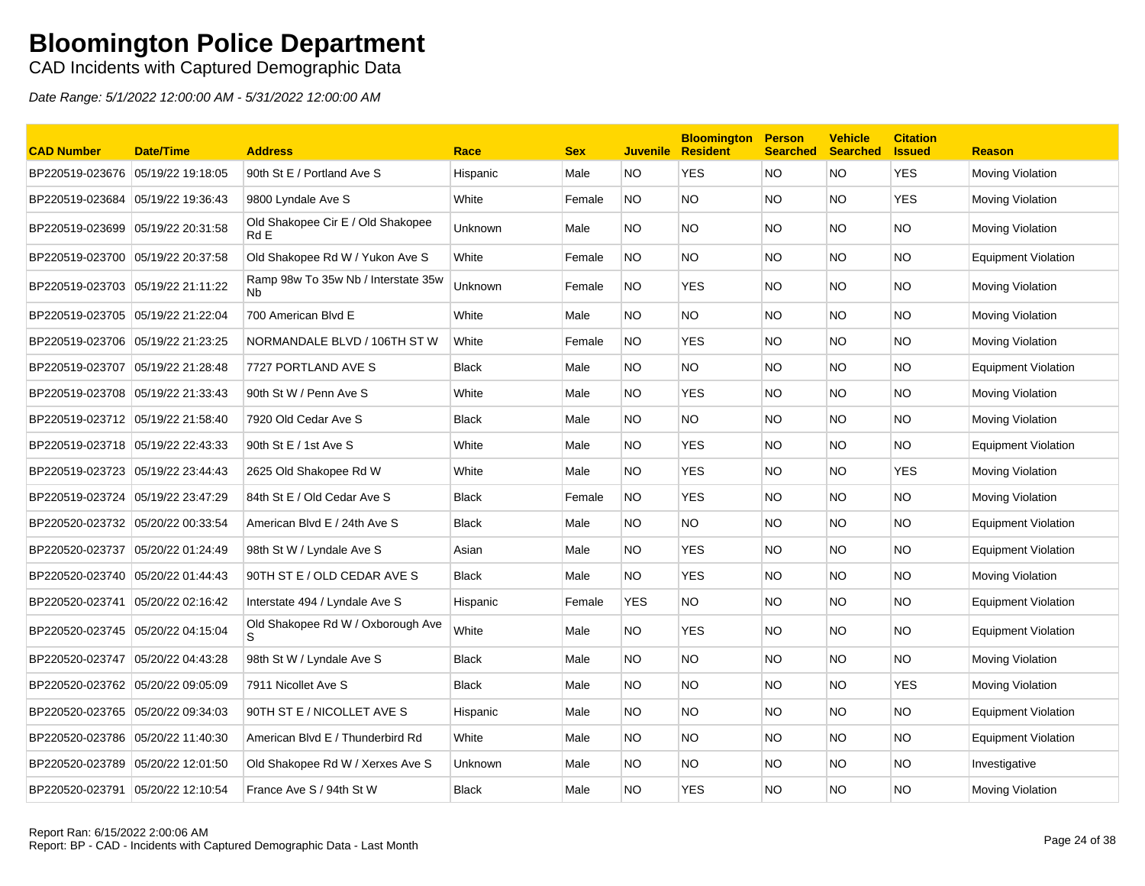CAD Incidents with Captured Demographic Data

| <b>CAD Number</b>                 | <b>Date/Time</b>  | <b>Address</b>                            | Race           | <b>Sex</b> | <b>Juvenile</b> | <b>Bloomington</b><br><b>Resident</b> | <b>Person</b><br><b>Searched</b> | <b>Vehicle</b><br><b>Searched</b> | <b>Citation</b><br><b>Issued</b> | <b>Reason</b>              |
|-----------------------------------|-------------------|-------------------------------------------|----------------|------------|-----------------|---------------------------------------|----------------------------------|-----------------------------------|----------------------------------|----------------------------|
| BP220519-023676                   | 05/19/22 19:18:05 | 90th St E / Portland Ave S                | Hispanic       | Male       | NO.             | <b>YES</b>                            | <b>NO</b>                        | NO.                               | <b>YES</b>                       | Moving Violation           |
| BP220519-023684 05/19/22 19:36:43 |                   | 9800 Lyndale Ave S                        | White          | Female     | NO.             | NO.                                   | <b>NO</b>                        | NO.                               | <b>YES</b>                       | Moving Violation           |
| BP220519-023699 05/19/22 20:31:58 |                   | Old Shakopee Cir E / Old Shakopee<br>Rd E | <b>Unknown</b> | Male       | NO.             | <b>NO</b>                             | <b>NO</b>                        | NO.                               | <b>NO</b>                        | <b>Moving Violation</b>    |
| BP220519-023700                   | 05/19/22 20:37:58 | Old Shakopee Rd W / Yukon Ave S           | White          | Female     | NO.             | NO.                                   | <b>NO</b>                        | NO.                               | <b>NO</b>                        | <b>Equipment Violation</b> |
| BP220519-023703 05/19/22 21:11:22 |                   | Ramp 98w To 35w Nb / Interstate 35w<br>Nb | Unknown        | Female     | NO.             | YES                                   | <b>NO</b>                        | NO.                               | NO.                              | <b>Moving Violation</b>    |
| BP220519-023705                   | 05/19/22 21:22:04 | 700 American Blvd E                       | White          | Male       | NO.             | <b>NO</b>                             | <b>NO</b>                        | NO.                               | <b>NO</b>                        | <b>Moving Violation</b>    |
| BP220519-023706                   | 05/19/22 21:23:25 | NORMANDALE BLVD / 106TH ST W              | White          | Female     | <b>NO</b>       | <b>YES</b>                            | <b>NO</b>                        | NO.                               | <b>NO</b>                        | Moving Violation           |
| BP220519-023707                   | 05/19/22 21:28:48 | 7727 PORTLAND AVE S                       | <b>Black</b>   | Male       | NO.             | NO.                                   | <b>NO</b>                        | NO.                               | <b>NO</b>                        | <b>Equipment Violation</b> |
|                                   |                   | 90th St W / Penn Ave S                    | White          | Male       | NO.             | <b>YES</b>                            | <b>NO</b>                        | NO.                               | <b>NO</b>                        | Moving Violation           |
| BP220519-023712 05/19/22 21:58:40 |                   | 7920 Old Cedar Ave S                      | <b>Black</b>   | Male       | NO.             | NO.                                   | <b>NO</b>                        | NO.                               | <b>NO</b>                        | Moving Violation           |
| BP220519-023718 05/19/22 22:43:33 |                   | 90th St E / 1st Ave S                     | White          | Male       | NO.             | <b>YES</b>                            | <b>NO</b>                        | NO.                               | NO.                              | <b>Equipment Violation</b> |
| BP220519-023723                   | 05/19/22 23:44:43 | 2625 Old Shakopee Rd W                    | White          | Male       | NO.             | <b>YES</b>                            | <b>NO</b>                        | NO.                               | <b>YES</b>                       | <b>Moving Violation</b>    |
| BP220519-023724                   | 05/19/22 23:47:29 | 84th St E / Old Cedar Ave S               | <b>Black</b>   | Female     | NO.             | <b>YES</b>                            | <b>NO</b>                        | NO.                               | <b>NO</b>                        | Moving Violation           |
| BP220520-023732 05/20/22 00:33:54 |                   | American Blvd E / 24th Ave S              | <b>Black</b>   | Male       | NO.             | NO.                                   | <b>NO</b>                        | NO.                               | <b>NO</b>                        | <b>Equipment Violation</b> |
| BP220520-023737                   | 05/20/22 01:24:49 | 98th St W / Lyndale Ave S                 | Asian          | Male       | NO.             | <b>YES</b>                            | <b>NO</b>                        | NO.                               | <b>NO</b>                        | <b>Equipment Violation</b> |
| BP220520-023740 05/20/22 01:44:43 |                   | 90TH ST E / OLD CEDAR AVE S               | <b>Black</b>   | Male       | NO.             | <b>YES</b>                            | <b>NO</b>                        | NO.                               | <b>NO</b>                        | Moving Violation           |
| BP220520-023741                   | 05/20/22 02:16:42 | Interstate 494 / Lyndale Ave S            | Hispanic       | Female     | <b>YES</b>      | NO.                                   | <b>NO</b>                        | NO.                               | <b>NO</b>                        | <b>Equipment Violation</b> |
| BP220520-023745                   | 05/20/22 04:15:04 | Old Shakopee Rd W / Oxborough Ave<br>S.   | White          | Male       | NO.             | <b>YES</b>                            | <b>NO</b>                        | NO.                               | NO.                              | <b>Equipment Violation</b> |
| BP220520-023747                   | 05/20/22 04:43:28 | 98th St W / Lyndale Ave S                 | <b>Black</b>   | Male       | NO.             | <b>NO</b>                             | <b>NO</b>                        | NO.                               | <b>NO</b>                        | Moving Violation           |
| BP220520-023762 05/20/22 09:05:09 |                   | 7911 Nicollet Ave S                       | <b>Black</b>   | Male       | NO.             | <b>NO</b>                             | <b>NO</b>                        | NO.                               | <b>YES</b>                       | <b>Moving Violation</b>    |
| BP220520-023765                   | 05/20/22 09:34:03 | 90TH ST E / NICOLLET AVE S                | Hispanic       | Male       | NO.             | <b>NO</b>                             | <b>NO</b>                        | NO.                               | <b>NO</b>                        | <b>Equipment Violation</b> |
| BP220520-023786                   | 05/20/22 11:40:30 | American Blvd E / Thunderbird Rd          | White          | Male       | NO.             | <b>NO</b>                             | <b>NO</b>                        | NO.                               | <b>NO</b>                        | <b>Equipment Violation</b> |
| BP220520-023789                   | 05/20/22 12:01:50 | Old Shakopee Rd W / Xerxes Ave S          | Unknown        | Male       | NO.             | <b>NO</b>                             | <b>NO</b>                        | NO.                               | <b>NO</b>                        | Investigative              |
| BP220520-023791                   | 05/20/22 12:10:54 | France Ave S / 94th St W                  | <b>Black</b>   | Male       | NO.             | <b>YES</b>                            | <b>NO</b>                        | <b>NO</b>                         | <b>NO</b>                        | Moving Violation           |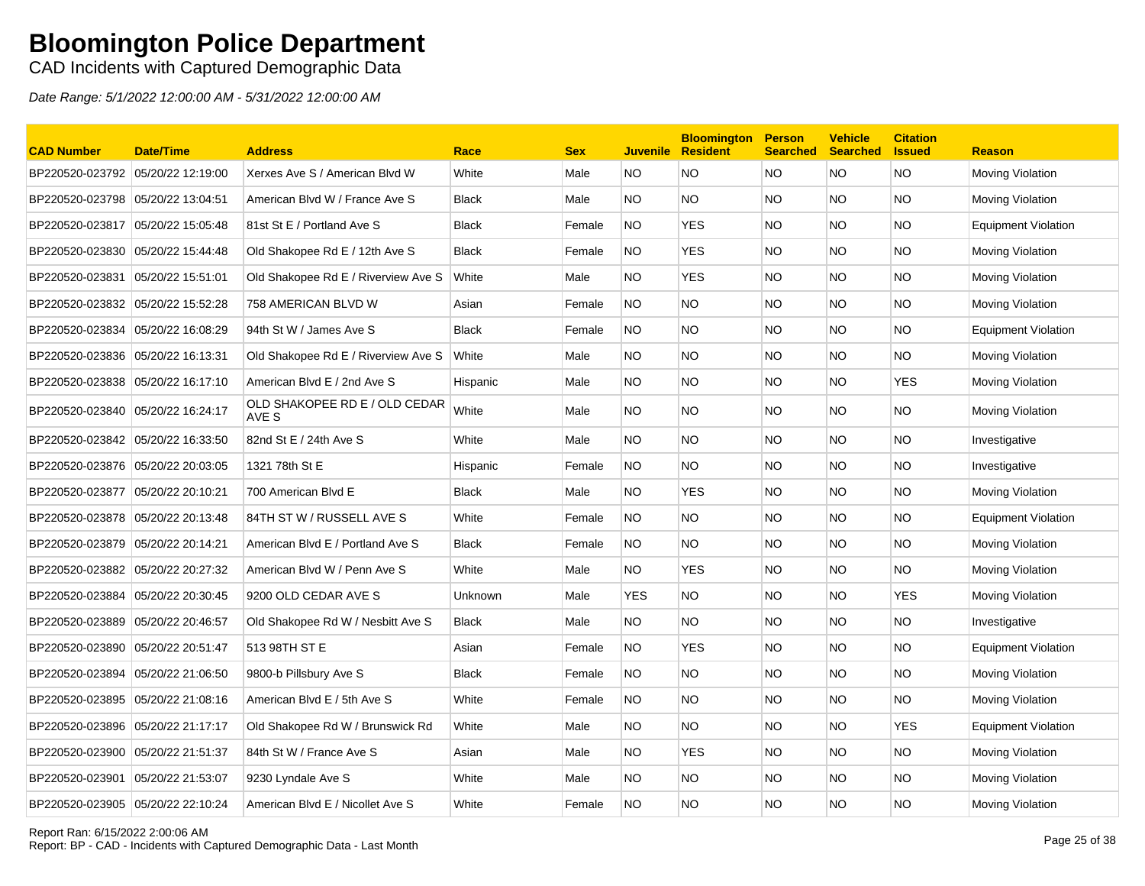### CAD Incidents with Captured Demographic Data

| <b>CAD Number</b>                 | <b>Date/Time</b>  | <b>Address</b>                         | Race         | <b>Sex</b> | <b>Juvenile</b> | <b>Bloomington</b><br><b>Resident</b> | <b>Person</b><br><b>Searched</b> | <b>Vehicle</b><br><b>Searched</b> | <b>Citation</b><br><b>Issued</b> | <b>Reason</b>           |
|-----------------------------------|-------------------|----------------------------------------|--------------|------------|-----------------|---------------------------------------|----------------------------------|-----------------------------------|----------------------------------|-------------------------|
| BP220520-023792                   | 05/20/22 12:19:00 | Xerxes Ave S / American Blvd W         | White        | Male       | NO.             | <b>NO</b>                             | <b>NO</b>                        | NO.                               | <b>NO</b>                        | Moving Violation        |
| BP220520-023798                   | 05/20/22 13:04:51 | American Blvd W / France Ave S         | <b>Black</b> | Male       | NO.             | <b>NO</b>                             | <b>NO</b>                        | NO.                               | <b>NO</b>                        | Moving Violation        |
| BP220520-023817                   | 05/20/22 15:05:48 | 81st St E / Portland Ave S             | <b>Black</b> | Female     | NO.             | <b>YES</b>                            | NO.                              | NO.                               | <b>NO</b>                        | Equipment Violation     |
| BP220520-023830 05/20/22 15:44:48 |                   | Old Shakopee Rd E / 12th Ave S         | <b>Black</b> | Female     | NO.             | <b>YES</b>                            | NO.                              | NO.                               | NO.                              | Moving Violation        |
| BP220520-023831                   | 05/20/22 15:51:01 | Old Shakopee Rd E / Riverview Ave S    | White        | Male       | NO.             | <b>YES</b>                            | NO.                              | NO                                | <b>NO</b>                        | Moving Violation        |
| BP220520-023832 05/20/22 15:52:28 |                   | 758 AMERICAN BLVD W                    | Asian        | Female     | NO.             | <b>NO</b>                             | <b>NO</b>                        | NO.                               | NO.                              | Moving Violation        |
| BP220520-023834                   | 05/20/22 16:08:29 | 94th St W / James Ave S                | <b>Black</b> | Female     | NO.             | <b>NO</b>                             | NO.                              | NO.                               | <b>NO</b>                        | Equipment Violation     |
| BP220520-023836                   | 05/20/22 16:13:31 | Old Shakopee Rd E / Riverview Ave S    | White        | Male       | NO.             | <b>NO</b>                             | <b>NO</b>                        | NO.                               | <b>NO</b>                        | Moving Violation        |
| BP220520-023838 05/20/22 16:17:10 |                   | American Blvd E / 2nd Ave S            | Hispanic     | Male       | NO.             | <b>NO</b>                             | <b>NO</b>                        | NO.                               | <b>YES</b>                       | Moving Violation        |
| BP220520-023840 05/20/22 16:24:17 |                   | OLD SHAKOPEE RD E / OLD CEDAR<br>AVE S | White        | Male       | NO.             | <b>NO</b>                             | NO.                              | NO.                               | <b>NO</b>                        | Moving Violation        |
| BP220520-023842 05/20/22 16:33:50 |                   | 82nd St E / 24th Ave S                 | White        | Male       | NO.             | <b>NO</b>                             | <b>NO</b>                        | <b>NO</b>                         | <b>NO</b>                        | Investigative           |
| BP220520-023876                   | 05/20/22 20:03:05 | 1321 78th St E                         | Hispanic     | Female     | NO.             | <b>NO</b>                             | <b>NO</b>                        | NO                                | <b>NO</b>                        | Investigative           |
| BP220520-023877 05/20/22 20:10:21 |                   | 700 American Blvd E                    | <b>Black</b> | Male       | NO.             | <b>YES</b>                            | NO.                              | <b>NO</b>                         | <b>NO</b>                        | Moving Violation        |
| BP220520-023878 05/20/22 20:13:48 |                   | 84TH ST W / RUSSELL AVE S              | White        | Female     | NO.             | <b>NO</b>                             | <b>NO</b>                        | NO.                               | <b>NO</b>                        | Equipment Violation     |
| BP220520-023879 05/20/22 20:14:21 |                   | American Blvd E / Portland Ave S       | <b>Black</b> | Female     | NO.             | <b>NO</b>                             | NO.                              | NO.                               | NO.                              | Moving Violation        |
| BP220520-023882                   | 05/20/22 20:27:32 | American Blvd W / Penn Ave S           | White        | Male       | <b>NO</b>       | <b>YES</b>                            | <b>NO</b>                        | <b>NO</b>                         | <b>NO</b>                        | Moving Violation        |
| BP220520-023884 05/20/22 20:30:45 |                   | 9200 OLD CEDAR AVE S                   | Unknown      | Male       | YES             | <b>NO</b>                             | NO.                              | NO                                | <b>YES</b>                       | <b>Moving Violation</b> |
| BP220520-023889                   | 05/20/22 20:46:57 | Old Shakopee Rd W / Nesbitt Ave S      | <b>Black</b> | Male       | NO.             | <b>NO</b>                             | <b>NO</b>                        | NO.                               | <b>NO</b>                        | Investigative           |
| BP220520-023890                   | 05/20/22 20:51:47 | 513 98TH ST E                          | Asian        | Female     | NO.             | <b>YES</b>                            | <b>NO</b>                        | NO.                               | <b>NO</b>                        | Equipment Violation     |
| BP220520-023894                   | 05/20/22 21:06:50 | 9800-b Pillsbury Ave S                 | <b>Black</b> | Female     | NO.             | <b>NO</b>                             | <b>NO</b>                        | NO.                               | <b>NO</b>                        | Moving Violation        |
| BP220520-023895                   | 05/20/22 21:08:16 | American Blvd E / 5th Ave S            | White        | Female     | NO.             | <b>NO</b>                             | NO.                              | NO.                               | NO.                              | Moving Violation        |
| BP220520-023896 05/20/22 21:17:17 |                   | Old Shakopee Rd W / Brunswick Rd       | White        | Male       | <b>NO</b>       | <b>NO</b>                             | <b>NO</b>                        | <b>NO</b>                         | <b>YES</b>                       | Equipment Violation     |
| BP220520-023900                   | 05/20/22 21:51:37 | 84th St W / France Ave S               | Asian        | Male       | <b>NO</b>       | <b>YES</b>                            | NO.                              | NO.                               | <b>NO</b>                        | Moving Violation        |
| BP220520-023901                   | 05/20/22 21:53:07 | 9230 Lyndale Ave S                     | White        | Male       | NO.             | <b>NO</b>                             | <b>NO</b>                        | NO.                               | <b>NO</b>                        | Moving Violation        |
| BP220520-023905 05/20/22 22:10:24 |                   | American Blvd E / Nicollet Ave S       | White        | Female     | <b>NO</b>       | <b>NO</b>                             | <b>NO</b>                        | <b>NO</b>                         | <b>NO</b>                        | Moving Violation        |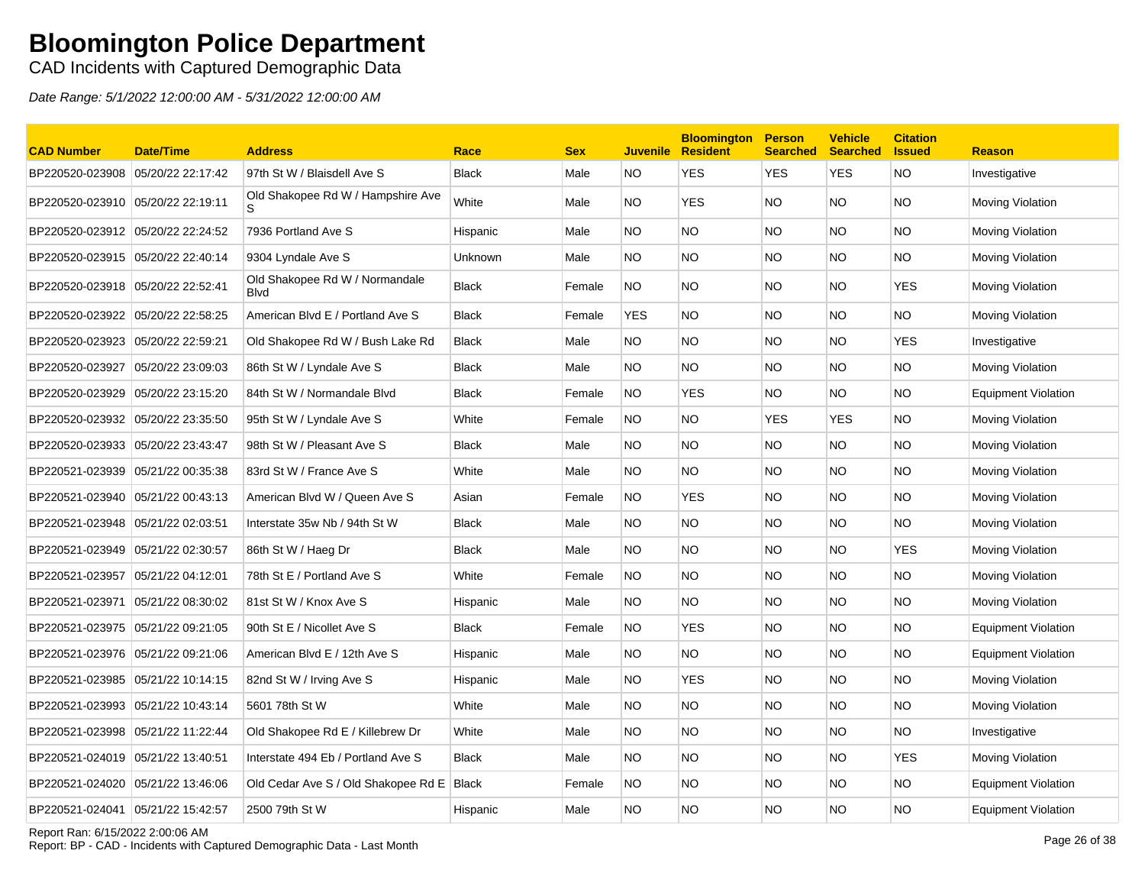CAD Incidents with Captured Demographic Data

Date Range: 5/1/2022 12:00:00 AM - 5/31/2022 12:00:00 AM

| <b>CAD Number</b>                 | <b>Date/Time</b>  | <b>Address</b>                                | Race         | <b>Sex</b> |            | <b>Bloomington</b><br><b>Juvenile Resident</b> | <b>Person</b><br><b>Searched</b> | <b>Vehicle</b><br>Searched Issued | <b>Citation</b> | <b>Reason</b>              |
|-----------------------------------|-------------------|-----------------------------------------------|--------------|------------|------------|------------------------------------------------|----------------------------------|-----------------------------------|-----------------|----------------------------|
| BP220520-023908                   | 05/20/22 22:17:42 | 97th St W / Blaisdell Ave S                   | <b>Black</b> | Male       | NO.        | <b>YES</b>                                     | <b>YES</b>                       | <b>YES</b>                        | <b>NO</b>       | Investigative              |
| BP220520-023910 05/20/22 22:19:11 |                   | Old Shakopee Rd W / Hampshire Ave             | White        | Male       | NO.        | <b>YES</b>                                     | NO.                              | NO.                               | <b>NO</b>       | Moving Violation           |
| BP220520-023912 05/20/22 22:24:52 |                   | 7936 Portland Ave S                           | Hispanic     | Male       | NO.        | <b>NO</b>                                      | <b>NO</b>                        | NO.                               | <b>NO</b>       | Moving Violation           |
| BP220520-023915 05/20/22 22:40:14 |                   | 9304 Lyndale Ave S                            | Unknown      | Male       | NO.        | <b>NO</b>                                      | <b>NO</b>                        | NO.                               | <b>NO</b>       | Moving Violation           |
| BP220520-023918 05/20/22 22:52:41 |                   | Old Shakopee Rd W / Normandale<br><b>Blvd</b> | <b>Black</b> | Female     | NO.        | <b>NO</b>                                      | NO.                              | NO.                               | <b>YES</b>      | Moving Violation           |
| BP220520-023922 05/20/22 22:58:25 |                   | American Blvd E / Portland Ave S              | <b>Black</b> | Female     | <b>YES</b> | <b>NO</b>                                      | <b>NO</b>                        | <b>NO</b>                         | <b>NO</b>       | Moving Violation           |
| BP220520-023923 05/20/22 22:59:21 |                   | Old Shakopee Rd W / Bush Lake Rd              | <b>Black</b> | Male       | NO.        | <b>NO</b>                                      | NO.                              | NO.                               | <b>YES</b>      | Investigative              |
| BP220520-023927                   | 05/20/22 23:09:03 | 86th St W / Lyndale Ave S                     | <b>Black</b> | Male       | NO.        | <b>NO</b>                                      | NO.                              | NO.                               | <b>NO</b>       | Moving Violation           |
| BP220520-023929                   | 05/20/22 23:15:20 | 84th St W / Normandale Blvd                   | <b>Black</b> | Female     | <b>NO</b>  | <b>YES</b>                                     | <b>NO</b>                        | NO.                               | <b>NO</b>       | <b>Equipment Violation</b> |
| BP220520-023932 05/20/22 23:35:50 |                   | 95th St W / Lyndale Ave S                     | White        | Female     | NO.        | NO.                                            | <b>YES</b>                       | <b>YES</b>                        | <b>NO</b>       | Moving Violation           |
| BP220520-023933                   | 05/20/22 23:43:47 | 98th St W / Pleasant Ave S                    | <b>Black</b> | Male       | NO.        | <b>NO</b>                                      | <b>NO</b>                        | NO.                               | <b>NO</b>       | Moving Violation           |
| BP220521-023939 05/21/22 00:35:38 |                   | 83rd St W / France Ave S                      | White        | Male       | NO.        | <b>NO</b>                                      | NO.                              | NO.                               | <b>NO</b>       | Moving Violation           |
| BP220521-023940                   | 05/21/22 00:43:13 | American Blvd W / Queen Ave S                 | Asian        | Female     | NO.        | <b>YES</b>                                     | NO.                              | NO.                               | <b>NO</b>       | Moving Violation           |
| BP220521-023948                   | 05/21/22 02:03:51 | Interstate 35w Nb / 94th St W                 | <b>Black</b> | Male       | NO.        | <b>NO</b>                                      | <b>NO</b>                        | NO.                               | <b>NO</b>       | Moving Violation           |
| BP220521-023949 05/21/22 02:30:57 |                   | 86th St W / Haeg Dr                           | <b>Black</b> | Male       | NO.        | <b>NO</b>                                      | NO.                              | NO.                               | <b>YES</b>      | Moving Violation           |
| BP220521-023957                   | 05/21/22 04:12:01 | 78th St E / Portland Ave S                    | White        | Female     | NO.        | <b>NO</b>                                      | NO.                              | NO.                               | <b>NO</b>       | Moving Violation           |
| BP220521-023971                   | 05/21/22 08:30:02 | 81st St W / Knox Ave S                        | Hispanic     | Male       | NO.        | <b>NO</b>                                      | <b>NO</b>                        | <b>NO</b>                         | <b>NO</b>       | Moving Violation           |
| BP220521-023975 05/21/22 09:21:05 |                   | 90th St E / Nicollet Ave S                    | <b>Black</b> | Female     | <b>NO</b>  | <b>YES</b>                                     | NO.                              | NO.                               | <b>NO</b>       | <b>Equipment Violation</b> |
| BP220521-023976 05/21/22 09:21:06 |                   | American Blvd E / 12th Ave S                  | Hispanic     | Male       | NO.        | <b>NO</b>                                      | <b>NO</b>                        | NO.                               | <b>NO</b>       | <b>Equipment Violation</b> |
| BP220521-023985 05/21/22 10:14:15 |                   | 82nd St W / Irving Ave S                      | Hispanic     | Male       | NO.        | <b>YES</b>                                     | NO.                              | NO.                               | <b>NO</b>       | Moving Violation           |
| BP220521-023993                   | 05/21/22 10:43:14 | 5601 78th St W                                | White        | Male       | NO.        | <b>NO</b>                                      | NO.                              | NO.                               | <b>NO</b>       | Moving Violation           |
| BP220521-023998 05/21/22 11:22:44 |                   | Old Shakopee Rd E / Killebrew Dr              | White        | Male       | NO.        | <b>NO</b>                                      | <b>NO</b>                        | <b>NO</b>                         | <b>NO</b>       | Investigative              |
| BP220521-024019 05/21/22 13:40:51 |                   | Interstate 494 Eb / Portland Ave S            | <b>Black</b> | Male       | NO.        | <b>NO</b>                                      | <b>NO</b>                        | NO.                               | <b>YES</b>      | Moving Violation           |
| BP220521-024020                   | 05/21/22 13:46:06 | Old Cedar Ave S / Old Shakopee Rd E   Black   |              | Female     | NO.        | <b>NO</b>                                      | NO.                              | NO.                               | <b>NO</b>       | <b>Equipment Violation</b> |
| BP220521-024041                   | 05/21/22 15:42:57 | 2500 79th St W                                | Hispanic     | Male       | NO.        | <b>NO</b>                                      | <b>NO</b>                        | NO.                               | <b>NO</b>       | Equipment Violation        |

Report Ran: 6/15/2022 2:00:06 AM

Report: BP - CAD - Incidents with Captured Demographic Data - Last Month Page 26 of 38<br>Report: BP - CAD - Incidents with Captured Demographic Data - Last Month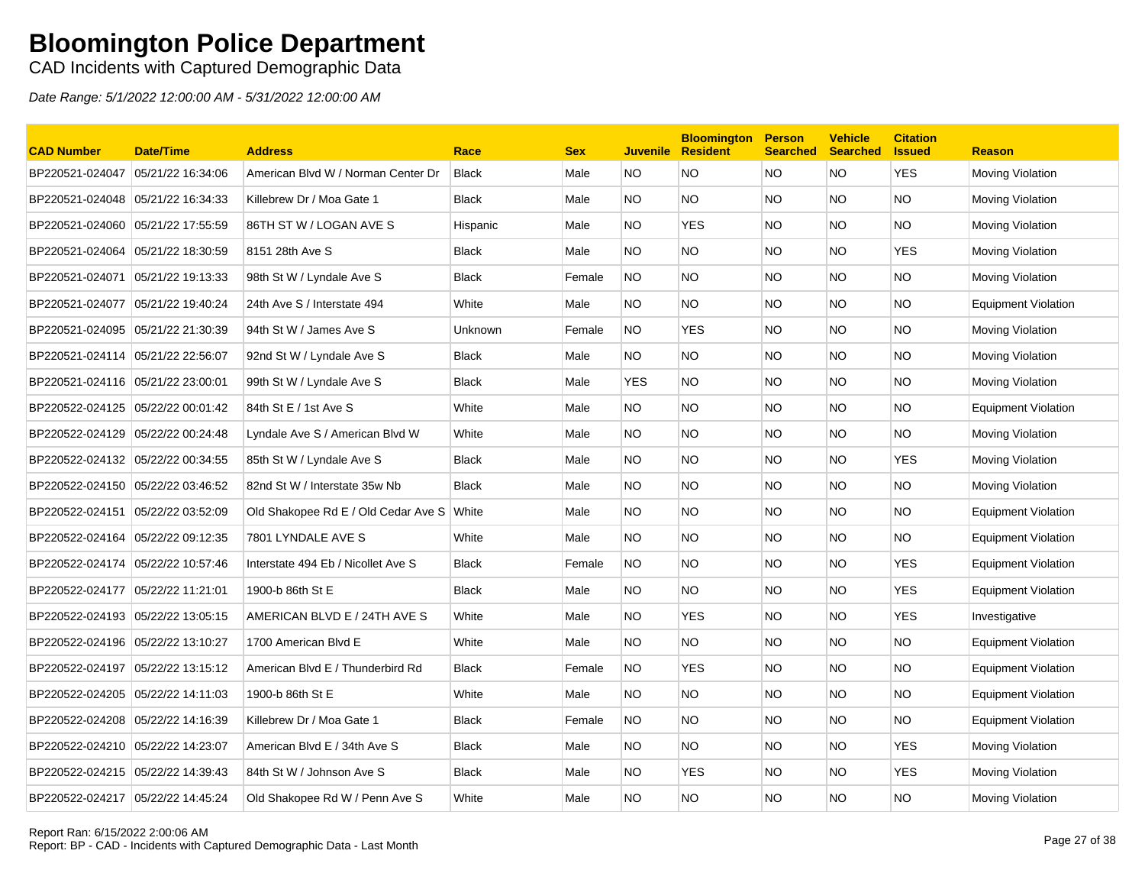### CAD Incidents with Captured Demographic Data

| <b>CAD Number</b>                 | Date/Time         | <b>Address</b>                      | Race           | <b>Sex</b> | <b>Juvenile</b> | <b>Bloomington</b><br><b>Resident</b> | <b>Person</b><br><b>Searched</b> | <b>Vehicle</b><br><b>Searched</b> | <b>Citation</b><br><b>Issued</b> | <b>Reason</b>              |
|-----------------------------------|-------------------|-------------------------------------|----------------|------------|-----------------|---------------------------------------|----------------------------------|-----------------------------------|----------------------------------|----------------------------|
| BP220521-024047                   | 05/21/22 16:34:06 | American Blvd W / Norman Center Dr  | <b>Black</b>   | Male       | NO.             | NO.                                   | <b>NO</b>                        | <b>NO</b>                         | <b>YES</b>                       | Moving Violation           |
| BP220521-024048 05/21/22 16:34:33 |                   | Killebrew Dr / Moa Gate 1           | <b>Black</b>   | Male       | NO.             | <b>NO</b>                             | <b>NO</b>                        | NO.                               | <b>NO</b>                        | Moving Violation           |
| BP220521-024060                   | 05/21/22 17:55:59 | 86TH ST W / LOGAN AVE S             | Hispanic       | Male       | NO.             | <b>YES</b>                            | <b>NO</b>                        | NO.                               | <b>NO</b>                        | Moving Violation           |
| BP220521-024064                   | 05/21/22 18:30:59 | 8151 28th Ave S                     | <b>Black</b>   | Male       | NO.             | NO.                                   | <b>NO</b>                        | NO.                               | YES                              | Moving Violation           |
| BP220521-024071                   | 05/21/22 19:13:33 | 98th St W / Lyndale Ave S           | <b>Black</b>   | Female     | NO.             | NO.                                   | <b>NO</b>                        | NO.                               | NO.                              | Moving Violation           |
| BP220521-024077                   | 05/21/22 19:40:24 | 24th Ave S / Interstate 494         | White          | Male       | NO.             | <b>NO</b>                             | <b>NO</b>                        | NO.                               | NO.                              | <b>Equipment Violation</b> |
| BP220521-024095 05/21/22 21:30:39 |                   | 94th St W / James Ave S             | <b>Unknown</b> | Female     | <b>NO</b>       | <b>YES</b>                            | <b>NO</b>                        | NO.                               | <b>NO</b>                        | Moving Violation           |
|                                   |                   | 92nd St W / Lyndale Ave S           | <b>Black</b>   | Male       | NO.             | <b>NO</b>                             | <b>NO</b>                        | NO.                               | <b>NO</b>                        | Moving Violation           |
| BP220521-024116 05/21/22 23:00:01 |                   | 99th St W / Lyndale Ave S           | <b>Black</b>   | Male       | <b>YES</b>      | NO.                                   | <b>NO</b>                        | NO.                               | <b>NO</b>                        | Moving Violation           |
| BP220522-024125 05/22/22 00:01:42 |                   | 84th St E / 1st Ave S               | White          | Male       | NO.             | <b>NO</b>                             | <b>NO</b>                        | NO.                               | <b>NO</b>                        | <b>Equipment Violation</b> |
| BP220522-024129 05/22/22 00:24:48 |                   | Lyndale Ave S / American Blvd W     | White          | Male       | NO.             | NO.                                   | <b>NO</b>                        | NO.                               | NO.                              | Moving Violation           |
| BP220522-024132 05/22/22 00:34:55 |                   | 85th St W / Lyndale Ave S           | <b>Black</b>   | Male       | NO.             | NO.                                   | <b>NO</b>                        | NO.                               | <b>YES</b>                       | Moving Violation           |
| BP220522-024150 05/22/22 03:46:52 |                   | 82nd St W / Interstate 35w Nb       | Black          | Male       | NO.             | NO.                                   | <b>NO</b>                        | NO.                               | NO.                              | Moving Violation           |
| BP220522-024151                   | 05/22/22 03:52:09 | Old Shakopee Rd E / Old Cedar Ave S | White          | Male       | NO.             | <b>NO</b>                             | <b>NO</b>                        | NO.                               | <b>NO</b>                        | <b>Equipment Violation</b> |
| BP220522-024164 05/22/22 09:12:35 |                   | 7801 LYNDALE AVE S                  | White          | Male       | NO.             | <b>NO</b>                             | <b>NO</b>                        | NO.                               | <b>NO</b>                        | <b>Equipment Violation</b> |
| BP220522-024174 05/22/22 10:57:46 |                   | Interstate 494 Eb / Nicollet Ave S  | <b>Black</b>   | Female     | <b>NO</b>       | <b>NO</b>                             | <b>NO</b>                        | NO.                               | <b>YES</b>                       | <b>Equipment Violation</b> |
| BP220522-024177                   | 05/22/22 11:21:01 | 1900-b 86th St E                    | <b>Black</b>   | Male       | NO.             | <b>NO</b>                             | <b>NO</b>                        | NO.                               | <b>YES</b>                       | <b>Equipment Violation</b> |
| BP220522-024193 05/22/22 13:05:15 |                   | AMERICAN BLVD E / 24TH AVE S        | White          | Male       | NO.             | <b>YES</b>                            | <b>NO</b>                        | NO.                               | <b>YES</b>                       | Investigative              |
| BP220522-024196 05/22/22 13:10:27 |                   | 1700 American Blvd E                | White          | Male       | NO.             | NO.                                   | <b>NO</b>                        | NO.                               | NO.                              | <b>Equipment Violation</b> |
| BP220522-024197                   | 05/22/22 13:15:12 | American Blvd E / Thunderbird Rd    | <b>Black</b>   | Female     | NO.             | <b>YES</b>                            | <b>NO</b>                        | NO.                               | NO.                              | <b>Equipment Violation</b> |
| BP220522-024205                   | 05/22/22 14:11:03 | 1900-b 86th St E                    | White          | Male       | NO.             | <b>NO</b>                             | <b>NO</b>                        | NO.                               | <b>NO</b>                        | <b>Equipment Violation</b> |
|                                   |                   | Killebrew Dr / Moa Gate 1           | <b>Black</b>   | Female     | NO.             | <b>NO</b>                             | <b>NO</b>                        | NO.                               | <b>NO</b>                        | Equipment Violation        |
| BP220522-024210 05/22/22 14:23:07 |                   | American Blvd E / 34th Ave S        | <b>Black</b>   | Male       | NO.             | NO.                                   | <b>NO</b>                        | NO.                               | <b>YES</b>                       | Moving Violation           |
| BP220522-024215                   | 05/22/22 14:39:43 | 84th St W / Johnson Ave S           | <b>Black</b>   | Male       | NO.             | <b>YES</b>                            | <b>NO</b>                        | NO.                               | <b>YES</b>                       | Moving Violation           |
|                                   |                   | Old Shakopee Rd W / Penn Ave S      | White          | Male       | NO.             | ΝO                                    | <b>NO</b>                        | NO.                               | NO                               | Moving Violation           |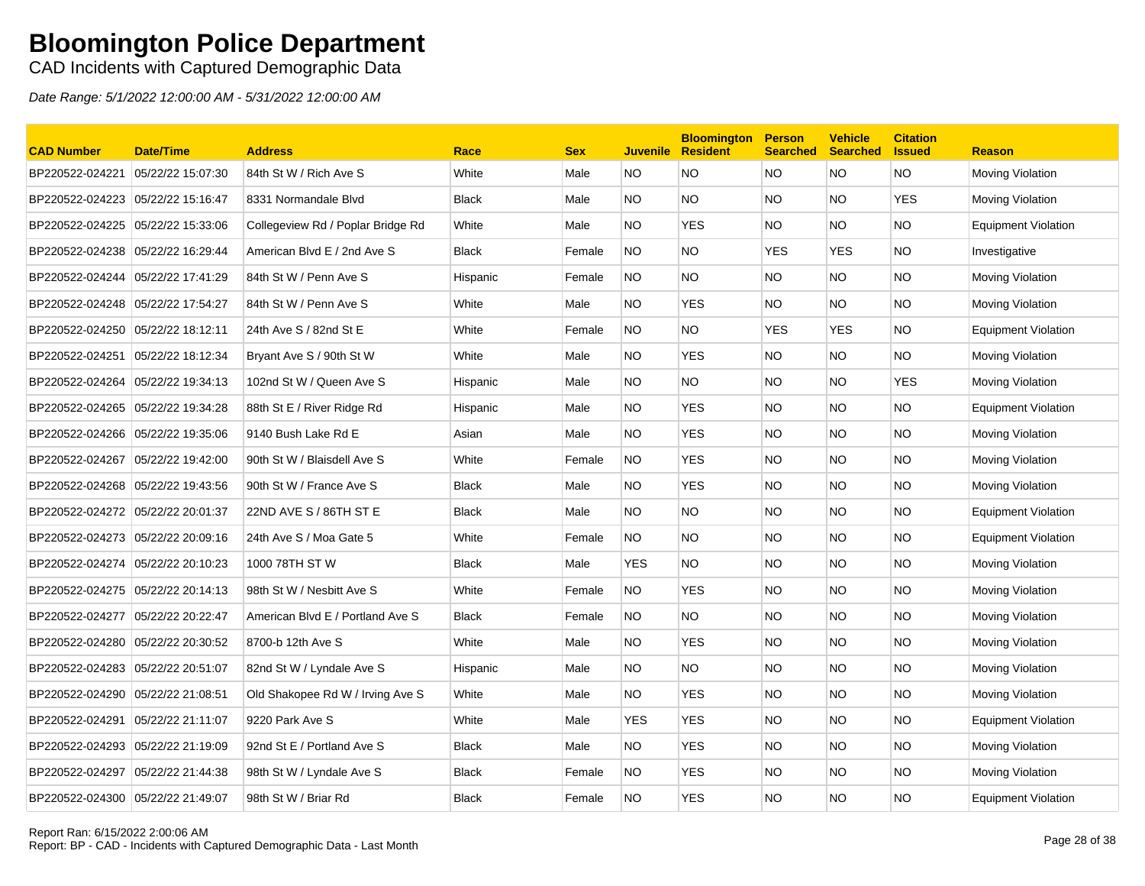### CAD Incidents with Captured Demographic Data

| <b>CAD Number</b>                 | <b>Date/Time</b>  | <b>Address</b>                    | Race         | <b>Sex</b> | <b>Juvenile</b> | <b>Bloomington</b><br><b>Resident</b> | <b>Person</b><br><b>Searched</b> | <b>Vehicle</b><br><b>Searched</b> | <b>Citation</b><br><b>Issued</b> | <b>Reason</b>              |
|-----------------------------------|-------------------|-----------------------------------|--------------|------------|-----------------|---------------------------------------|----------------------------------|-----------------------------------|----------------------------------|----------------------------|
| BP220522-024221                   | 05/22/22 15:07:30 | 84th St W / Rich Ave S            | White        | Male       | NO.             | <b>NO</b>                             | <b>NO</b>                        | <b>NO</b>                         | <b>NO</b>                        | Moving Violation           |
| BP220522-024223                   | 05/22/22 15:16:47 | 8331 Normandale Blvd              | <b>Black</b> | Male       | NO.             | <b>NO</b>                             | NO.                              | NO.                               | <b>YES</b>                       | <b>Moving Violation</b>    |
| BP220522-024225                   | 05/22/22 15:33:06 | Collegeview Rd / Poplar Bridge Rd | White        | Male       | NO.             | <b>YES</b>                            | <b>NO</b>                        | <b>NO</b>                         | <b>NO</b>                        | <b>Equipment Violation</b> |
| BP220522-024238 05/22/22 16:29:44 |                   | American Blvd E / 2nd Ave S       | <b>Black</b> | Female     | NO.             | <b>NO</b>                             | <b>YES</b>                       | <b>YES</b>                        | <b>NO</b>                        | Investigative              |
| BP220522-024244                   | 05/22/22 17:41:29 | 84th St W / Penn Ave S            | Hispanic     | Female     | <b>NO</b>       | <b>NO</b>                             | NO.                              | NO.                               | <b>NO</b>                        | Moving Violation           |
| BP220522-024248 05/22/22 17:54:27 |                   | 84th St W / Penn Ave S            | White        | Male       | NO.             | YES.                                  | NO.                              | NO.                               | <b>NO</b>                        | Moving Violation           |
| BP220522-024250 05/22/22 18:12:11 |                   | 24th Ave S / 82nd St E            | White        | Female     | NO.             | <b>NO</b>                             | <b>YES</b>                       | <b>YES</b>                        | <b>NO</b>                        | <b>Equipment Violation</b> |
| BP220522-024251 05/22/22 18:12:34 |                   | Bryant Ave S / 90th St W          | White        | Male       | NO.             | <b>YES</b>                            | NO.                              | NO.                               | <b>NO</b>                        | <b>Moving Violation</b>    |
| BP220522-024264                   | 05/22/22 19:34:13 | 102nd St W / Queen Ave S          | Hispanic     | Male       | NO.             | <b>NO</b>                             | NO.                              | NO.                               | <b>YES</b>                       | <b>Moving Violation</b>    |
| BP220522-024265                   | 05/22/22 19:34:28 | 88th St E / River Ridge Rd        | Hispanic     | Male       | NO.             | <b>YES</b>                            | <b>NO</b>                        | <b>NO</b>                         | <b>NO</b>                        | <b>Equipment Violation</b> |
| BP220522-024266 05/22/22 19:35:06 |                   | 9140 Bush Lake Rd E               | Asian        | Male       | NO.             | <b>YES</b>                            | NO.                              | NO.                               | <b>NO</b>                        | <b>Moving Violation</b>    |
| BP220522-024267                   | 05/22/22 19:42:00 | 90th St W / Blaisdell Ave S       | White        | Female     | <b>NO</b>       | <b>YES</b>                            | NO.                              | NO.                               | <b>NO</b>                        | Moving Violation           |
| BP220522-024268 05/22/22 19:43:56 |                   | 90th St W / France Ave S          | <b>Black</b> | Male       | NO.             | YES.                                  | NO.                              | NO.                               | <b>NO</b>                        | Moving Violation           |
| BP220522-024272                   | 05/22/22 20:01:37 | 22ND AVE S / 86TH ST E            | <b>Black</b> | Male       | NO.             | <b>NO</b>                             | NO.                              | NO.                               | <b>NO</b>                        | <b>Equipment Violation</b> |
| BP220522-024273 05/22/22 20:09:16 |                   | 24th Ave S / Moa Gate 5           | White        | Female     | NO.             | <b>NO</b>                             | NO.                              | NO.                               | <b>NO</b>                        | Equipment Violation        |
| BP220522-024274 05/22/22 20:10:23 |                   | 1000 78TH ST W                    | <b>Black</b> | Male       | <b>YES</b>      | <b>NO</b>                             | <b>NO</b>                        | NO.                               | <b>NO</b>                        | Moving Violation           |
| BP220522-024275 05/22/22 20:14:13 |                   | 98th St W / Nesbitt Ave S         | White        | Female     | <b>NO</b>       | <b>YES</b>                            | NO.                              | NO.                               | <b>NO</b>                        | <b>Moving Violation</b>    |
| BP220522-024277                   | 05/22/22 20:22:47 | American Blvd E / Portland Ave S  | <b>Black</b> | Female     | NO.             | <b>NO</b>                             | <b>NO</b>                        | NO.                               | <b>NO</b>                        | Moving Violation           |
| BP220522-024280 05/22/22 20:30:52 |                   | 8700-b 12th Ave S                 | White        | Male       | NO.             | <b>YES</b>                            | NO.                              | NO.                               | <b>NO</b>                        | Moving Violation           |
| BP220522-024283 05/22/22 20:51:07 |                   | 82nd St W / Lyndale Ave S         | Hispanic     | Male       | NO.             | NO.                                   | NO.                              | NO.                               | <b>NO</b>                        | Moving Violation           |
| BP220522-024290                   | 05/22/22 21:08:51 | Old Shakopee Rd W / Irving Ave S  | White        | Male       | NO.             | <b>YES</b>                            | NO.                              | NO.                               | <b>NO</b>                        | Moving Violation           |
| BP220522-024291                   | 05/22/22 21:11:07 | 9220 Park Ave S                   | White        | Male       | <b>YES</b>      | <b>YES</b>                            | NO.                              | NO.                               | <b>NO</b>                        | <b>Equipment Violation</b> |
| BP220522-024293 05/22/22 21:19:09 |                   | 92nd St E / Portland Ave S        | <b>Black</b> | Male       | NO.             | <b>YES</b>                            | <b>NO</b>                        | NO.                               | <b>NO</b>                        | Moving Violation           |
| BP220522-024297                   | 05/22/22 21:44:38 | 98th St W / Lyndale Ave S         | <b>Black</b> | Female     | NO.             | <b>YES</b>                            | NO.                              | NO.                               | <b>NO</b>                        | Moving Violation           |
| BP220522-024300 05/22/22 21:49:07 |                   | 98th St W / Briar Rd              | <b>Black</b> | Female     | <b>NO</b>       | <b>YES</b>                            | <b>NO</b>                        | <b>NO</b>                         | <b>NO</b>                        | <b>Equipment Violation</b> |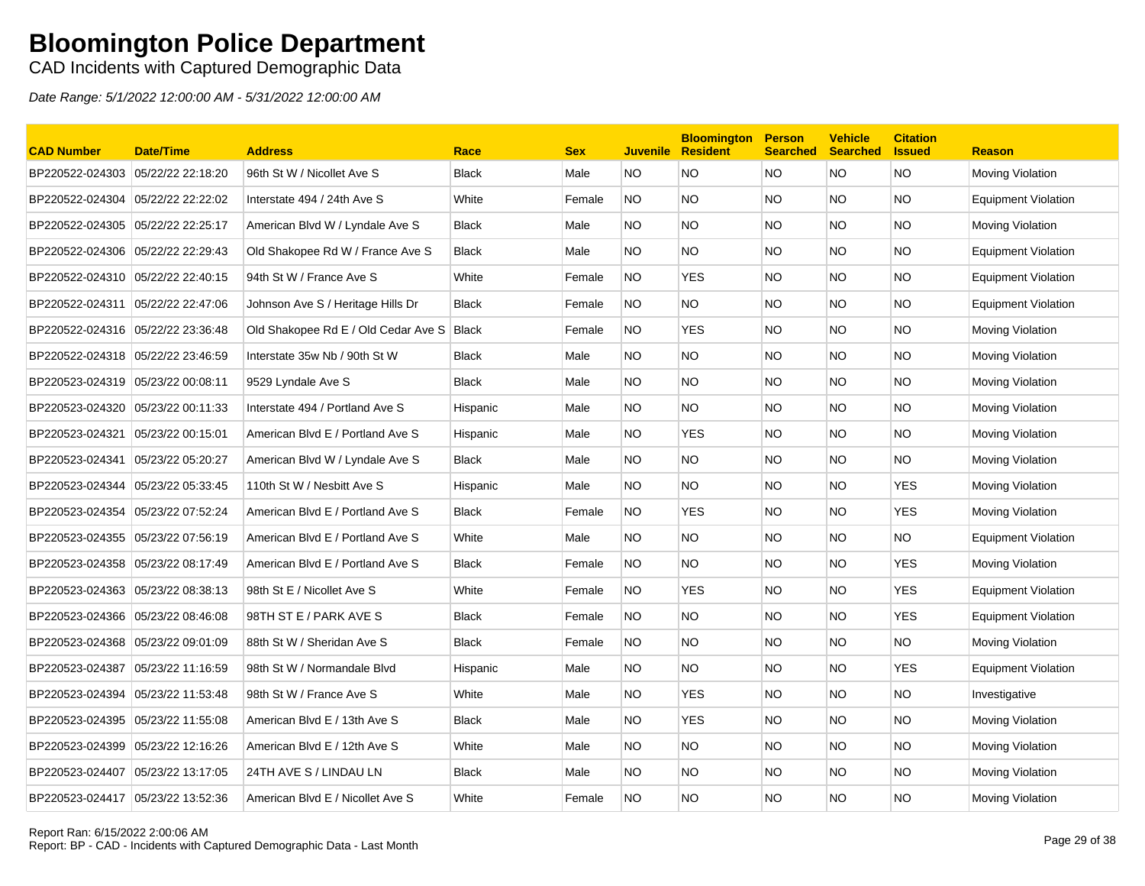### CAD Incidents with Captured Demographic Data

| <b>CAD Number</b>                 | <b>Date/Time</b>  | <b>Address</b>                              | Race         | <b>Sex</b> | <b>Juvenile</b> | <b>Bloomington</b><br><b>Resident</b> | <b>Person</b><br><b>Searched</b> | <b>Vehicle</b><br><b>Searched</b> | <b>Citation</b><br><b>Issued</b> | <b>Reason</b>              |
|-----------------------------------|-------------------|---------------------------------------------|--------------|------------|-----------------|---------------------------------------|----------------------------------|-----------------------------------|----------------------------------|----------------------------|
| BP220522-024303                   | 05/22/22 22:18:20 | 96th St W / Nicollet Ave S                  | <b>Black</b> | Male       | NO.             | <b>NO</b>                             | NO.                              | NO.                               | <b>NO</b>                        | Moving Violation           |
| BP220522-024304                   | 05/22/22 22:22:02 | Interstate 494 / 24th Ave S                 | White        | Female     | NO.             | <b>NO</b>                             | <b>NO</b>                        | NO.                               | <b>NO</b>                        | <b>Equipment Violation</b> |
| BP220522-024305                   | 05/22/22 22:25:17 | American Blvd W / Lyndale Ave S             | <b>Black</b> | Male       | NO.             | <b>NO</b>                             | <b>NO</b>                        | <b>NO</b>                         | <b>NO</b>                        | Moving Violation           |
| BP220522-024306 05/22/22 22:29:43 |                   | Old Shakopee Rd W / France Ave S            | <b>Black</b> | Male       | NO.             | <b>NO</b>                             | NO.                              | NO.                               | <b>NO</b>                        | <b>Equipment Violation</b> |
| BP220522-024310 05/22/22 22:40:15 |                   | 94th St W / France Ave S                    | White        | Female     | NO.             | <b>YES</b>                            | NO.                              | NO.                               | NO.                              | Equipment Violation        |
| BP220522-024311 05/22/22 22:47:06 |                   | Johnson Ave S / Heritage Hills Dr           | Black        | Female     | NO.             | <b>NO</b>                             | NO.                              | NO                                | <b>NO</b>                        | Equipment Violation        |
| BP220522-024316 05/22/22 23:36:48 |                   | Old Shakopee Rd E / Old Cedar Ave S   Black |              | Female     | <b>NO</b>       | <b>YES</b>                            | NO.                              | NO.                               | <b>NO</b>                        | Moving Violation           |
| BP220522-024318 05/22/22 23:46:59 |                   | Interstate 35w Nb / 90th St W               | <b>Black</b> | Male       | NO.             | <b>NO</b>                             | NO.                              | NO                                | <b>NO</b>                        | Moving Violation           |
| BP220523-024319 05/23/22 00:08:11 |                   | 9529 Lyndale Ave S                          | <b>Black</b> | Male       | NO.             | <b>NO</b>                             | <b>NO</b>                        | NO.                               | <b>NO</b>                        | Moving Violation           |
| BP220523-024320 05/23/22 00:11:33 |                   | Interstate 494 / Portland Ave S             | Hispanic     | Male       | NO.             | <b>NO</b>                             | <b>NO</b>                        | <b>NO</b>                         | <b>NO</b>                        | Moving Violation           |
| BP220523-024321                   | 05/23/22 00:15:01 | American Blvd E / Portland Ave S            | Hispanic     | Male       | NO.             | <b>YES</b>                            | <b>NO</b>                        | NO.                               | NO.                              | <b>Moving Violation</b>    |
| BP220523-024341                   | 05/23/22 05:20:27 | American Blvd W / Lyndale Ave S             | <b>Black</b> | Male       | NO.             | <b>NO</b>                             | NO.                              | NO.                               | <b>NO</b>                        | Moving Violation           |
| BP220523-024344                   | 05/23/22 05:33:45 | 110th St W / Nesbitt Ave S                  | Hispanic     | Male       | NO.             | <b>NO</b>                             | NO.                              | NO.                               | <b>YES</b>                       | Moving Violation           |
| BP220523-024354                   | 05/23/22 07:52:24 | American Blvd E / Portland Ave S            | <b>Black</b> | Female     | <b>NO</b>       | <b>YES</b>                            | NO.                              | <b>NO</b>                         | <b>YES</b>                       | Moving Violation           |
| BP220523-024355 05/23/22 07:56:19 |                   | American Blvd E / Portland Ave S            | White        | Male       | NO.             | <b>NO</b>                             | NO.                              | NO.                               | <b>NO</b>                        | <b>Equipment Violation</b> |
| BP220523-024358 05/23/22 08:17:49 |                   | American Blvd E / Portland Ave S            | <b>Black</b> | Female     | NO.             | <b>NO</b>                             | <b>NO</b>                        | NO.                               | <b>YES</b>                       | Moving Violation           |
| BP220523-024363                   | 05/23/22 08:38:13 | 98th St E / Nicollet Ave S                  | White        | Female     | NO.             | <b>YES</b>                            | <b>NO</b>                        | NO.                               | <b>YES</b>                       | Equipment Violation        |
| BP220523-024366 05/23/22 08:46:08 |                   | 98TH ST E / PARK AVE S                      | <b>Black</b> | Female     | NO.             | <b>NO</b>                             | <b>NO</b>                        | NO.                               | <b>YES</b>                       | <b>Equipment Violation</b> |
| BP220523-024368 05/23/22 09:01:09 |                   | 88th St W / Sheridan Ave S                  | <b>Black</b> | Female     | NO.             | <b>NO</b>                             | NO.                              | NO.                               | <b>NO</b>                        | Moving Violation           |
| BP220523-024387                   | 05/23/22 11:16:59 | 98th St W / Normandale Blvd                 | Hispanic     | Male       | NO.             | <b>NO</b>                             | NO.                              | NO.                               | <b>YES</b>                       | Equipment Violation        |
| BP220523-024394                   | 05/23/22 11:53:48 | 98th St W / France Ave S                    | White        | Male       | <b>NO</b>       | <b>YES</b>                            | <b>NO</b>                        | <b>NO</b>                         | <b>NO</b>                        | Investigative              |
| BP220523-024395 05/23/22 11:55:08 |                   | American Blvd E / 13th Ave S                | <b>Black</b> | Male       | NO.             | <b>YES</b>                            | NO.                              | NO.                               | <b>NO</b>                        | <b>Moving Violation</b>    |
| BP220523-024399 05/23/22 12:16:26 |                   | American Blvd E / 12th Ave S                | White        | Male       | NO.             | <b>NO</b>                             | NO.                              | NO.                               | <b>NO</b>                        | Moving Violation           |
| BP220523-024407                   | 05/23/22 13:17:05 | 24TH AVE S / LINDAU LN                      | <b>Black</b> | Male       | NO.             | <b>NO</b>                             | NO.                              | NO.                               | <b>NO</b>                        | Moving Violation           |
| BP220523-024417 05/23/22 13:52:36 |                   | American Blvd E / Nicollet Ave S            | White        | Female     | <b>NO</b>       | <b>NO</b>                             | <b>NO</b>                        | NO.                               | <b>NO</b>                        | Moving Violation           |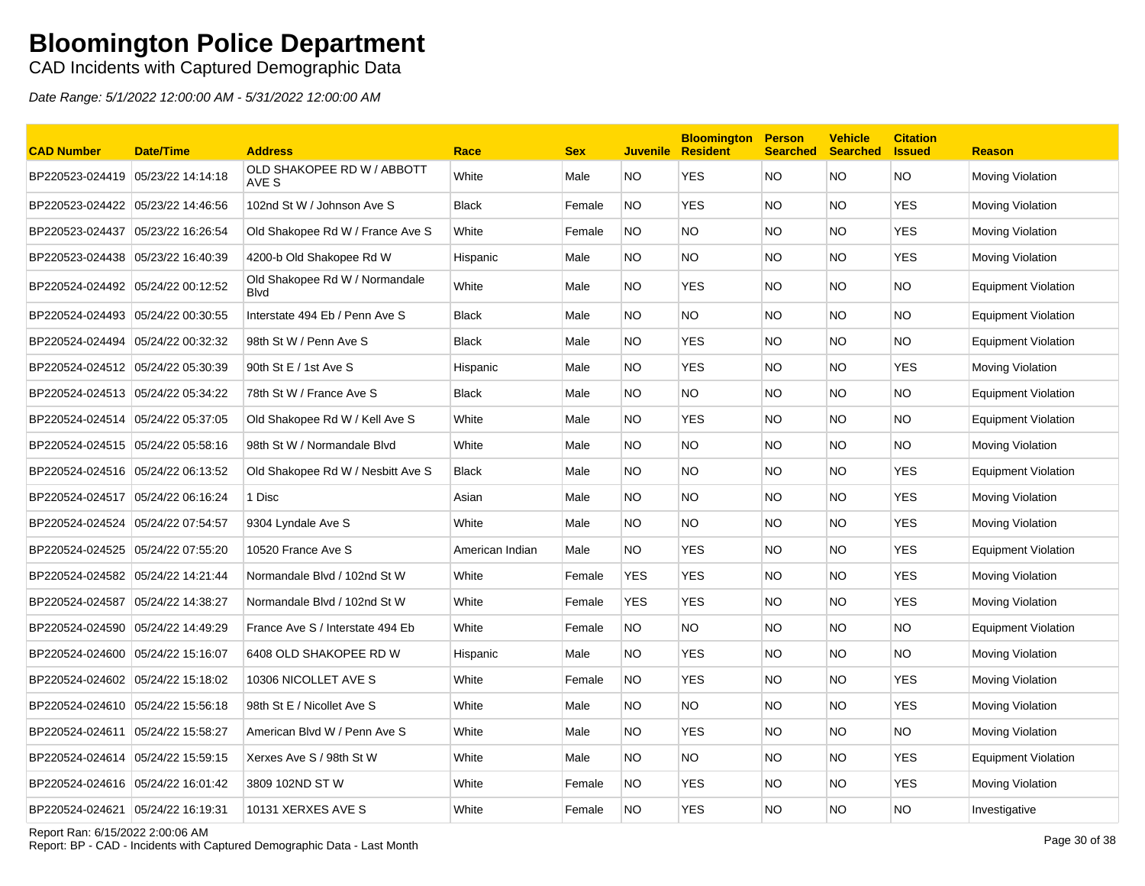CAD Incidents with Captured Demographic Data

Date Range: 5/1/2022 12:00:00 AM - 5/31/2022 12:00:00 AM

| <b>CAD Number</b>                 | <b>Date/Time</b>  | <b>Address</b>                                | Race            | <b>Sex</b> | Juvenile   | <b>Bloomington</b><br><b>Resident</b> | <b>Person</b><br><b>Searched</b> | <b>Vehicle</b><br>Searched Issued | <b>Citation</b> | <b>Reason</b>              |
|-----------------------------------|-------------------|-----------------------------------------------|-----------------|------------|------------|---------------------------------------|----------------------------------|-----------------------------------|-----------------|----------------------------|
| BP220523-024419 05/23/22 14:14:18 |                   | OLD SHAKOPEE RD W / ABBOTT<br>AVE S           | White           | Male       | NO.        | <b>YES</b>                            | NO.                              | NO.                               | <b>NO</b>       | <b>Moving Violation</b>    |
| BP220523-024422                   | 05/23/22 14:46:56 | 102nd St W / Johnson Ave S                    | <b>Black</b>    | Female     | NO.        | <b>YES</b>                            | NO.                              | NO.                               | <b>YES</b>      | Moving Violation           |
| BP220523-024437                   | 05/23/22 16:26:54 | Old Shakopee Rd W / France Ave S              | White           | Female     | NO.        | <b>NO</b>                             | <b>NO</b>                        | NO.                               | <b>YES</b>      | Moving Violation           |
| BP220523-024438 05/23/22 16:40:39 |                   | 4200-b Old Shakopee Rd W                      | Hispanic        | Male       | NO.        | NO.                                   | NO.                              | NO.                               | YES             | <b>Moving Violation</b>    |
| BP220524-024492 05/24/22 00:12:52 |                   | Old Shakopee Rd W / Normandale<br><b>Blvd</b> | White           | Male       | NO.        | YES                                   | NO.                              | NO.                               | <b>NO</b>       | <b>Equipment Violation</b> |
| BP220524-024493 05/24/22 00:30:55 |                   | Interstate 494 Eb / Penn Ave S                | <b>Black</b>    | Male       | NO.        | NO.                                   | NO.                              | NO.                               | <b>NO</b>       | <b>Equipment Violation</b> |
|                                   |                   | 98th St W / Penn Ave S                        | <b>Black</b>    | Male       | NO.        | <b>YES</b>                            | NO.                              | NO.                               | <b>NO</b>       | Equipment Violation        |
| BP220524-024512 05/24/22 05:30:39 |                   | 90th St E / 1st Ave S                         | Hispanic        | Male       | NO.        | <b>YES</b>                            | NO.                              | NO.                               | <b>YES</b>      | <b>Moving Violation</b>    |
| BP220524-024513 05/24/22 05:34:22 |                   | 78th St W / France Ave S                      | <b>Black</b>    | Male       | NO.        | NO.                                   | NO.                              | NO.                               | <b>NO</b>       | <b>Equipment Violation</b> |
| BP220524-024514 05/24/22 05:37:05 |                   | Old Shakopee Rd W / Kell Ave S                | White           | Male       | NO.        | <b>YES</b>                            | NO.                              | NO.                               | <b>NO</b>       | <b>Equipment Violation</b> |
| BP220524-024515 05/24/22 05:58:16 |                   | 98th St W / Normandale Blvd                   | White           | Male       | NO.        | <b>NO</b>                             | <b>NO</b>                        | NO.                               | <b>NO</b>       | <b>Moving Violation</b>    |
|                                   |                   | Old Shakopee Rd W / Nesbitt Ave S             | <b>Black</b>    | Male       | NO.        | <b>NO</b>                             | <b>NO</b>                        | NO.                               | <b>YES</b>      | Equipment Violation        |
|                                   |                   | 1 Disc                                        | Asian           | Male       | NO.        | <b>NO</b>                             | NO.                              | NO.                               | YES             | <b>Moving Violation</b>    |
| BP220524-024524                   | 05/24/22 07:54:57 | 9304 Lyndale Ave S                            | White           | Male       | NO.        | NO.                                   | NO.                              | NO.                               | YES             | Moving Violation           |
| BP220524-024525 05/24/22 07:55:20 |                   | 10520 France Ave S                            | American Indian | Male       | NO.        | <b>YES</b>                            | NO.                              | NO.                               | YES             | <b>Equipment Violation</b> |
| BP220524-024582 05/24/22 14:21:44 |                   | Normandale Blvd / 102nd St W                  | White           | Female     | <b>YES</b> | <b>YES</b>                            | <b>NO</b>                        | NO.                               | <b>YES</b>      | Moving Violation           |
|                                   |                   | Normandale Blvd / 102nd St W                  | White           | Female     | <b>YES</b> | <b>YES</b>                            | NO.                              | NO.                               | <b>YES</b>      | <b>Moving Violation</b>    |
| BP220524-024590                   | 05/24/22 14:49:29 | France Ave S / Interstate 494 Eb              | White           | Female     | NO.        | NO.                                   | <b>NO</b>                        | NO.                               | <b>NO</b>       | <b>Equipment Violation</b> |
| BP220524-024600 05/24/22 15:16:07 |                   | 6408 OLD SHAKOPEE RD W                        | Hispanic        | Male       | NO.        | <b>YES</b>                            | NO.                              | NO.                               | <b>NO</b>       | Moving Violation           |
| BP220524-024602 05/24/22 15:18:02 |                   | 10306 NICOLLET AVE S                          | White           | Female     | NO.        | <b>YES</b>                            | NO.                              | NO.                               | YES             | Moving Violation           |
| BP220524-024610 05/24/22 15:56:18 |                   | 98th St E / Nicollet Ave S                    | White           | Male       | NO.        | <b>NO</b>                             | NO.                              | NO.                               | <b>YES</b>      | Moving Violation           |
| BP220524-024611 05/24/22 15:58:27 |                   | American Blvd W / Penn Ave S                  | White           | Male       | NO.        | YES                                   | NO.                              | NO.                               | <b>NO</b>       | <b>Moving Violation</b>    |
| BP220524-024614 05/24/22 15:59:15 |                   | Xerxes Ave S / 98th St W                      | White           | Male       | NO.        | <b>NO</b>                             | NO.                              | NO.                               | YES             | <b>Equipment Violation</b> |
| BP220524-024616 05/24/22 16:01:42 |                   | 3809 102ND ST W                               | White           | Female     | NO.        | <b>YES</b>                            | NO.                              | NO.                               | YES             | Moving Violation           |
| BP220524-024621 05/24/22 16:19:31 |                   | 10131 XERXES AVE S                            | White           | Female     | NO.        | <b>YES</b>                            | <b>NO</b>                        | NO.                               | <b>NO</b>       | Investigative              |

Report Ran: 6/15/2022 2:00:06 AM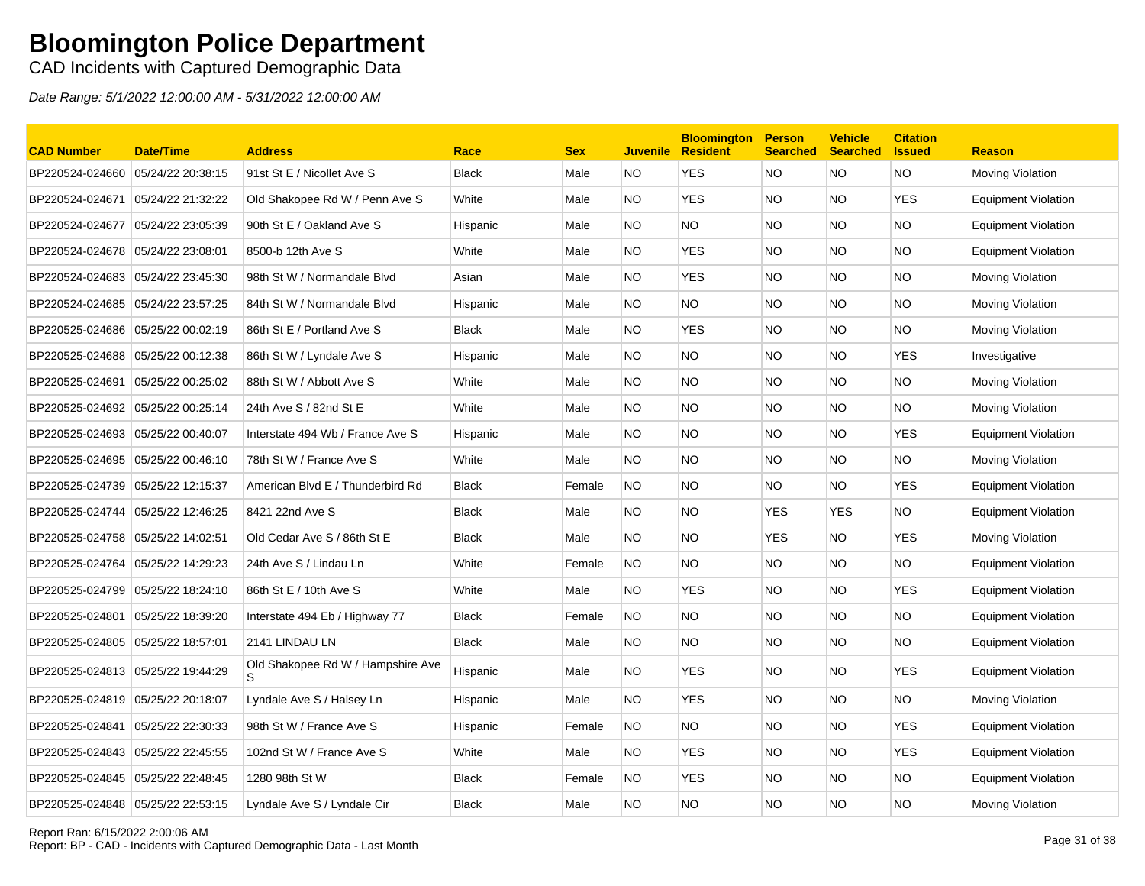### CAD Incidents with Captured Demographic Data

| <b>CAD Number</b>                 | <b>Date/Time</b>  | <b>Address</b>                    | Race         | <b>Sex</b> | <b>Juvenile</b> | <b>Bloomington</b><br><b>Resident</b> | <b>Person</b><br><b>Searched</b> | <b>Vehicle</b><br><b>Searched</b> | <b>Citation</b><br><b>Issued</b> | <b>Reason</b>              |
|-----------------------------------|-------------------|-----------------------------------|--------------|------------|-----------------|---------------------------------------|----------------------------------|-----------------------------------|----------------------------------|----------------------------|
| BP220524-024660                   | 05/24/22 20:38:15 | 91st St E / Nicollet Ave S        | <b>Black</b> | Male       | NO              | <b>YES</b>                            | <b>NO</b>                        | NO.                               | <b>NO</b>                        | Moving Violation           |
| BP220524-024671                   | 05/24/22 21:32:22 | Old Shakopee Rd W / Penn Ave S    | White        | Male       | NO.             | <b>YES</b>                            | <b>NO</b>                        | <b>NO</b>                         | <b>YES</b>                       | <b>Equipment Violation</b> |
| BP220524-024677                   | 05/24/22 23:05:39 | 90th St E / Oakland Ave S         | Hispanic     | Male       | NO.             | <b>NO</b>                             | NO.                              | NO.                               | <b>NO</b>                        | Equipment Violation        |
| BP220524-024678                   | 05/24/22 23:08:01 | 8500-b 12th Ave S                 | White        | Male       | NO.             | <b>YES</b>                            | NO.                              | NO.                               | <b>NO</b>                        | <b>Equipment Violation</b> |
| BP220524-024683                   | 05/24/22 23:45:30 | 98th St W / Normandale Blvd       | Asian        | Male       | NO.             | <b>YES</b>                            | NO.                              | NO.                               | <b>NO</b>                        | Moving Violation           |
|                                   |                   | 84th St W / Normandale Blvd       | Hispanic     | Male       | NO.             | <b>NO</b>                             | NO.                              | <b>NO</b>                         | <b>NO</b>                        | Moving Violation           |
| BP220525-024686 05/25/22 00:02:19 |                   | 86th St E / Portland Ave S        | <b>Black</b> | Male       | NO.             | <b>YES</b>                            | NO.                              | NO.                               | <b>NO</b>                        | Moving Violation           |
| BP220525-024688                   | 05/25/22 00:12:38 | 86th St W / Lyndale Ave S         | Hispanic     | Male       | NO.             | <b>NO</b>                             | NO.                              | NO.                               | <b>YES</b>                       | Investigative              |
| BP220525-024691                   | 05/25/22 00:25:02 | 88th St W / Abbott Ave S          | White        | Male       | NO.             | <b>NO</b>                             | <b>NO</b>                        | NO.                               | <b>NO</b>                        | Moving Violation           |
| BP220525-024692                   | 05/25/22 00:25:14 | 24th Ave S / 82nd St E            | White        | Male       | NO.             | <b>NO</b>                             | NO.                              | NO.                               | <b>NO</b>                        | Moving Violation           |
| BP220525-024693                   | 05/25/22 00:40:07 | Interstate 494 Wb / France Ave S  | Hispanic     | Male       | NO.             | <b>NO</b>                             | NO.                              | NO.                               | <b>YES</b>                       | <b>Equipment Violation</b> |
| BP220525-024695 05/25/22 00:46:10 |                   | 78th St W / France Ave S          | White        | Male       | <b>NO</b>       | <b>NO</b>                             | <b>NO</b>                        | NO                                | <b>NO</b>                        | Moving Violation           |
| BP220525-024739 05/25/22 12:15:37 |                   | American Blvd E / Thunderbird Rd  | <b>Black</b> | Female     | <b>NO</b>       | <b>NO</b>                             | NO.                              | NO.                               | <b>YES</b>                       | Equipment Violation        |
| BP220525-024744                   | 05/25/22 12:46:25 | 8421 22nd Ave S                   | <b>Black</b> | Male       | NO.             | <b>NO</b>                             | <b>YES</b>                       | <b>YES</b>                        | <b>NO</b>                        | <b>Equipment Violation</b> |
| BP220525-024758                   | 05/25/22 14:02:51 | Old Cedar Ave S / 86th St E       | <b>Black</b> | Male       | NO.             | <b>NO</b>                             | <b>YES</b>                       | NO.                               | <b>YES</b>                       | Moving Violation           |
| BP220525-024764                   | 05/25/22 14:29:23 | 24th Ave S / Lindau Ln            | White        | Female     | <b>NO</b>       | <b>NO</b>                             | NO.                              | NO.                               | <b>NO</b>                        | Equipment Violation        |
| BP220525-024799                   | 05/25/22 18:24:10 | 86th St E / 10th Ave S            | White        | Male       | NO.             | <b>YES</b>                            | NO.                              | NO.                               | <b>YES</b>                       | <b>Equipment Violation</b> |
| BP220525-024801                   | 05/25/22 18:39:20 | Interstate 494 Eb / Highway 77    | <b>Black</b> | Female     | <b>NO</b>       | <b>NO</b>                             | <b>NO</b>                        | <b>NO</b>                         | <b>NO</b>                        | Equipment Violation        |
| BP220525-024805 05/25/22 18:57:01 |                   | 2141 LINDAU LN                    | <b>Black</b> | Male       | NO.             | <b>NO</b>                             | NO.                              | NO.                               | <b>NO</b>                        | <b>Equipment Violation</b> |
| BP220525-024813 05/25/22 19:44:29 |                   | Old Shakopee Rd W / Hampshire Ave | Hispanic     | Male       | NO.             | <b>YES</b>                            | NO.                              | <b>NO</b>                         | <b>YES</b>                       | <b>Equipment Violation</b> |
| BP220525-024819                   | 05/25/22 20:18:07 | Lyndale Ave S / Halsey Ln         | Hispanic     | Male       | NO.             | <b>YES</b>                            | NO.                              | NO.                               | <b>NO</b>                        | Moving Violation           |
| BP220525-024841                   | 05/25/22 22:30:33 | 98th St W / France Ave S          | Hispanic     | Female     | <b>NO</b>       | <b>NO</b>                             | NO.                              | <b>NO</b>                         | <b>YES</b>                       | <b>Equipment Violation</b> |
| BP220525-024843 05/25/22 22:45:55 |                   | 102nd St W / France Ave S         | White        | Male       | NO.             | <b>YES</b>                            | NO.                              | NO.                               | <b>YES</b>                       | Equipment Violation        |
| BP220525-024845                   | 05/25/22 22:48:45 | 1280 98th St W                    | <b>Black</b> | Female     | <b>NO</b>       | <b>YES</b>                            | NO.                              | NO.                               | <b>NO</b>                        | <b>Equipment Violation</b> |
| BP220525-024848 05/25/22 22:53:15 |                   | Lyndale Ave S / Lyndale Cir       | Black        | Male       | <b>NO</b>       | <b>NO</b>                             | <b>NO</b>                        | NO.                               | <b>NO</b>                        | Moving Violation           |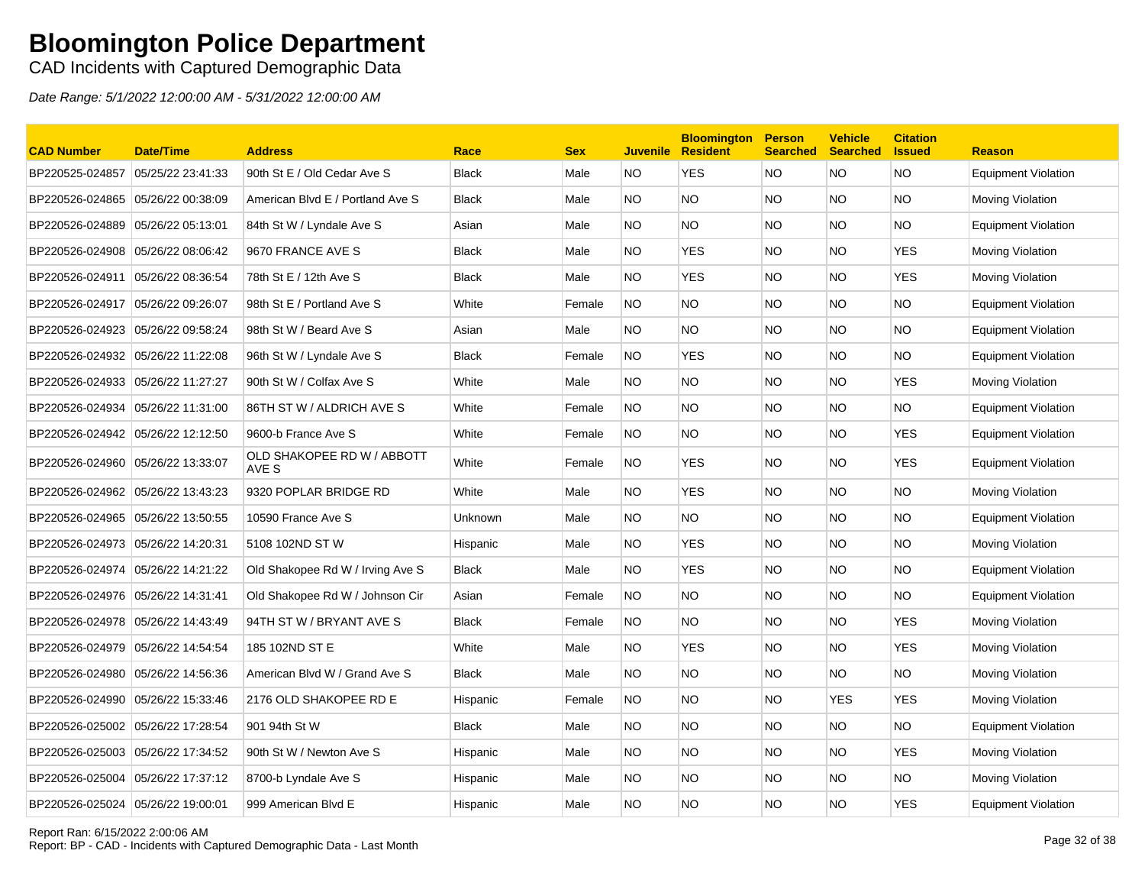CAD Incidents with Captured Demographic Data

| <b>CAD Number</b>                 | <b>Date/Time</b>  | <b>Address</b>                      | Race         | <b>Sex</b> | <b>Juvenile</b> | <b>Bloomington</b><br><b>Resident</b> | <b>Person</b><br><b>Searched</b> | <b>Vehicle</b><br><b>Searched</b> | <b>Citation</b><br><b>Issued</b> | <b>Reason</b>              |
|-----------------------------------|-------------------|-------------------------------------|--------------|------------|-----------------|---------------------------------------|----------------------------------|-----------------------------------|----------------------------------|----------------------------|
| BP220525-024857                   | 05/25/22 23:41:33 | 90th St E / Old Cedar Ave S         | <b>Black</b> | Male       | NO.             | <b>YES</b>                            | <b>NO</b>                        | <b>NO</b>                         | <b>NO</b>                        | <b>Equipment Violation</b> |
| BP220526-024865                   | 05/26/22 00:38:09 | American Blvd E / Portland Ave S    | <b>Black</b> | Male       | NO.             | <b>NO</b>                             | <b>NO</b>                        | NO.                               | <b>NO</b>                        | Moving Violation           |
| BP220526-024889                   | 05/26/22 05:13:01 | 84th St W / Lyndale Ave S           | Asian        | Male       | NO.             | NO.                                   | <b>NO</b>                        | NO.                               | NO.                              | <b>Equipment Violation</b> |
| BP220526-024908                   | 05/26/22 08:06:42 | 9670 FRANCE AVE S                   | <b>Black</b> | Male       | NO.             | <b>YES</b>                            | <b>NO</b>                        | NO.                               | <b>YES</b>                       | Moving Violation           |
| BP220526-024911                   | 05/26/22 08:36:54 | 78th St E / 12th Ave S              | <b>Black</b> | Male       | NO.             | <b>YES</b>                            | <b>NO</b>                        | NO.                               | <b>YES</b>                       | Moving Violation           |
| BP220526-024917 05/26/22 09:26:07 |                   | 98th St E / Portland Ave S          | White        | Female     | NO.             | <b>NO</b>                             | <b>NO</b>                        | NO.                               | <b>NO</b>                        | Equipment Violation        |
| BP220526-024923 05/26/22 09:58:24 |                   | 98th St W / Beard Ave S             | Asian        | Male       | NO.             | <b>NO</b>                             | <b>NO</b>                        | NO.                               | <b>NO</b>                        | <b>Equipment Violation</b> |
| BP220526-024932                   | 05/26/22 11:22:08 | 96th St W / Lyndale Ave S           | <b>Black</b> | Female     | NO.             | <b>YES</b>                            | <b>NO</b>                        | NO.                               | <b>NO</b>                        | <b>Equipment Violation</b> |
| BP220526-024933 05/26/22 11:27:27 |                   | 90th St W / Colfax Ave S            | White        | Male       | NO.             | <b>NO</b>                             | <b>NO</b>                        | NO.                               | <b>YES</b>                       | Moving Violation           |
| BP220526-024934                   | 05/26/22 11:31:00 | 86TH ST W / ALDRICH AVE S           | White        | Female     | NO.             | NO.                                   | <b>NO</b>                        | NO.                               | NO.                              | Equipment Violation        |
| BP220526-024942 05/26/22 12:12:50 |                   | 9600-b France Ave S                 | White        | Female     | NO.             | NO.                                   | <b>NO</b>                        | NO.                               | <b>YES</b>                       | <b>Equipment Violation</b> |
| BP220526-024960                   | 05/26/22 13:33:07 | OLD SHAKOPEE RD W / ABBOTT<br>AVE S | White        | Female     | NO.             | YES                                   | <b>NO</b>                        | NO.                               | <b>YES</b>                       | Equipment Violation        |
| BP220526-024962                   | 05/26/22 13:43:23 | 9320 POPLAR BRIDGE RD               | White        | Male       | NO.             | <b>YES</b>                            | <b>NO</b>                        | NO.                               | <b>NO</b>                        | Moving Violation           |
| BP220526-024965                   | 05/26/22 13:50:55 | 10590 France Ave S                  | Unknown      | Male       | NO.             | NO.                                   | <b>NO</b>                        | NO.                               | <b>NO</b>                        | <b>Equipment Violation</b> |
| BP220526-024973                   | 05/26/22 14:20:31 | 5108 102ND ST W                     | Hispanic     | Male       | NO.             | <b>YES</b>                            | <b>NO</b>                        | NO.                               | <b>NO</b>                        | Moving Violation           |
| BP220526-024974                   | 05/26/22 14:21:22 | Old Shakopee Rd W / Irving Ave S    | <b>Black</b> | Male       | NO.             | <b>YES</b>                            | <b>NO</b>                        | NO.                               | <b>NO</b>                        | <b>Equipment Violation</b> |
|                                   |                   | Old Shakopee Rd W / Johnson Cir     | Asian        | Female     | NO.             | <b>NO</b>                             | <b>NO</b>                        | NO.                               | <b>NO</b>                        | <b>Equipment Violation</b> |
| BP220526-024978 05/26/22 14:43:49 |                   | 94TH ST W / BRYANT AVE S            | <b>Black</b> | Female     | <b>NO</b>       | <b>NO</b>                             | <b>NO</b>                        | NO.                               | <b>YES</b>                       | Moving Violation           |
| BP220526-024979                   | 05/26/22 14:54:54 | 185 102ND ST E                      | White        | Male       | NO.             | <b>YES</b>                            | <b>NO</b>                        | NO.                               | <b>YES</b>                       | Moving Violation           |
| BP220526-024980                   | 05/26/22 14:56:36 | American Blvd W / Grand Ave S       | <b>Black</b> | Male       | NO.             | NO.                                   | <b>NO</b>                        | NO.                               | NO.                              | Moving Violation           |
| BP220526-024990 05/26/22 15:33:46 |                   | 2176 OLD SHAKOPEE RD E              | Hispanic     | Female     | NO.             | NO.                                   | <b>NO</b>                        | <b>YES</b>                        | <b>YES</b>                       | Moving Violation           |
| BP220526-025002 05/26/22 17:28:54 |                   | 901 94th St W                       | <b>Black</b> | Male       | NO.             | NO                                    | <b>NO</b>                        | NO.                               | NO.                              | <b>Equipment Violation</b> |
| BP220526-025003                   | 05/26/22 17:34:52 | 90th St W / Newton Ave S            | Hispanic     | Male       | NO.             | <b>NO</b>                             | <b>NO</b>                        | NO.                               | <b>YES</b>                       | Moving Violation           |
| BP220526-025004                   | 05/26/22 17:37:12 | 8700-b Lyndale Ave S                | Hispanic     | Male       | NO.             | NO                                    | <b>NO</b>                        | NO.                               | NO.                              | Moving Violation           |
| BP220526-025024 05/26/22 19:00:01 |                   | 999 American Blvd E                 | Hispanic     | Male       | NO.             | NO                                    | <b>NO</b>                        | NO.                               | <b>YES</b>                       | <b>Equipment Violation</b> |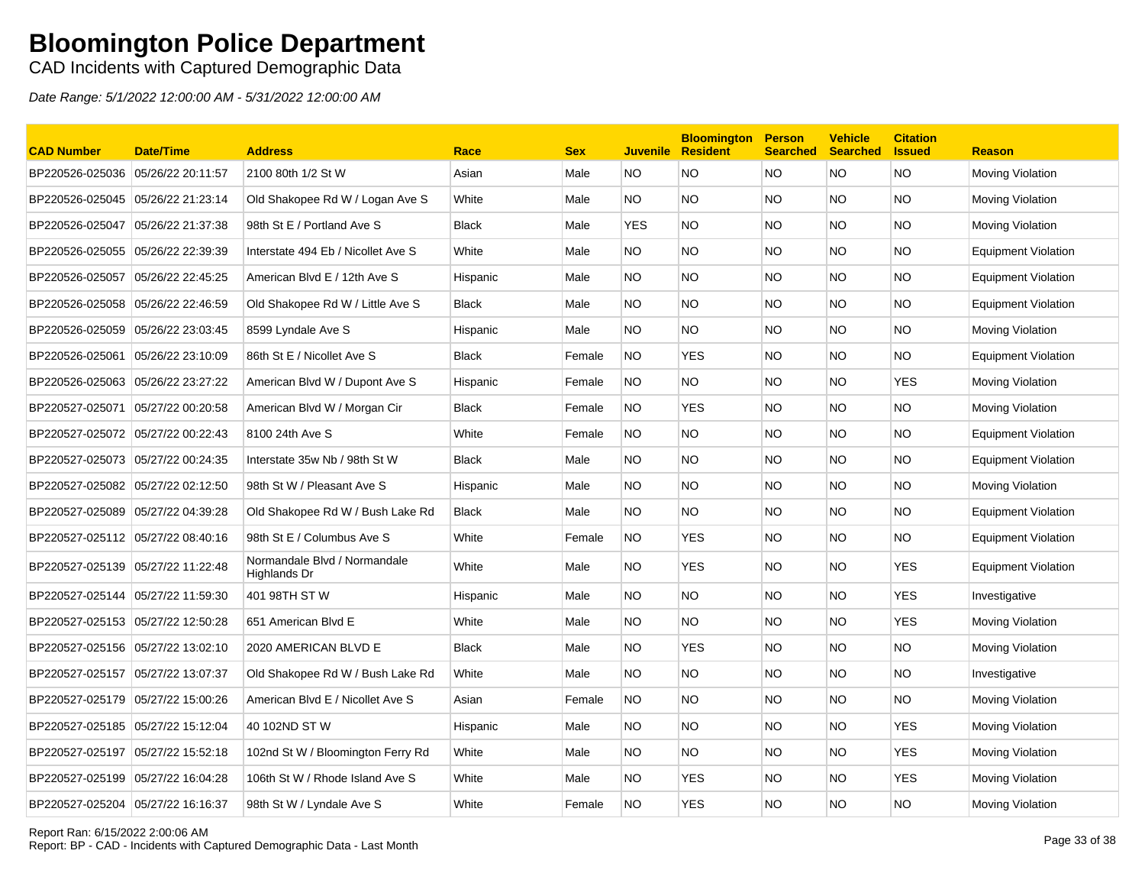### CAD Incidents with Captured Demographic Data

| <b>CAD Number</b>                 | <b>Date/Time</b>  | <b>Address</b>                               | Race         | <b>Sex</b> |           | <b>Bloomington</b><br><b>Juvenile Resident</b> | <b>Person</b><br><b>Searched</b> | <b>Vehicle</b><br><b>Searched</b> | <b>Citation</b><br><b>Issued</b> | <b>Reason</b>              |
|-----------------------------------|-------------------|----------------------------------------------|--------------|------------|-----------|------------------------------------------------|----------------------------------|-----------------------------------|----------------------------------|----------------------------|
| BP220526-025036                   | 05/26/22 20:11:57 | 2100 80th 1/2 St W                           | Asian        | Male       | NO.       | <b>NO</b>                                      | NO.                              | NO.                               | <b>NO</b>                        | Moving Violation           |
| BP220526-025045                   | 05/26/22 21:23:14 | Old Shakopee Rd W / Logan Ave S              | White        | Male       | NO.       | <b>NO</b>                                      | <b>NO</b>                        | NO.                               | <b>NO</b>                        | Moving Violation           |
| BP220526-025047                   | 05/26/22 21:37:38 | 98th St E / Portland Ave S                   | <b>Black</b> | Male       | YES       | <b>NO</b>                                      | <b>NO</b>                        | NO.                               | <b>NO</b>                        | Moving Violation           |
| BP220526-025055 05/26/22 22:39:39 |                   | Interstate 494 Eb / Nicollet Ave S           | White        | Male       | NO.       | <b>NO</b>                                      | NO.                              | NO.                               | <b>NO</b>                        | <b>Equipment Violation</b> |
| BP220526-025057                   | 05/26/22 22:45:25 | American Blvd E / 12th Ave S                 | Hispanic     | Male       | NO.       | <b>NO</b>                                      | NO.                              | NO.                               | <b>NO</b>                        | <b>Equipment Violation</b> |
| BP220526-025058 05/26/22 22:46:59 |                   | Old Shakopee Rd W / Little Ave S             | <b>Black</b> | Male       | NO        | <b>NO</b>                                      | <b>NO</b>                        | <b>NO</b>                         | <b>NO</b>                        | <b>Equipment Violation</b> |
| BP220526-025059 05/26/22 23:03:45 |                   | 8599 Lyndale Ave S                           | Hispanic     | Male       | NO.       | <b>NO</b>                                      | <b>NO</b>                        | NO.                               | <b>NO</b>                        | Moving Violation           |
| BP220526-025061                   | 05/26/22 23:10:09 | 86th St E / Nicollet Ave S                   | <b>Black</b> | Female     | NO.       | <b>YES</b>                                     | <b>NO</b>                        | NO.                               | <b>NO</b>                        | Equipment Violation        |
| BP220526-025063                   | 05/26/22 23:27:22 | American Blvd W / Dupont Ave S               | Hispanic     | Female     | NO.       | <b>NO</b>                                      | <b>NO</b>                        | NO.                               | <b>YES</b>                       | Moving Violation           |
| BP220527-025071                   | 05/27/22 00:20:58 | American Blvd W / Morgan Cir                 | <b>Black</b> | Female     | <b>NO</b> | <b>YES</b>                                     | NO.                              | NO.                               | <b>NO</b>                        | Moving Violation           |
| BP220527-025072 05/27/22 00:22:43 |                   | 8100 24th Ave S                              | White        | Female     | NO.       | <b>NO</b>                                      | NO.                              | NO.                               | <b>NO</b>                        | <b>Equipment Violation</b> |
| BP220527-025073                   | 05/27/22 00:24:35 | Interstate 35w Nb / 98th St W                | <b>Black</b> | Male       | NO        | <b>NO</b>                                      | <b>NO</b>                        | <b>NO</b>                         | <b>NO</b>                        | <b>Equipment Violation</b> |
| BP220527-025082 05/27/22 02:12:50 |                   | 98th St W / Pleasant Ave S                   | Hispanic     | Male       | NO.       | <b>NO</b>                                      | <b>NO</b>                        | <b>NO</b>                         | <b>NO</b>                        | <b>Moving Violation</b>    |
| BP220527-025089                   | 05/27/22 04:39:28 | Old Shakopee Rd W / Bush Lake Rd             | <b>Black</b> | Male       | NO.       | <b>NO</b>                                      | <b>NO</b>                        | NO.                               | <b>NO</b>                        | <b>Equipment Violation</b> |
| BP220527-025112 05/27/22 08:40:16 |                   | 98th St E / Columbus Ave S                   | White        | Female     | NO.       | <b>YES</b>                                     | <b>NO</b>                        | NO.                               | <b>NO</b>                        | Equipment Violation        |
| BP220527-025139 05/27/22 11:22:48 |                   | Normandale Blvd / Normandale<br>Highlands Dr | White        | Male       | NO.       | <b>YES</b>                                     | <b>NO</b>                        | NO.                               | <b>YES</b>                       | <b>Equipment Violation</b> |
| BP220527-025144 05/27/22 11:59:30 |                   | 401 98TH ST W                                | Hispanic     | Male       | NO.       | <b>NO</b>                                      | <b>NO</b>                        | NO.                               | <b>YES</b>                       | Investigative              |
| BP220527-025153 05/27/22 12:50:28 |                   | 651 American Blvd E                          | White        | Male       | NO.       | <b>NO</b>                                      | <b>NO</b>                        | NO.                               | <b>YES</b>                       | Moving Violation           |
| BP220527-025156 05/27/22 13:02:10 |                   | 2020 AMERICAN BLVD E                         | <b>Black</b> | Male       | NO        | <b>YES</b>                                     | <b>NO</b>                        | NO.                               | <b>NO</b>                        | Moving Violation           |
| BP220527-025157                   | 05/27/22 13:07:37 | Old Shakopee Rd W / Bush Lake Rd             | White        | Male       | NO.       | <b>NO</b>                                      | NO.                              | NO.                               | <b>NO</b>                        | Investigative              |
| BP220527-025179                   | 05/27/22 15:00:26 | American Blvd E / Nicollet Ave S             | Asian        | Female     | <b>NO</b> | <b>NO</b>                                      | NO.                              | NO.                               | <b>NO</b>                        | Moving Violation           |
| BP220527-025185 05/27/22 15:12:04 |                   | 40 102ND ST W                                | Hispanic     | Male       | NO        | <b>NO</b>                                      | <b>NO</b>                        | <b>NO</b>                         | <b>YES</b>                       | Moving Violation           |
| BP220527-025197                   | 05/27/22 15:52:18 | 102nd St W / Bloomington Ferry Rd            | White        | Male       | NO.       | <b>NO</b>                                      | NO.                              | NO.                               | <b>YES</b>                       | Moving Violation           |
| BP220527-025199 05/27/22 16:04:28 |                   | 106th St W / Rhode Island Ave S              | White        | Male       | NO.       | <b>YES</b>                                     | NO.                              | NO.                               | <b>YES</b>                       | Moving Violation           |
| BP220527-025204 05/27/22 16:16:37 |                   | 98th St W / Lyndale Ave S                    | White        | Female     | <b>NO</b> | <b>YES</b>                                     | <b>NO</b>                        | NO.                               | <b>NO</b>                        | Moving Violation           |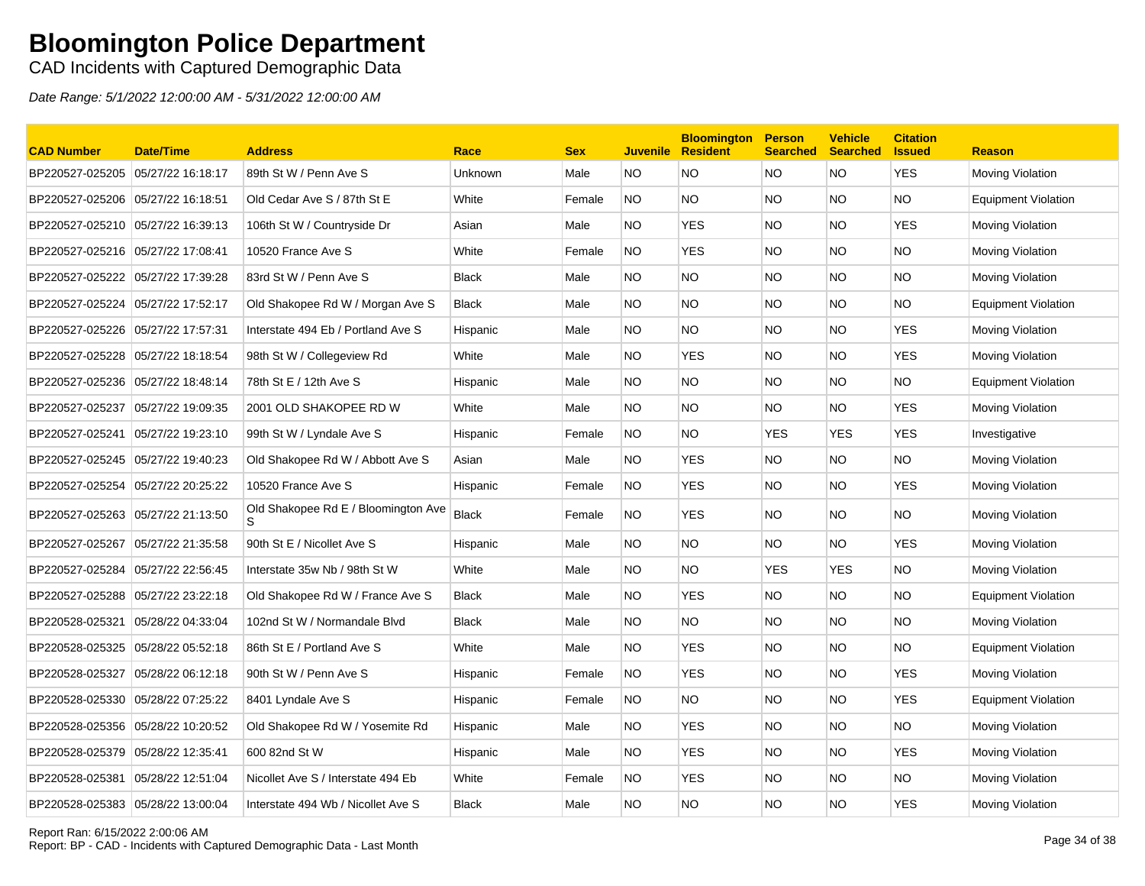### CAD Incidents with Captured Demographic Data

| <b>CAD Number</b>                 | <b>Date/Time</b>  | <b>Address</b>                      | Race         | <b>Sex</b> |           | <b>Bloomington</b><br><b>Juvenile Resident</b> | <b>Person</b><br><b>Searched</b> | <b>Vehicle</b><br><b>Searched</b> | <b>Citation</b><br><b>Issued</b> | <b>Reason</b>              |
|-----------------------------------|-------------------|-------------------------------------|--------------|------------|-----------|------------------------------------------------|----------------------------------|-----------------------------------|----------------------------------|----------------------------|
| BP220527-025205                   | 05/27/22 16:18:17 | 89th St W / Penn Ave S              | Unknown      | Male       | NO.       | <b>NO</b>                                      | NO.                              | NO.                               | <b>YES</b>                       | Moving Violation           |
| BP220527-025206                   | 05/27/22 16:18:51 | Old Cedar Ave S / 87th St E         | White        | Female     | <b>NO</b> | <b>NO</b>                                      | <b>NO</b>                        | NO.                               | <b>NO</b>                        | <b>Equipment Violation</b> |
| BP220527-025210                   | 05/27/22 16:39:13 | 106th St W / Countryside Dr         | Asian        | Male       | NO.       | <b>YES</b>                                     | <b>NO</b>                        | NO.                               | <b>YES</b>                       | Moving Violation           |
| BP220527-025216 05/27/22 17:08:41 |                   | 10520 France Ave S                  | White        | Female     | <b>NO</b> | <b>YES</b>                                     | NO.                              | NO.                               | <b>NO</b>                        | Moving Violation           |
| BP220527-025222                   | 05/27/22 17:39:28 | 83rd St W / Penn Ave S              | <b>Black</b> | Male       | NO.       | <b>NO</b>                                      | NO.                              | NO.                               | <b>NO</b>                        | Moving Violation           |
| BP220527-025224                   | 05/27/22 17:52:17 | Old Shakopee Rd W / Morgan Ave S    | <b>Black</b> | Male       | NO.       | <b>NO</b>                                      | <b>NO</b>                        | <b>NO</b>                         | <b>NO</b>                        | Equipment Violation        |
| BP220527-025226 05/27/22 17:57:31 |                   | Interstate 494 Eb / Portland Ave S  | Hispanic     | Male       | NO        | <b>NO</b>                                      | NO.                              | NO.                               | <b>YES</b>                       | Moving Violation           |
| BP220527-025228                   | 05/27/22 18:18:54 | 98th St W / Collegeview Rd          | White        | Male       | NO.       | <b>YES</b>                                     | <b>NO</b>                        | NO.                               | <b>YES</b>                       | Moving Violation           |
| BP220527-025236 05/27/22 18:48:14 |                   | 78th St E / 12th Ave S              | Hispanic     | Male       | NO        | <b>NO</b>                                      | <b>NO</b>                        | NO.                               | <b>NO</b>                        | Equipment Violation        |
| BP220527-025237                   | 05/27/22 19:09:35 | 2001 OLD SHAKOPEE RD W              | White        | Male       | NO.       | <b>NO</b>                                      | NO.                              | NO.                               | <b>YES</b>                       | Moving Violation           |
| BP220527-025241                   | 05/27/22 19:23:10 | 99th St W / Lyndale Ave S           | Hispanic     | Female     | <b>NO</b> | <b>NO</b>                                      | <b>YES</b>                       | YES                               | <b>YES</b>                       | Investigative              |
| BP220527-025245 05/27/22 19:40:23 |                   | Old Shakopee Rd W / Abbott Ave S    | Asian        | Male       | NO        | <b>YES</b>                                     | NO.                              | NO.                               | <b>NO</b>                        | Moving Violation           |
| BP220527-025254 05/27/22 20:25:22 |                   | 10520 France Ave S                  | Hispanic     | Female     | <b>NO</b> | <b>YES</b>                                     | NO.                              | NO.                               | <b>YES</b>                       | Moving Violation           |
| BP220527-025263                   | 05/27/22 21:13:50 | Old Shakopee Rd E / Bloomington Ave | <b>Black</b> | Female     | <b>NO</b> | <b>YES</b>                                     | NO.                              | NO.                               | <b>NO</b>                        | Moving Violation           |
| BP220527-025267                   | 05/27/22 21:35:58 | 90th St E / Nicollet Ave S          | Hispanic     | Male       | NO.       | <b>NO</b>                                      | NO.                              | NO.                               | <b>YES</b>                       | Moving Violation           |
| BP220527-025284                   | 05/27/22 22:56:45 | Interstate 35w Nb / 98th St W       | White        | Male       | NO        | <b>NO</b>                                      | <b>YES</b>                       | <b>YES</b>                        | <b>NO</b>                        | Moving Violation           |
| BP220527-025288 05/27/22 23:22:18 |                   | Old Shakopee Rd W / France Ave S    | <b>Black</b> | Male       | NO.       | <b>YES</b>                                     | NO.                              | NO.                               | <b>NO</b>                        | Equipment Violation        |
| BP220528-025321                   | 05/28/22 04:33:04 | 102nd St W / Normandale Blvd        | Black        | Male       | NO.       | <b>NO</b>                                      | NO.                              | NO.                               | <b>NO</b>                        | Moving Violation           |
| BP220528-025325                   | 05/28/22 05:52:18 | 86th St E / Portland Ave S          | White        | Male       | NO        | <b>YES</b>                                     | <b>NO</b>                        | NO.                               | <b>NO</b>                        | <b>Equipment Violation</b> |
| BP220528-025327                   | 05/28/22 06:12:18 | 90th St W / Penn Ave S              | Hispanic     | Female     | <b>NO</b> | <b>YES</b>                                     | NO.                              | NO.                               | <b>YES</b>                       | Moving Violation           |
| BP220528-025330                   | 05/28/22 07:25:22 | 8401 Lyndale Ave S                  | Hispanic     | Female     | <b>NO</b> | <b>NO</b>                                      | NO.                              | NO.                               | <b>YES</b>                       | <b>Equipment Violation</b> |
| BP220528-025356 05/28/22 10:20:52 |                   | Old Shakopee Rd W / Yosemite Rd     | Hispanic     | Male       | NO.       | <b>YES</b>                                     | <b>NO</b>                        | <b>NO</b>                         | <b>NO</b>                        | Moving Violation           |
| BP220528-025379 05/28/22 12:35:41 |                   | 600 82nd St W                       | Hispanic     | Male       | <b>NO</b> | <b>YES</b>                                     | NO.                              | NO.                               | <b>YES</b>                       | Moving Violation           |
| BP220528-025381                   | 05/28/22 12:51:04 | Nicollet Ave S / Interstate 494 Eb  | White        | Female     | NO.       | <b>YES</b>                                     | NO.                              | NO.                               | <b>NO</b>                        | Moving Violation           |
|                                   |                   | Interstate 494 Wb / Nicollet Ave S  | <b>Black</b> | Male       | <b>NO</b> | <b>NO</b>                                      | <b>NO</b>                        | NO.                               | <b>YES</b>                       | Moving Violation           |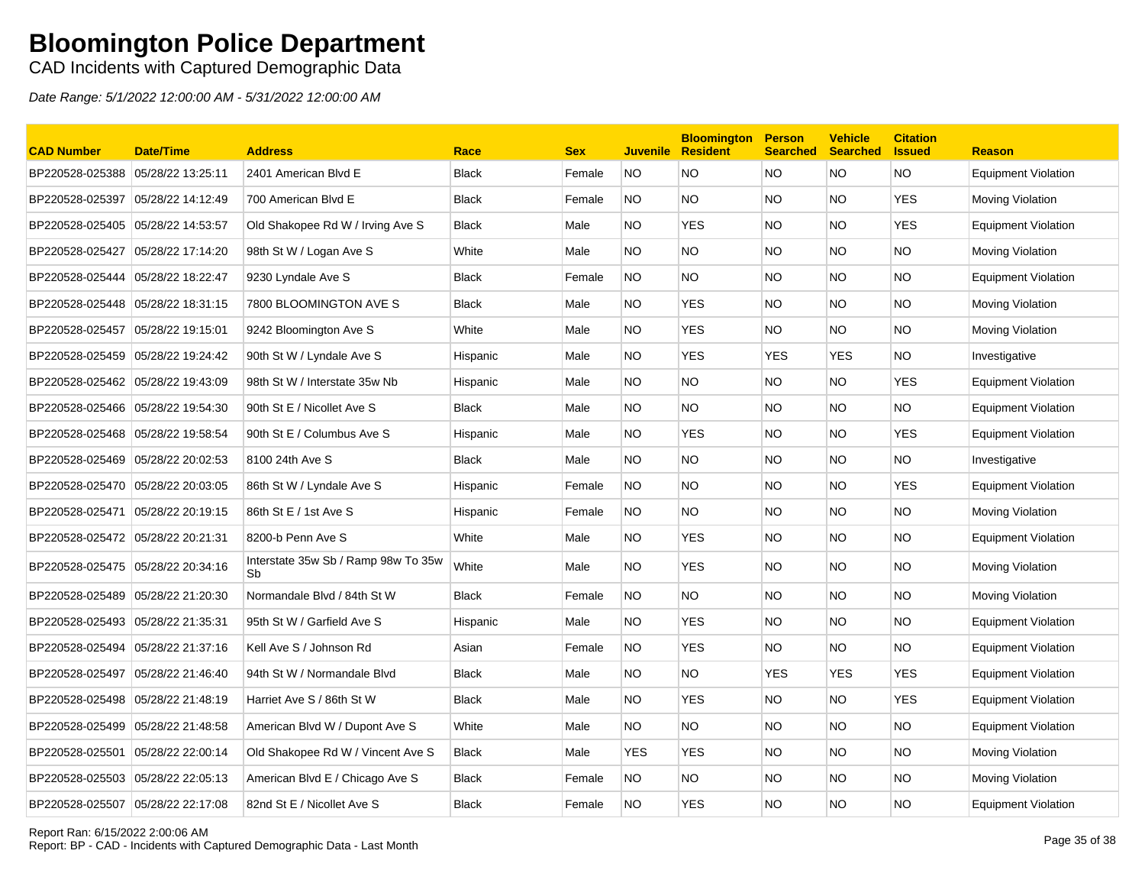### CAD Incidents with Captured Demographic Data

| <b>CAD Number</b>                 | <b>Date/Time</b>  | <b>Address</b>                            | Race         | <b>Sex</b> | <b>Juvenile</b> | <b>Bloomington</b><br><b>Resident</b> | <b>Person</b><br><b>Searched</b> | <b>Vehicle</b><br><b>Searched</b> | <b>Citation</b><br><b>Issued</b> | <b>Reason</b>              |
|-----------------------------------|-------------------|-------------------------------------------|--------------|------------|-----------------|---------------------------------------|----------------------------------|-----------------------------------|----------------------------------|----------------------------|
| BP220528-025388                   | 05/28/22 13:25:11 | 2401 American Blvd E                      | <b>Black</b> | Female     | <b>NO</b>       | <b>NO</b>                             | <b>NO</b>                        | NO.                               | <b>NO</b>                        | <b>Equipment Violation</b> |
| BP220528-025397                   | 05/28/22 14:12:49 | 700 American Blvd E                       | <b>Black</b> | Female     | <b>NO</b>       | <b>NO</b>                             | <b>NO</b>                        | <b>NO</b>                         | <b>YES</b>                       | Moving Violation           |
| BP220528-025405                   | 05/28/22 14:53:57 | Old Shakopee Rd W / Irving Ave S          | <b>Black</b> | Male       | NO              | <b>YES</b>                            | NO.                              | NO.                               | <b>YES</b>                       | Equipment Violation        |
| BP220528-025427                   | 05/28/22 17:14:20 | 98th St W / Logan Ave S                   | White        | Male       | NO.             | <b>NO</b>                             | NO.                              | NO.                               | <b>NO</b>                        | Moving Violation           |
| BP220528-025444                   | 05/28/22 18:22:47 | 9230 Lyndale Ave S                        | <b>Black</b> | Female     | <b>NO</b>       | <b>NO</b>                             | NO.                              | NO.                               | <b>NO</b>                        | <b>Equipment Violation</b> |
| BP220528-025448 05/28/22 18:31:15 |                   | 7800 BLOOMINGTON AVE S                    | <b>Black</b> | Male       | NO.             | <b>YES</b>                            | <b>NO</b>                        | <b>NO</b>                         | <b>NO</b>                        | Moving Violation           |
| BP220528-025457                   | 05/28/22 19:15:01 | 9242 Bloomington Ave S                    | White        | Male       | NO.             | <b>YES</b>                            | NO.                              | NO.                               | <b>NO</b>                        | Moving Violation           |
| BP220528-025459                   | 05/28/22 19:24:42 | 90th St W / Lyndale Ave S                 | Hispanic     | Male       | NO.             | <b>YES</b>                            | <b>YES</b>                       | <b>YES</b>                        | <b>NO</b>                        | Investigative              |
| BP220528-025462                   | 05/28/22 19:43:09 | 98th St W / Interstate 35w Nb             | Hispanic     | Male       | NO.             | <b>NO</b>                             | NO.                              | NO.                               | <b>YES</b>                       | <b>Equipment Violation</b> |
| BP220528-025466                   | 05/28/22 19:54:30 | 90th St E / Nicollet Ave S                | <b>Black</b> | Male       | NO.             | <b>NO</b>                             | NO.                              | NO.                               | <b>NO</b>                        | <b>Equipment Violation</b> |
| BP220528-025468                   | 05/28/22 19:58:54 | 90th St E / Columbus Ave S                | Hispanic     | Male       | NO.             | <b>YES</b>                            | NO.                              | NO.                               | <b>YES</b>                       | <b>Equipment Violation</b> |
| BP220528-025469                   | 05/28/22 20:02:53 | 8100 24th Ave S                           | <b>Black</b> | Male       | <b>NO</b>       | <b>NO</b>                             | NO.                              | <b>NO</b>                         | <b>NO</b>                        | Investigative              |
| BP220528-025470 05/28/22 20:03:05 |                   | 86th St W / Lyndale Ave S                 | Hispanic     | Female     | <b>NO</b>       | <b>NO</b>                             | NO.                              | <b>NO</b>                         | <b>YES</b>                       | <b>Equipment Violation</b> |
| BP220528-025471                   | 05/28/22 20:19:15 | 86th St E / 1st Ave S                     | Hispanic     | Female     | NO.             | <b>NO</b>                             | <b>NO</b>                        | NO.                               | <b>NO</b>                        | Moving Violation           |
| BP220528-025472                   | 05/28/22 20:21:31 | 8200-b Penn Ave S                         | White        | Male       | NO.             | <b>YES</b>                            | <b>NO</b>                        | NO.                               | <b>NO</b>                        | <b>Equipment Violation</b> |
| BP220528-025475 05/28/22 20:34:16 |                   | Interstate 35w Sb / Ramp 98w To 35w<br>Sb | White        | Male       | NO.             | <b>YES</b>                            | NO.                              | NO.                               | <b>NO</b>                        | Moving Violation           |
| BP220528-025489 05/28/22 21:20:30 |                   | Normandale Blvd / 84th St W               | <b>Black</b> | Female     | <b>NO</b>       | <b>NO</b>                             | NO.                              | <b>NO</b>                         | <b>NO</b>                        | Moving Violation           |
| BP220528-025493                   | 05/28/22 21:35:31 | 95th St W / Garfield Ave S                | Hispanic     | Male       | NO              | <b>YES</b>                            | NO.                              | NO.                               | <b>NO</b>                        | <b>Equipment Violation</b> |
| BP220528-025494                   | 05/28/22 21:37:16 | Kell Ave S / Johnson Rd                   | Asian        | Female     | NO.             | <b>YES</b>                            | NO.                              | NO.                               | <b>NO</b>                        | Equipment Violation        |
| BP220528-025497                   | 05/28/22 21:46:40 | 94th St W / Normandale Blvd               | <b>Black</b> | Male       | NO.             | <b>NO</b>                             | <b>YES</b>                       | <b>YES</b>                        | <b>YES</b>                       | <b>Equipment Violation</b> |
| BP220528-025498                   | 05/28/22 21:48:19 | Harriet Ave S / 86th St W                 | <b>Black</b> | Male       | NO.             | <b>YES</b>                            | NO.                              | NO.                               | <b>YES</b>                       | <b>Equipment Violation</b> |
| BP220528-025499                   | 05/28/22 21:48:58 | American Blvd W / Dupont Ave S            | White        | Male       | NO              | <b>NO</b>                             | <b>NO</b>                        | <b>NO</b>                         | <b>NO</b>                        | <b>Equipment Violation</b> |
| BP220528-025501                   | 05/28/22 22:00:14 | Old Shakopee Rd W / Vincent Ave S         | <b>Black</b> | Male       | YES             | <b>YES</b>                            | NO.                              | NO.                               | <b>NO</b>                        | Moving Violation           |
| BP220528-025503                   | 05/28/22 22:05:13 | American Blvd E / Chicago Ave S           | <b>Black</b> | Female     | NO.             | <b>NO</b>                             | NO.                              | NO.                               | <b>NO</b>                        | Moving Violation           |
| BP220528-025507                   | 05/28/22 22:17:08 | 82nd St E / Nicollet Ave S                | <b>Black</b> | Female     | <b>NO</b>       | <b>YES</b>                            | <b>NO</b>                        | NO.                               | <b>NO</b>                        | <b>Equipment Violation</b> |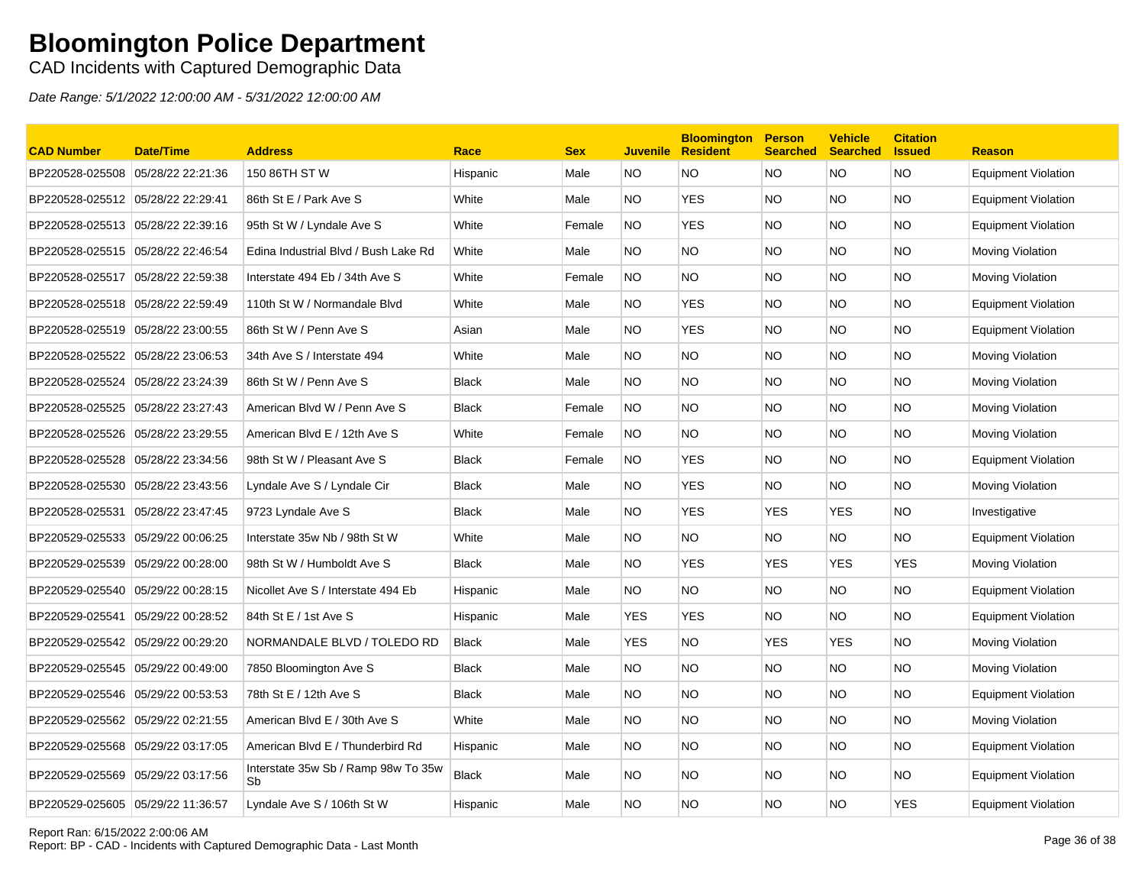CAD Incidents with Captured Demographic Data

| <b>CAD Number</b>                 | <b>Date/Time</b>  | <b>Address</b>                            | Race         | <b>Sex</b> | <b>Juvenile</b> | <b>Bloomington</b><br><b>Resident</b> | <b>Person</b><br><b>Searched</b> | <b>Vehicle</b><br><b>Searched</b> | <b>Citation</b><br><b>Issued</b> | <b>Reason</b>              |
|-----------------------------------|-------------------|-------------------------------------------|--------------|------------|-----------------|---------------------------------------|----------------------------------|-----------------------------------|----------------------------------|----------------------------|
| BP220528-025508                   | 05/28/22 22:21:36 | 150 86TH ST W                             | Hispanic     | Male       | NO.             | <b>NO</b>                             | <b>NO</b>                        | NO.                               | <b>NO</b>                        | <b>Equipment Violation</b> |
| BP220528-025512 05/28/22 22:29:41 |                   | 86th St E / Park Ave S                    | White        | Male       | <b>NO</b>       | <b>YES</b>                            | <b>NO</b>                        | NO.                               | <b>NO</b>                        | Equipment Violation        |
| BP220528-025513 05/28/22 22:39:16 |                   | 95th St W / Lyndale Ave S                 | White        | Female     | <b>NO</b>       | <b>YES</b>                            | NO.                              | NO.                               | <b>NO</b>                        | Equipment Violation        |
| BP220528-025515 05/28/22 22:46:54 |                   | Edina Industrial Blvd / Bush Lake Rd      | White        | Male       | NO.             | <b>NO</b>                             | NO.                              | NO.                               | NO.                              | Moving Violation           |
| BP220528-025517                   | 05/28/22 22:59:38 | Interstate 494 Eb / 34th Ave S            | White        | Female     | NO.             | <b>NO</b>                             | NO.                              | NO                                | <b>NO</b>                        | Moving Violation           |
| BP220528-025518 05/28/22 22:59:49 |                   | 110th St W / Normandale Blvd              | White        | Male       | <b>NO</b>       | <b>YES</b>                            | <b>NO</b>                        | NO.                               | <b>NO</b>                        | <b>Equipment Violation</b> |
| BP220528-025519 05/28/22 23:00:55 |                   | 86th St W / Penn Ave S                    | Asian        | Male       | NO.             | <b>YES</b>                            | NO.                              | NO.                               | <b>NO</b>                        | Equipment Violation        |
| BP220528-025522                   | 05/28/22 23:06:53 | 34th Ave S / Interstate 494               | White        | Male       | NO.             | <b>NO</b>                             | <b>NO</b>                        | NO.                               | <b>NO</b>                        | Moving Violation           |
| BP220528-025524                   | 05/28/22 23:24:39 | 86th St W / Penn Ave S                    | <b>Black</b> | Male       | NO.             | <b>NO</b>                             | <b>NO</b>                        | NO.                               | NO.                              | Moving Violation           |
| BP220528-025525                   | 05/28/22 23:27:43 | American Blvd W / Penn Ave S              | <b>Black</b> | Female     | <b>NO</b>       | <b>NO</b>                             | <b>NO</b>                        | NO.                               | <b>NO</b>                        | Moving Violation           |
| BP220528-025526                   | 05/28/22 23:29:55 | American Blvd E / 12th Ave S              | White        | Female     | NO.             | <b>NO</b>                             | NO.                              | NO                                | NO.                              | Moving Violation           |
| BP220528-025528                   | 05/28/22 23:34:56 | 98th St W / Pleasant Ave S                | <b>Black</b> | Female     | <b>NO</b>       | <b>YES</b>                            | <b>NO</b>                        | <b>NO</b>                         | <b>NO</b>                        | <b>Equipment Violation</b> |
| BP220528-025530 05/28/22 23:43:56 |                   | Lyndale Ave S / Lyndale Cir               | <b>Black</b> | Male       | <b>NO</b>       | <b>YES</b>                            | NO.                              | NO.                               | <b>NO</b>                        | Moving Violation           |
| BP220528-025531                   | 05/28/22 23:47:45 | 9723 Lyndale Ave S                        | <b>Black</b> | Male       | NO.             | <b>YES</b>                            | <b>YES</b>                       | <b>YES</b>                        | <b>NO</b>                        | Investigative              |
| BP220529-025533                   | 05/29/22 00:06:25 | Interstate 35w Nb / 98th St W             | White        | Male       | NO.             | <b>NO</b>                             | NO.                              | NO.                               | <b>NO</b>                        | Equipment Violation        |
| BP220529-025539 05/29/22 00:28:00 |                   | 98th St W / Humboldt Ave S                | <b>Black</b> | Male       | NO.             | <b>YES</b>                            | <b>YES</b>                       | <b>YES</b>                        | <b>YES</b>                       | Moving Violation           |
| BP220529-025540                   | 05/29/22 00:28:15 | Nicollet Ave S / Interstate 494 Eb        | Hispanic     | Male       | NO.             | <b>NO</b>                             | NO.                              | NO.                               | NO.                              | Equipment Violation        |
| BP220529-025541                   | 05/29/22 00:28:52 | 84th St E / 1st Ave S                     | Hispanic     | Male       | YES             | <b>YES</b>                            | NO.                              | NO.                               | <b>NO</b>                        | Equipment Violation        |
| BP220529-025542 05/29/22 00:29:20 |                   | NORMANDALE BLVD / TOLEDO RD               | <b>Black</b> | Male       | YES             | <b>NO</b>                             | <b>YES</b>                       | YES                               | <b>NO</b>                        | Moving Violation           |
| BP220529-025545 05/29/22 00:49:00 |                   | 7850 Bloomington Ave S                    | <b>Black</b> | Male       | NO.             | <b>NO</b>                             | <b>NO</b>                        | NO.                               | <b>NO</b>                        | Moving Violation           |
| BP220529-025546                   | 05/29/22 00:53:53 | 78th St E / 12th Ave S                    | <b>Black</b> | Male       | NO.             | <b>NO</b>                             | <b>NO</b>                        | NO.                               | <b>NO</b>                        | Equipment Violation        |
| BP220529-025562 05/29/22 02:21:55 |                   | American Blvd E / 30th Ave S              | White        | Male       | NO.             | <b>NO</b>                             | NO.                              | NO.                               | NO.                              | Moving Violation           |
| BP220529-025568 05/29/22 03:17:05 |                   | American Blvd E / Thunderbird Rd          | Hispanic     | Male       | NO.             | <b>NO</b>                             | NO.                              | NO.                               | <b>NO</b>                        | Equipment Violation        |
| BP220529-025569 05/29/22 03:17:56 |                   | Interstate 35w Sb / Ramp 98w To 35w<br>Sb | <b>Black</b> | Male       | NO.             | <b>NO</b>                             | <b>NO</b>                        | NO.                               | NO.                              | Equipment Violation        |
| BP220529-025605 05/29/22 11:36:57 |                   | Lyndale Ave S / 106th St W                | Hispanic     | Male       | <b>NO</b>       | <b>NO</b>                             | <b>NO</b>                        | NO.                               | <b>YES</b>                       | Equipment Violation        |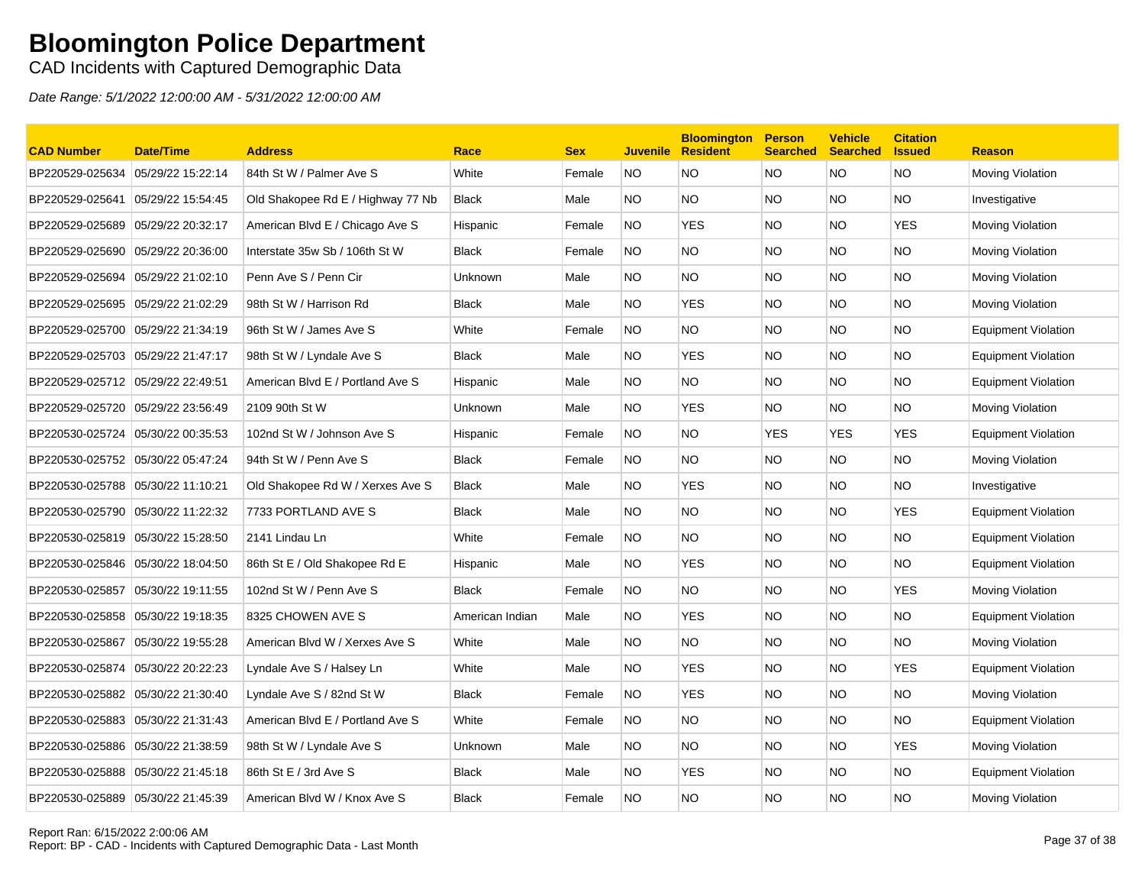### CAD Incidents with Captured Demographic Data

| <b>CAD Number</b>                 | <b>Date/Time</b>  | <b>Address</b>                    | Race            | <b>Sex</b> | <b>Juvenile</b> | <b>Bloomington</b><br><b>Resident</b> | <b>Person</b><br><b>Searched</b> | <b>Vehicle</b><br><b>Searched</b> | <b>Citation</b><br><b>Issued</b> | <b>Reason</b>              |
|-----------------------------------|-------------------|-----------------------------------|-----------------|------------|-----------------|---------------------------------------|----------------------------------|-----------------------------------|----------------------------------|----------------------------|
| BP220529-025634                   | 05/29/22 15:22:14 | 84th St W / Palmer Ave S          | White           | Female     | <b>NO</b>       | <b>NO</b>                             | <b>NO</b>                        | NO.                               | <b>NO</b>                        | Moving Violation           |
| BP220529-025641                   | 05/29/22 15:54:45 | Old Shakopee Rd E / Highway 77 Nb | <b>Black</b>    | Male       | NO.             | <b>NO</b>                             | NO.                              | NO.                               | <b>NO</b>                        | Investigative              |
| BP220529-025689                   | 05/29/22 20:32:17 | American Blvd E / Chicago Ave S   | Hispanic        | Female     | NO.             | <b>YES</b>                            | <b>NO</b>                        | NO.                               | <b>YES</b>                       | Moving Violation           |
| BP220529-025690 05/29/22 20:36:00 |                   | Interstate 35w Sb / 106th St W    | <b>Black</b>    | Female     | <b>NO</b>       | <b>NO</b>                             | NO.                              | NO.                               | <b>NO</b>                        | <b>Moving Violation</b>    |
| BP220529-025694                   | 05/29/22 21:02:10 | Penn Ave S / Penn Cir             | <b>Unknown</b>  | Male       | NO.             | <b>NO</b>                             | NO.                              | NO.                               | NO.                              | Moving Violation           |
| BP220529-025695                   | 05/29/22 21:02:29 | 98th St W / Harrison Rd           | <b>Black</b>    | Male       | NO.             | <b>YES</b>                            | NO.                              | NO                                | <b>NO</b>                        | Moving Violation           |
| BP220529-025700                   | 05/29/22 21:34:19 | 96th St W / James Ave S           | White           | Female     | <b>NO</b>       | <b>NO</b>                             | NO.                              | NO.                               | <b>NO</b>                        | <b>Equipment Violation</b> |
| BP220529-025703 05/29/22 21:47:17 |                   | 98th St W / Lyndale Ave S         | <b>Black</b>    | Male       | NO.             | <b>YES</b>                            | NO.                              | NO.                               | <b>NO</b>                        | Equipment Violation        |
| BP220529-025712 05/29/22 22:49:51 |                   | American Blvd E / Portland Ave S  | Hispanic        | Male       | NO.             | <b>NO</b>                             | NO.                              | NO.                               | <b>NO</b>                        | Equipment Violation        |
| BP220529-025720 05/29/22 23:56:49 |                   | 2109 90th St W                    | Unknown         | Male       | NO.             | <b>YES</b>                            | <b>NO</b>                        | NO.                               | <b>NO</b>                        | Moving Violation           |
| BP220530-025724                   | 05/30/22 00:35:53 | 102nd St W / Johnson Ave S        | Hispanic        | Female     | NO.             | <b>NO</b>                             | <b>YES</b>                       | YES                               | <b>YES</b>                       | Equipment Violation        |
| BP220530-025752 05/30/22 05:47:24 |                   | 94th St W / Penn Ave S            | <b>Black</b>    | Female     | NO.             | <b>NO</b>                             | NO.                              | NO.                               | <b>NO</b>                        | Moving Violation           |
| BP220530-025788 05/30/22 11:10:21 |                   | Old Shakopee Rd W / Xerxes Ave S  | <b>Black</b>    | Male       | NO.             | <b>YES</b>                            | NO.                              | NO.                               | NO.                              | Investigative              |
| BP220530-025790                   | 05/30/22 11:22:32 | 7733 PORTLAND AVE S               | <b>Black</b>    | Male       | NO.             | <b>NO</b>                             | NO.                              | <b>NO</b>                         | <b>YES</b>                       | Equipment Violation        |
| BP220530-025819 05/30/22 15:28:50 |                   | 2141 Lindau Ln                    | White           | Female     | <b>NO</b>       | <b>NO</b>                             | NO.                              | NO.                               | <b>NO</b>                        | <b>Equipment Violation</b> |
| BP220530-025846 05/30/22 18:04:50 |                   | 86th St E / Old Shakopee Rd E     | Hispanic        | Male       | NO.             | <b>YES</b>                            | NO.                              | NO.                               | NO.                              | Equipment Violation        |
| BP220530-025857                   | 05/30/22 19:11:55 | 102nd St W / Penn Ave S           | <b>Black</b>    | Female     | <b>NO</b>       | <b>NO</b>                             | <b>NO</b>                        | NO.                               | <b>YES</b>                       | Moving Violation           |
| BP220530-025858 05/30/22 19:18:35 |                   | 8325 CHOWEN AVE S                 | American Indian | Male       | NO.             | <b>YES</b>                            | <b>NO</b>                        | NO.                               | NO.                              | <b>Equipment Violation</b> |
| BP220530-025867                   | 05/30/22 19:55:28 | American Blvd W / Xerxes Ave S    | White           | Male       | NO.             | <b>NO</b>                             | NO.                              | NO.                               | <b>NO</b>                        | Moving Violation           |
| BP220530-025874                   | 05/30/22 20:22:23 | Lyndale Ave S / Halsey Ln         | White           | Male       | NO.             | <b>YES</b>                            | NO.                              | NO.                               | <b>YES</b>                       | Equipment Violation        |
| BP220530-025882                   | 05/30/22 21:30:40 | Lyndale Ave S / 82nd St W         | Black           | Female     | <b>NO</b>       | <b>YES</b>                            | <b>NO</b>                        | <b>NO</b>                         | <b>NO</b>                        | Moving Violation           |
| BP220530-025883 05/30/22 21:31:43 |                   | American Blvd E / Portland Ave S  | White           | Female     | NO.             | <b>NO</b>                             | NO.                              | NO.                               | NO.                              | Equipment Violation        |
| BP220530-025886 05/30/22 21:38:59 |                   | 98th St W / Lyndale Ave S         | Unknown         | Male       | NO.             | <b>NO</b>                             | NO.                              | NO.                               | <b>YES</b>                       | Moving Violation           |
| BP220530-025888                   | 05/30/22 21:45:18 | 86th St E / 3rd Ave S             | <b>Black</b>    | Male       | NO.             | <b>YES</b>                            | NO.                              | NO.                               | <b>NO</b>                        | Equipment Violation        |
| BP220530-025889 05/30/22 21:45:39 |                   | American Blvd W / Knox Ave S      | <b>Black</b>    | Female     | <b>NO</b>       | <b>NO</b>                             | <b>NO</b>                        | NO.                               | <b>NO</b>                        | Moving Violation           |